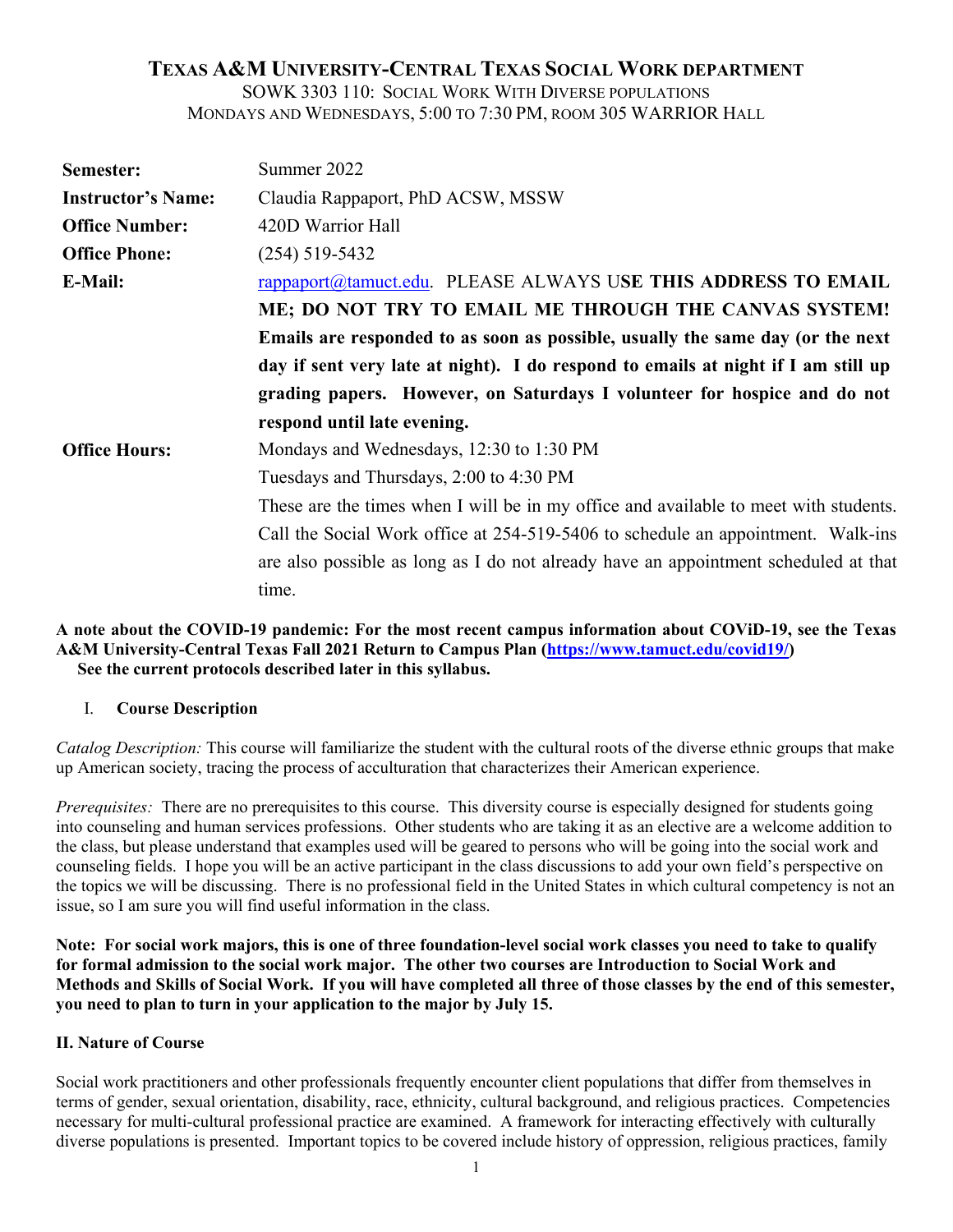# **TEXAS A&M UNIVERSITY-CENTRAL TEXAS SOCIAL WORK DEPARTMENT**

SOWK 3303 110: SOCIAL WORK WITH DIVERSE POPULATIONS MONDAYS AND WEDNESDAYS, 5:00 TO 7:30 PM, ROOM 305 WARRIOR HALL

| Semester:                 | Summer 2022                                                                          |  |  |
|---------------------------|--------------------------------------------------------------------------------------|--|--|
| <b>Instructor's Name:</b> | Claudia Rappaport, PhD ACSW, MSSW                                                    |  |  |
| <b>Office Number:</b>     | 420D Warrior Hall                                                                    |  |  |
| <b>Office Phone:</b>      | $(254)$ 519-5432                                                                     |  |  |
| <b>E-Mail:</b>            | rappaport@tamuct.edu. PLEASE ALWAYS USE THIS ADDRESS TO EMAIL                        |  |  |
|                           | ME; DO NOT TRY TO EMAIL ME THROUGH THE CANVAS SYSTEM!                                |  |  |
|                           | Emails are responded to as soon as possible, usually the same day (or the next       |  |  |
|                           | day if sent very late at night). I do respond to emails at night if I am still up    |  |  |
|                           | grading papers. However, on Saturdays I volunteer for hospice and do not             |  |  |
|                           | respond until late evening.                                                          |  |  |
| <b>Office Hours:</b>      | Mondays and Wednesdays, 12:30 to 1:30 PM                                             |  |  |
|                           | Tuesdays and Thursdays, 2:00 to 4:30 PM                                              |  |  |
|                           |                                                                                      |  |  |
|                           | These are the times when I will be in my office and available to meet with students. |  |  |
|                           | Call the Social Work office at 254-519-5406 to schedule an appointment. Walk-ins     |  |  |
|                           | are also possible as long as I do not already have an appointment scheduled at that  |  |  |

### **A note about the COVID-19 pandemic: For the most recent campus information about COViD-19, see the Texas A&M University-Central Texas Fall 2021 Return to Campus Plan [\(https://www.tamuct.edu/covid19/\)](https://www.tamuct.edu/covid19/) See the current protocols described later in this syllabus.**

### I. **Course Description**

*Catalog Description:* This course will familiarize the student with the cultural roots of the diverse ethnic groups that make up American society, tracing the process of acculturation that characterizes their American experience.

*Prerequisites:* There are no prerequisites to this course. This diversity course is especially designed for students going into counseling and human services professions. Other students who are taking it as an elective are a welcome addition to the class, but please understand that examples used will be geared to persons who will be going into the social work and counseling fields. I hope you will be an active participant in the class discussions to add your own field's perspective on the topics we will be discussing. There is no professional field in the United States in which cultural competency is not an issue, so I am sure you will find useful information in the class.

**Note: For social work majors, this is one of three foundation-level social work classes you need to take to qualify for formal admission to the social work major. The other two courses are Introduction to Social Work and Methods and Skills of Social Work. If you will have completed all three of those classes by the end of this semester, you need to plan to turn in your application to the major by July 15.**

### **II. Nature of Course**

Social work practitioners and other professionals frequently encounter client populations that differ from themselves in terms of gender, sexual orientation, disability, race, ethnicity, cultural background, and religious practices. Competencies necessary for multi-cultural professional practice are examined. A framework for interacting effectively with culturally diverse populations is presented. Important topics to be covered include history of oppression, religious practices, family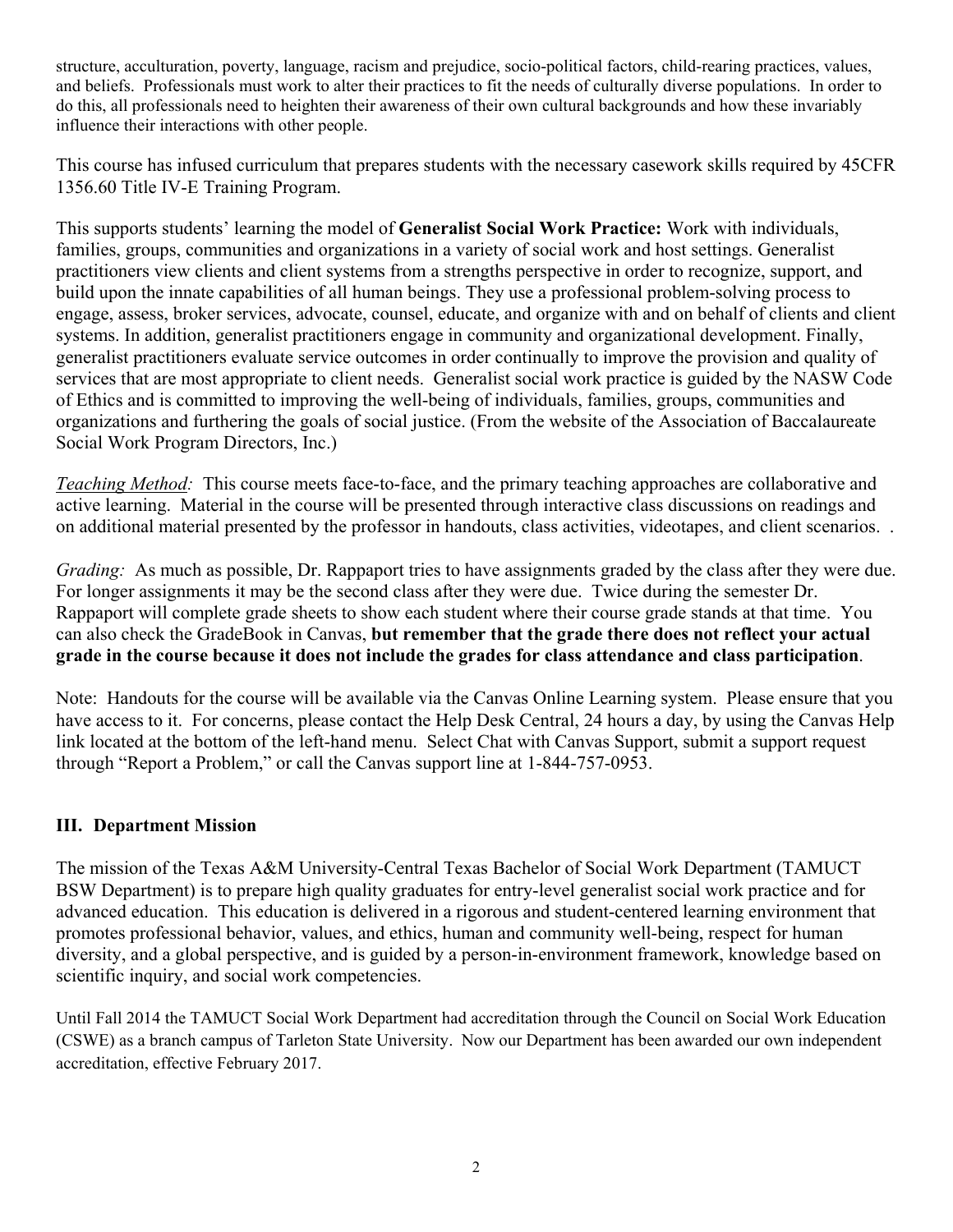structure, acculturation, poverty, language, racism and prejudice, socio-political factors, child-rearing practices, values, and beliefs. Professionals must work to alter their practices to fit the needs of culturally diverse populations. In order to do this, all professionals need to heighten their awareness of their own cultural backgrounds and how these invariably influence their interactions with other people.

This course has infused curriculum that prepares students with the necessary casework skills required by 45CFR 1356.60 Title IV-E Training Program.

This supports students' learning the model of **Generalist Social Work Practice:** Work with individuals, families, groups, communities and organizations in a variety of social work and host settings. Generalist practitioners view clients and client systems from a strengths perspective in order to recognize, support, and build upon the innate capabilities of all human beings. They use a professional problem-solving process to engage, assess, broker services, advocate, counsel, educate, and organize with and on behalf of clients and client systems. In addition, generalist practitioners engage in community and organizational development. Finally, generalist practitioners evaluate service outcomes in order continually to improve the provision and quality of services that are most appropriate to client needs. Generalist social work practice is guided by the NASW Code of Ethics and is committed to improving the well-being of individuals, families, groups, communities and organizations and furthering the goals of social justice. (From the website of the Association of Baccalaureate Social Work Program Directors, Inc.)

*Teaching Method:* This course meets face-to-face, and the primary teaching approaches are collaborative and active learning. Material in the course will be presented through interactive class discussions on readings and on additional material presented by the professor in handouts, class activities, videotapes, and client scenarios. .

*Grading:* As much as possible, Dr. Rappaport tries to have assignments graded by the class after they were due. For longer assignments it may be the second class after they were due. Twice during the semester Dr. Rappaport will complete grade sheets to show each student where their course grade stands at that time. You can also check the GradeBook in Canvas, **but remember that the grade there does not reflect your actual grade in the course because it does not include the grades for class attendance and class participation**.

Note: Handouts for the course will be available via the Canvas Online Learning system. Please ensure that you have access to it. For concerns, please contact the Help Desk Central, 24 hours a day, by using the Canvas Help link located at the bottom of the left-hand menu. Select Chat with Canvas Support, submit a support request through "Report a Problem," or call the Canvas support line at 1-844-757-0953.

# **III. Department Mission**

The mission of the Texas A&M University-Central Texas Bachelor of Social Work Department (TAMUCT BSW Department) is to prepare high quality graduates for entry-level generalist social work practice and for advanced education. This education is delivered in a rigorous and student-centered learning environment that promotes professional behavior, values, and ethics, human and community well-being, respect for human diversity, and a global perspective, and is guided by a person-in-environment framework, knowledge based on scientific inquiry, and social work competencies.

Until Fall 2014 the TAMUCT Social Work Department had accreditation through the Council on Social Work Education (CSWE) as a branch campus of Tarleton State University. Now our Department has been awarded our own independent accreditation, effective February 2017.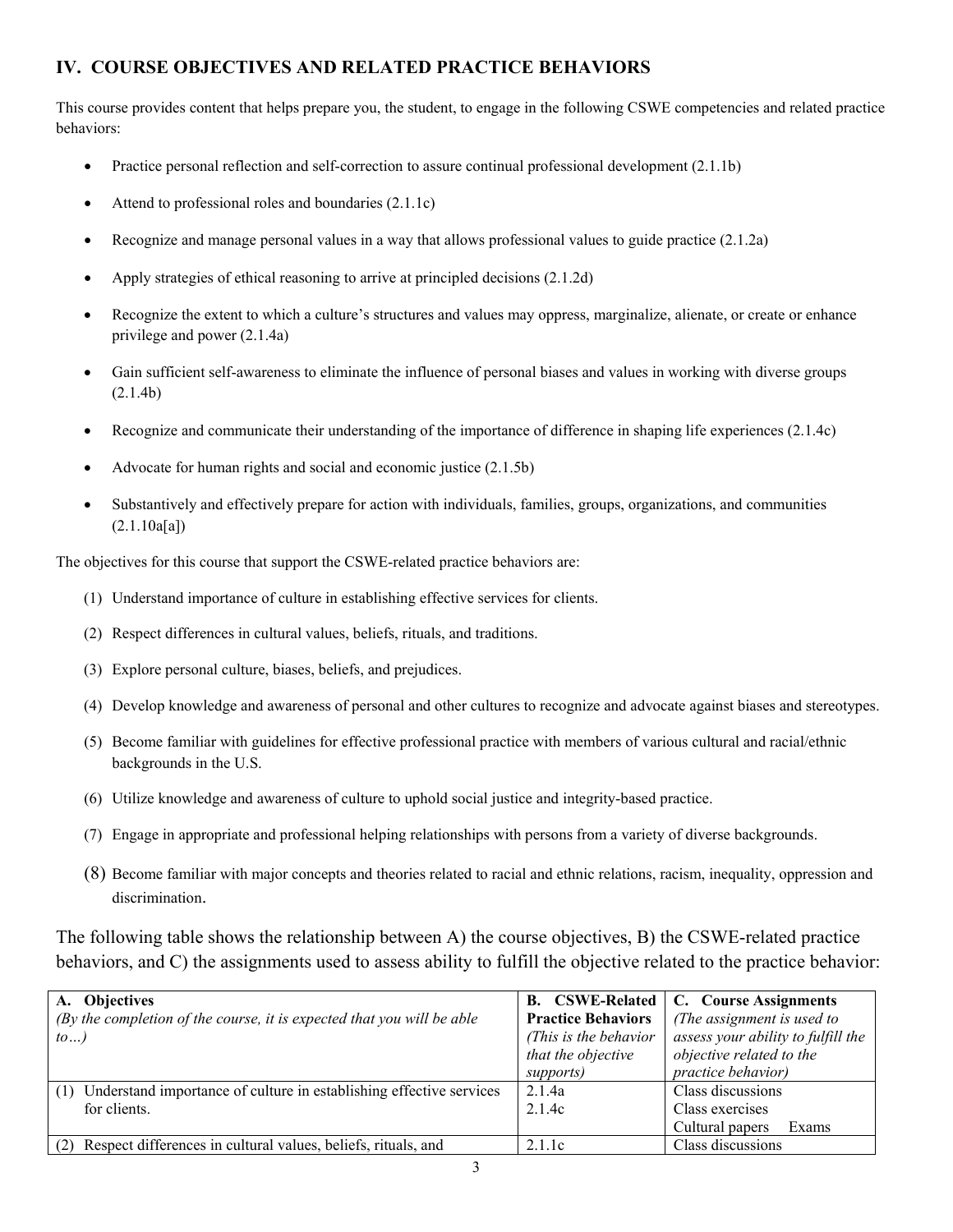# **IV. COURSE OBJECTIVES AND RELATED PRACTICE BEHAVIORS**

This course provides content that helps prepare you, the student, to engage in the following CSWE competencies and related practice behaviors:

- Practice personal reflection and self-correction to assure continual professional development (2.1.1b)
- Attend to professional roles and boundaries (2.1.1c)
- Recognize and manage personal values in a way that allows professional values to guide practice (2.1.2a)
- Apply strategies of ethical reasoning to arrive at principled decisions (2.1.2d)
- Recognize the extent to which a culture's structures and values may oppress, marginalize, alienate, or create or enhance privilege and power (2.1.4a)
- Gain sufficient self-awareness to eliminate the influence of personal biases and values in working with diverse groups (2.1.4b)
- Recognize and communicate their understanding of the importance of difference in shaping life experiences (2.1.4c)
- Advocate for human rights and social and economic justice (2.1.5b)
- Substantively and effectively prepare for action with individuals, families, groups, organizations, and communities  $(2.1.10a[a])$

The objectives for this course that support the CSWE-related practice behaviors are:

- (1) Understand importance of culture in establishing effective services for clients.
- (2) Respect differences in cultural values, beliefs, rituals, and traditions.
- (3) Explore personal culture, biases, beliefs, and prejudices.
- (4) Develop knowledge and awareness of personal and other cultures to recognize and advocate against biases and stereotypes.
- (5) Become familiar with guidelines for effective professional practice with members of various cultural and racial/ethnic backgrounds in the U.S.
- (6) Utilize knowledge and awareness of culture to uphold social justice and integrity-based practice.
- (7) Engage in appropriate and professional helping relationships with persons from a variety of diverse backgrounds.
- (8) Become familiar with major concepts and theories related to racial and ethnic relations, racism, inequality, oppression and discrimination.

The following table shows the relationship between A) the course objectives, B) the CSWE-related practice behaviors, and C) the assignments used to assess ability to fulfill the objective related to the practice behavior:

| A. Objectives                                                              |                           | <b>B.</b> CSWE-Related   C. Course Assignments |
|----------------------------------------------------------------------------|---------------------------|------------------------------------------------|
| (By the completion of the course, it is expected that you will be able     | <b>Practice Behaviors</b> | (The assignment is used to                     |
| $to \ldots$                                                                | (This is the behavior)    | assess your ability to fulfill the             |
|                                                                            | that the objective        | objective related to the                       |
|                                                                            | supports)                 | practice behavior)                             |
| Understand importance of culture in establishing effective services<br>(1) | 2.1.4a                    | Class discussions                              |
| for clients.                                                               | 2.1.4c                    | Class exercises                                |
|                                                                            |                           | Cultural papers<br>Exams                       |
| (2) Respect differences in cultural values, beliefs, rituals, and          | 2.1.1c                    | Class discussions                              |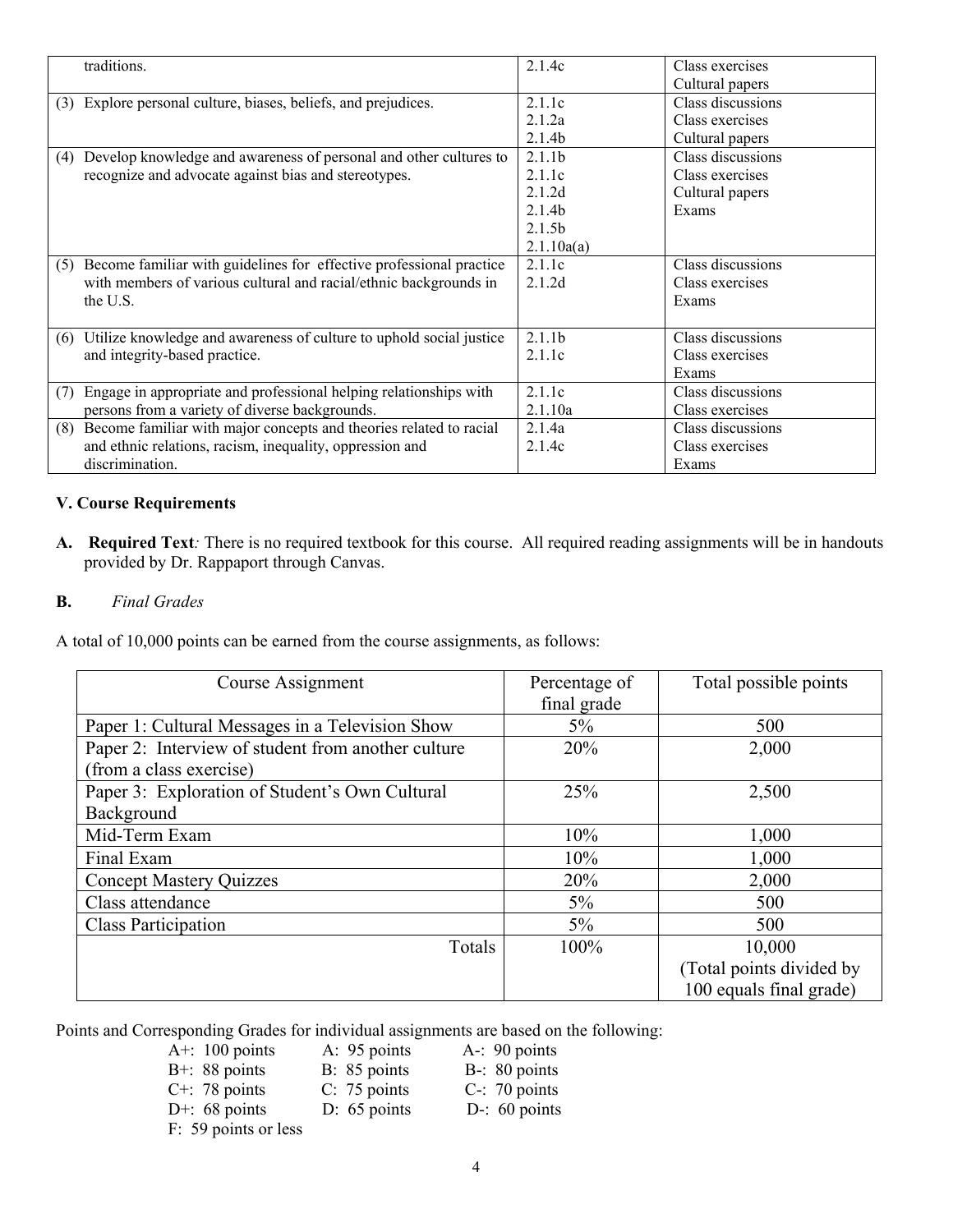|     | traditions.                                                             | 2.1.4c             | Class exercises   |
|-----|-------------------------------------------------------------------------|--------------------|-------------------|
|     |                                                                         |                    |                   |
|     |                                                                         |                    | Cultural papers   |
| (3) | Explore personal culture, biases, beliefs, and prejudices.              | 2.1.1c             | Class discussions |
|     |                                                                         | 2.1.2a             | Class exercises   |
|     |                                                                         | 2.1.4 <sub>b</sub> | Cultural papers   |
| (4) | Develop knowledge and awareness of personal and other cultures to       | 2.1.1 <sub>b</sub> | Class discussions |
|     | recognize and advocate against bias and stereotypes.                    | 2.1.1c             | Class exercises   |
|     |                                                                         | 2.1.2d             | Cultural papers   |
|     |                                                                         | 2.1.4 <sub>b</sub> | Exams             |
|     |                                                                         | 2.1.5 <sub>b</sub> |                   |
|     |                                                                         | 2.1.10a(a)         |                   |
|     | (5) Become familiar with guidelines for effective professional practice | 2.1.1c             | Class discussions |
|     | with members of various cultural and racial/ethnic backgrounds in       | 2.1.2d             | Class exercises   |
|     | the U.S.                                                                |                    | Exams             |
|     |                                                                         |                    |                   |
| (6) | Utilize knowledge and awareness of culture to uphold social justice     | 2.1.1 <sub>b</sub> | Class discussions |
|     | and integrity-based practice.                                           | 2.1.1c             | Class exercises   |
|     |                                                                         |                    | Exams             |
| (7) | Engage in appropriate and professional helping relationships with       | 2.1.1c             | Class discussions |
|     | persons from a variety of diverse backgrounds.                          | 2.1.10a            | Class exercises   |
|     | (8) Become familiar with major concepts and theories related to racial  | 2.1.4a             | Class discussions |
|     | and ethnic relations, racism, inequality, oppression and                | 2.1.4c             | Class exercises   |
|     | discrimination.                                                         |                    | Exams             |

### **V. Course Requirements**

**A. Required Text***:* There is no required textbook for this course. All required reading assignments will be in handouts provided by Dr. Rappaport through Canvas.

### **B.** *Final Grades*

A total of 10,000 points can be earned from the course assignments, as follows:

| Course Assignment                                  | Percentage of<br>final grade | Total possible points    |
|----------------------------------------------------|------------------------------|--------------------------|
| Paper 1: Cultural Messages in a Television Show    | $5\%$                        | 500                      |
| Paper 2: Interview of student from another culture | 20%                          | 2,000                    |
| (from a class exercise)                            |                              |                          |
| Paper 3: Exploration of Student's Own Cultural     | 25%                          | 2,500                    |
| Background                                         |                              |                          |
| Mid-Term Exam                                      | 10%                          | 1,000                    |
| Final Exam                                         | 10%                          | 1,000                    |
| <b>Concept Mastery Quizzes</b>                     | 20%                          | 2,000                    |
| Class attendance                                   | $5\%$                        | 500                      |
| <b>Class Participation</b>                         | $5\%$                        | 500                      |
| Totals                                             | 100%                         | 10,000                   |
|                                                    |                              | (Total points divided by |
|                                                    |                              | 100 equals final grade)  |

Points and Corresponding Grades for individual assignments are based on the following:

| A+: $100$ points     | A: 95 points   | $A - 90$ points  |
|----------------------|----------------|------------------|
| $B+$ : 88 points     | B: 85 points   | B-: 80 points    |
| $C^{+}$ : 78 points  | $C: 75$ points | $C-$ : 70 points |
| D+: $68$ points      | $D: 65$ points | D-: $60$ points  |
| F: 59 points or less |                |                  |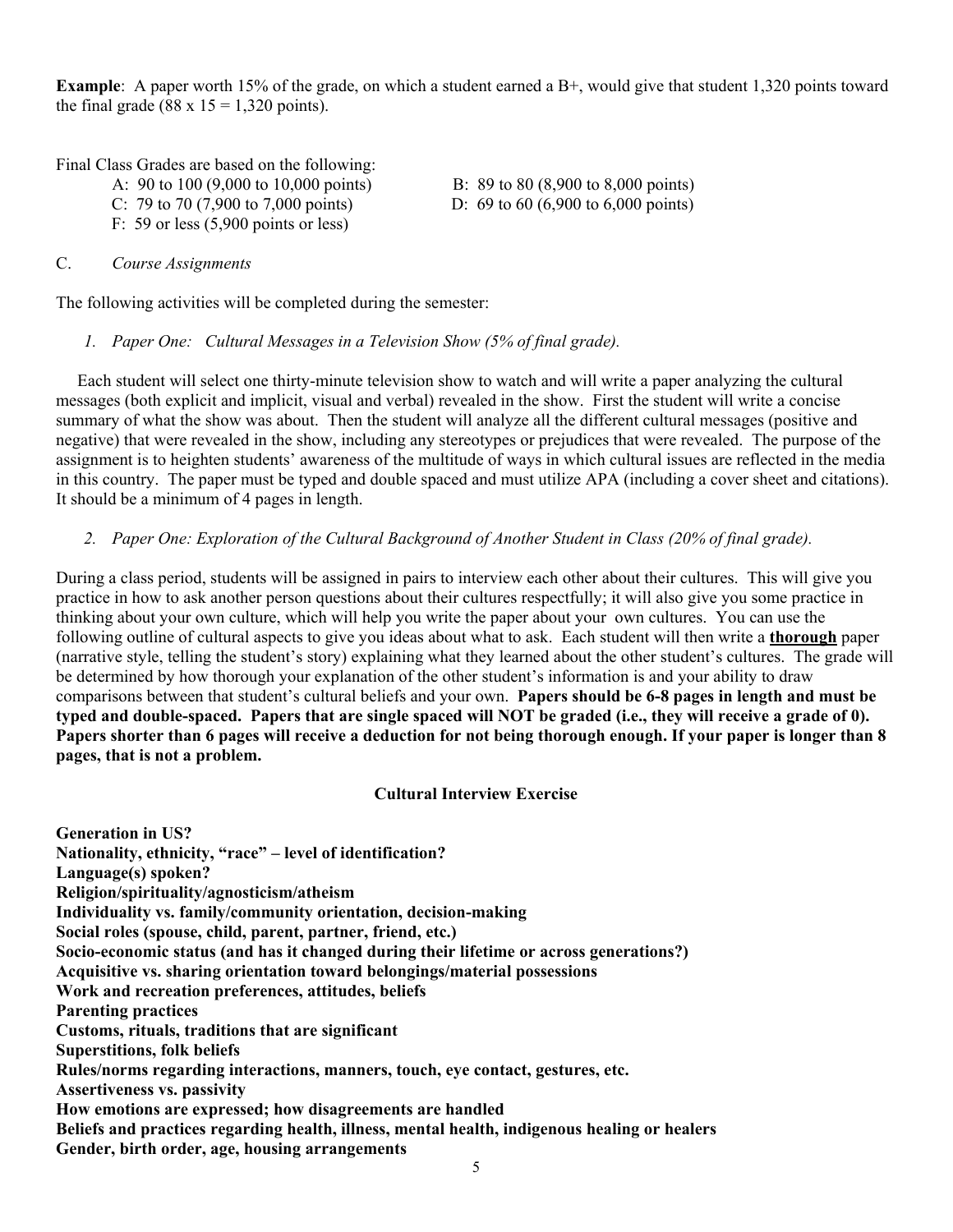**Example**: A paper worth 15% of the grade, on which a student earned a B+, would give that student 1,320 points toward the final grade (88 x  $15 = 1,320$  points).

Final Class Grades are based on the following:

- A: 90 to 100 (9,000 to 10,000 points) B: 89 to 80 (8,900 to 8,000 points) C: 79 to 70 (7,900 to 7,000 points) D: 69 to 60 (6,900 to 6,000 points)
- F: 59 or less (5,900 points or less)

### C. *Course Assignments*

The following activities will be completed during the semester:

*1. Paper One: Cultural Messages in a Television Show (5% of final grade).*

 Each student will select one thirty-minute television show to watch and will write a paper analyzing the cultural messages (both explicit and implicit, visual and verbal) revealed in the show. First the student will write a concise summary of what the show was about. Then the student will analyze all the different cultural messages (positive and negative) that were revealed in the show, including any stereotypes or prejudices that were revealed. The purpose of the assignment is to heighten students' awareness of the multitude of ways in which cultural issues are reflected in the media in this country. The paper must be typed and double spaced and must utilize APA (including a cover sheet and citations). It should be a minimum of 4 pages in length.

### *2. Paper One: Exploration of the Cultural Background of Another Student in Class (20% of final grade).*

During a class period, students will be assigned in pairs to interview each other about their cultures. This will give you practice in how to ask another person questions about their cultures respectfully; it will also give you some practice in thinking about your own culture, which will help you write the paper about your own cultures. You can use the following outline of cultural aspects to give you ideas about what to ask. Each student will then write a **thorough** paper (narrative style, telling the student's story) explaining what they learned about the other student's cultures. The grade will be determined by how thorough your explanation of the other student's information is and your ability to draw comparisons between that student's cultural beliefs and your own. **Papers should be 6-8 pages in length and must be typed and double-spaced. Papers that are single spaced will NOT be graded (i.e., they will receive a grade of 0). Papers shorter than 6 pages will receive a deduction for not being thorough enough. If your paper is longer than 8 pages, that is not a problem.**

### **Cultural Interview Exercise**

**Generation in US? Nationality, ethnicity, "race" – level of identification? Language(s) spoken? Religion/spirituality/agnosticism/atheism Individuality vs. family/community orientation, decision-making Social roles (spouse, child, parent, partner, friend, etc.) Socio-economic status (and has it changed during their lifetime or across generations?) Acquisitive vs. sharing orientation toward belongings/material possessions Work and recreation preferences, attitudes, beliefs Parenting practices Customs, rituals, traditions that are significant Superstitions, folk beliefs Rules/norms regarding interactions, manners, touch, eye contact, gestures, etc. Assertiveness vs. passivity How emotions are expressed; how disagreements are handled Beliefs and practices regarding health, illness, mental health, indigenous healing or healers Gender, birth order, age, housing arrangements**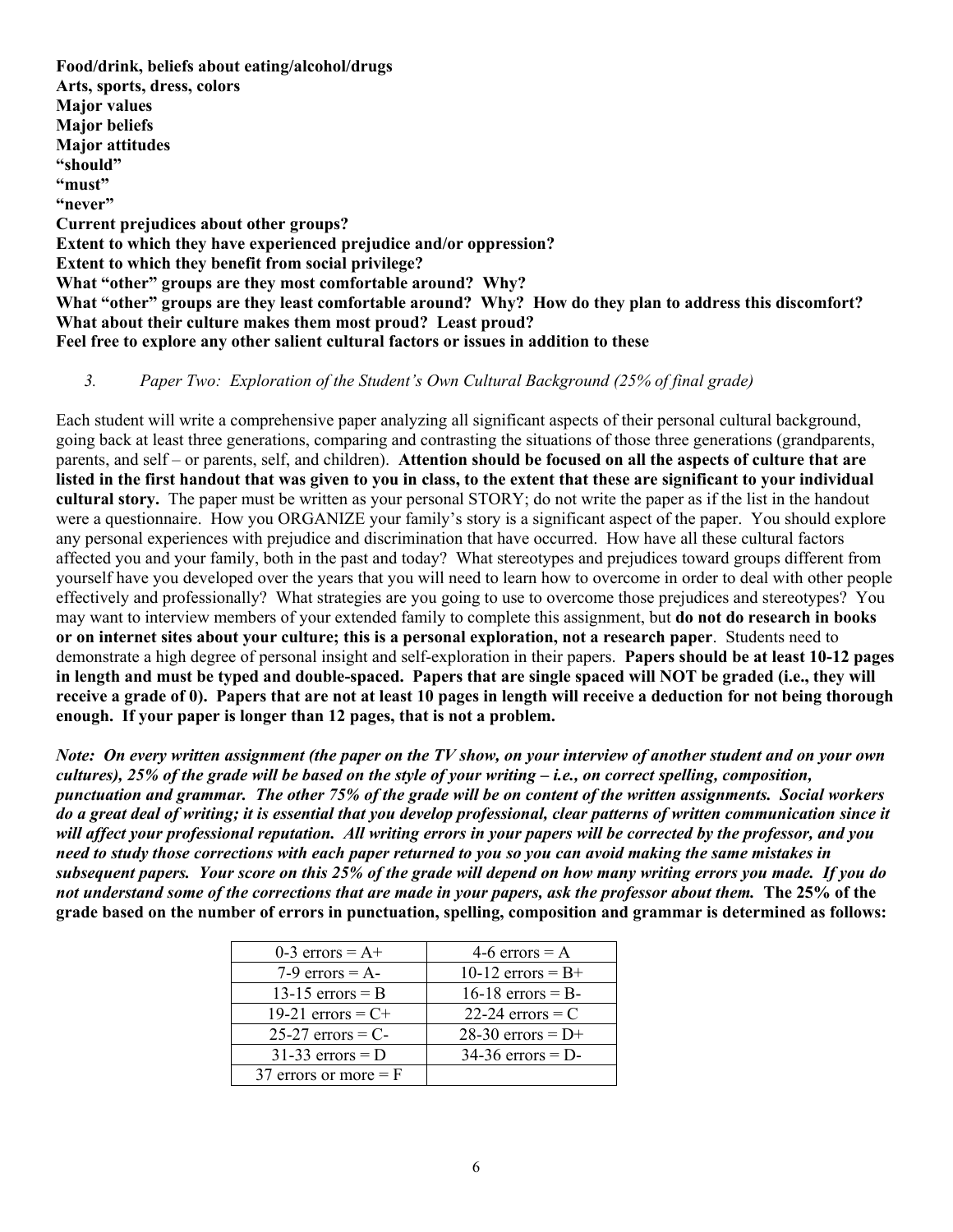**Food/drink, beliefs about eating/alcohol/drugs Arts, sports, dress, colors Major values Major beliefs Major attitudes "should" "must" "never" Current prejudices about other groups? Extent to which they have experienced prejudice and/or oppression? Extent to which they benefit from social privilege? What "other" groups are they most comfortable around? Why? What "other" groups are they least comfortable around? Why? How do they plan to address this discomfort? What about their culture makes them most proud? Least proud? Feel free to explore any other salient cultural factors or issues in addition to these**

### *3. Paper Two: Exploration of the Student's Own Cultural Background (25% of final grade)*

Each student will write a comprehensive paper analyzing all significant aspects of their personal cultural background, going back at least three generations, comparing and contrasting the situations of those three generations (grandparents, parents, and self – or parents, self, and children). **Attention should be focused on all the aspects of culture that are listed in the first handout that was given to you in class, to the extent that these are significant to your individual cultural story.** The paper must be written as your personal STORY; do not write the paper as if the list in the handout were a questionnaire. How you ORGANIZE your family's story is a significant aspect of the paper. You should explore any personal experiences with prejudice and discrimination that have occurred. How have all these cultural factors affected you and your family, both in the past and today? What stereotypes and prejudices toward groups different from yourself have you developed over the years that you will need to learn how to overcome in order to deal with other people effectively and professionally? What strategies are you going to use to overcome those prejudices and stereotypes? You may want to interview members of your extended family to complete this assignment, but **do not do research in books or on internet sites about your culture; this is a personal exploration, not a research paper**. Students need to demonstrate a high degree of personal insight and self-exploration in their papers. **Papers should be at least 10-12 pages in length and must be typed and double-spaced. Papers that are single spaced will NOT be graded (i.e., they will receive a grade of 0). Papers that are not at least 10 pages in length will receive a deduction for not being thorough enough. If your paper is longer than 12 pages, that is not a problem.**

*Note: On every written assignment (the paper on the TV show, on your interview of another student and on your own cultures), 25% of the grade will be based on the style of your writing – i.e., on correct spelling, composition, punctuation and grammar. The other 75% of the grade will be on content of the written assignments. Social workers do a great deal of writing; it is essential that you develop professional, clear patterns of written communication since it will affect your professional reputation. All writing errors in your papers will be corrected by the professor, and you need to study those corrections with each paper returned to you so you can avoid making the same mistakes in subsequent papers. Your score on this 25% of the grade will depend on how many writing errors you made. If you do not understand some of the corrections that are made in your papers, ask the professor about them.* **The 25% of the grade based on the number of errors in punctuation, spelling, composition and grammar is determined as follows:**

| 0-3 errors = $A+$       | 4-6 errors = $A$    |
|-------------------------|---------------------|
| 7-9 errors = $A$ -      | 10-12 errors = $B+$ |
| 13-15 errors $=$ B      | $16-18$ errors = B- |
| 19-21 errors = $C+$     | 22-24 errors $=$ C  |
| $25-27$ errors = C-     | 28-30 errors = $D+$ |
| $31-33$ errors = D      | $34-36$ errors = D- |
| 37 errors or more $=$ F |                     |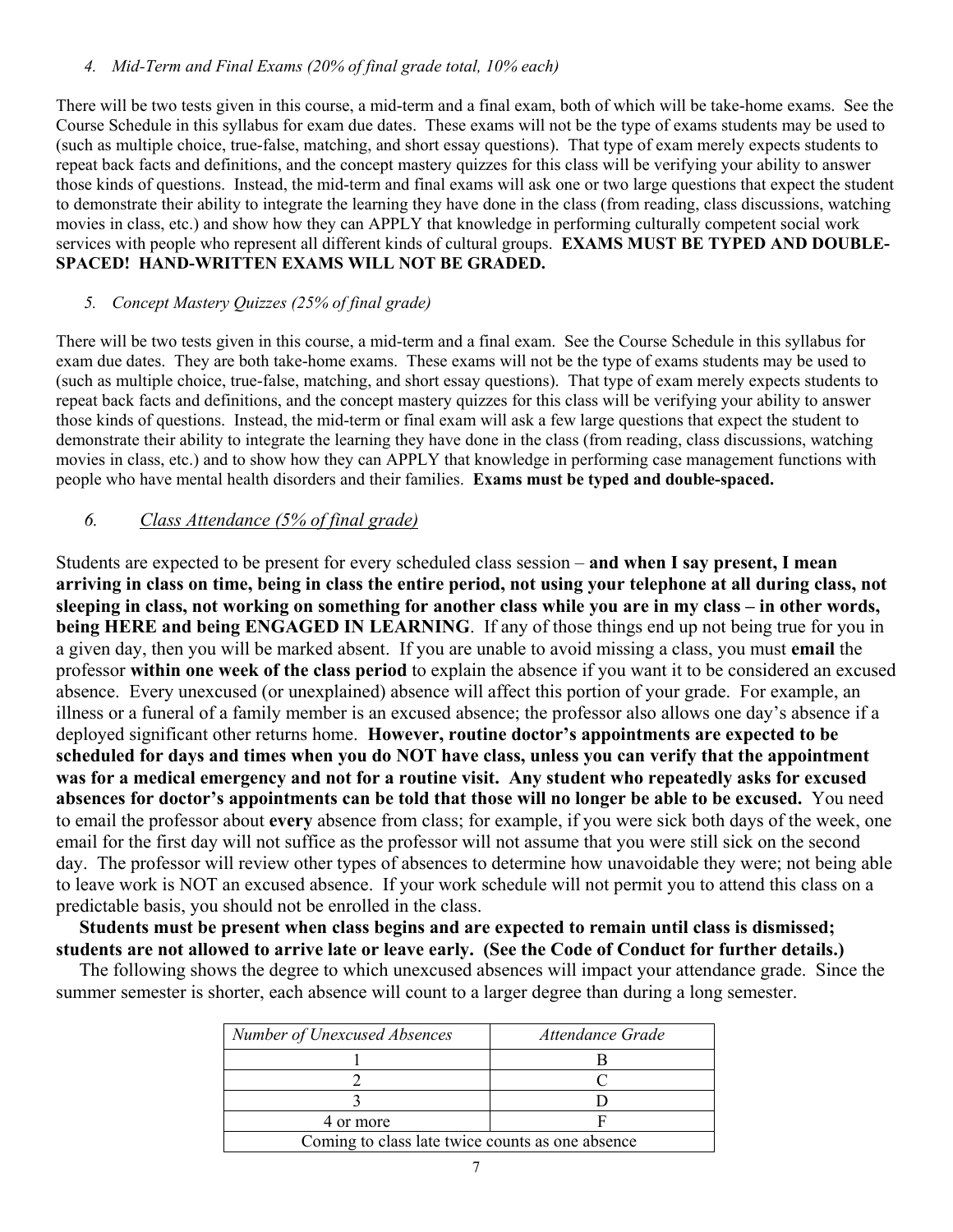### *4. Mid-Term and Final Exams (20% of final grade total, 10% each)*

There will be two tests given in this course, a mid-term and a final exam, both of which will be take-home exams. See the Course Schedule in this syllabus for exam due dates. These exams will not be the type of exams students may be used to (such as multiple choice, true-false, matching, and short essay questions). That type of exam merely expects students to repeat back facts and definitions, and the concept mastery quizzes for this class will be verifying your ability to answer those kinds of questions. Instead, the mid-term and final exams will ask one or two large questions that expect the student to demonstrate their ability to integrate the learning they have done in the class (from reading, class discussions, watching movies in class, etc.) and show how they can APPLY that knowledge in performing culturally competent social work services with people who represent all different kinds of cultural groups. **EXAMS MUST BE TYPED AND DOUBLE-SPACED! HAND-WRITTEN EXAMS WILL NOT BE GRADED.**

### *5. Concept Mastery Quizzes (25% of final grade)*

There will be two tests given in this course, a mid-term and a final exam. See the Course Schedule in this syllabus for exam due dates. They are both take-home exams. These exams will not be the type of exams students may be used to (such as multiple choice, true-false, matching, and short essay questions). That type of exam merely expects students to repeat back facts and definitions, and the concept mastery quizzes for this class will be verifying your ability to answer those kinds of questions. Instead, the mid-term or final exam will ask a few large questions that expect the student to demonstrate their ability to integrate the learning they have done in the class (from reading, class discussions, watching movies in class, etc.) and to show how they can APPLY that knowledge in performing case management functions with people who have mental health disorders and their families. **Exams must be typed and double-spaced.**

### *6. Class Attendance (5% of final grade)*

Students are expected to be present for every scheduled class session – **and when I say present, I mean arriving in class on time, being in class the entire period, not using your telephone at all during class, not sleeping in class, not working on something for another class while you are in my class – in other words, being HERE and being ENGAGED IN LEARNING**. If any of those things end up not being true for you in a given day, then you will be marked absent. If you are unable to avoid missing a class, you must **email** the professor **within one week of the class period** to explain the absence if you want it to be considered an excused absence. Every unexcused (or unexplained) absence will affect this portion of your grade. For example, an illness or a funeral of a family member is an excused absence; the professor also allows one day's absence if a deployed significant other returns home. **However, routine doctor's appointments are expected to be scheduled for days and times when you do NOT have class, unless you can verify that the appointment was for a medical emergency and not for a routine visit. Any student who repeatedly asks for excused absences for doctor's appointments can be told that those will no longer be able to be excused.** You need to email the professor about **every** absence from class; for example, if you were sick both days of the week, one email for the first day will not suffice as the professor will not assume that you were still sick on the second day. The professor will review other types of absences to determine how unavoidable they were; not being able to leave work is NOT an excused absence. If your work schedule will not permit you to attend this class on a predictable basis, you should not be enrolled in the class.

 **Students must be present when class begins and are expected to remain until class is dismissed; students are not allowed to arrive late or leave early. (See the Code of Conduct for further details.)** 

The following shows the degree to which unexcused absences will impact your attendance grade. Since the summer semester is shorter, each absence will count to a larger degree than during a long semester.

| Number of Unexcused Absences                     | Attendance Grade |  |
|--------------------------------------------------|------------------|--|
|                                                  |                  |  |
|                                                  |                  |  |
|                                                  |                  |  |
| 4 or more                                        |                  |  |
| Coming to class late twice counts as one absence |                  |  |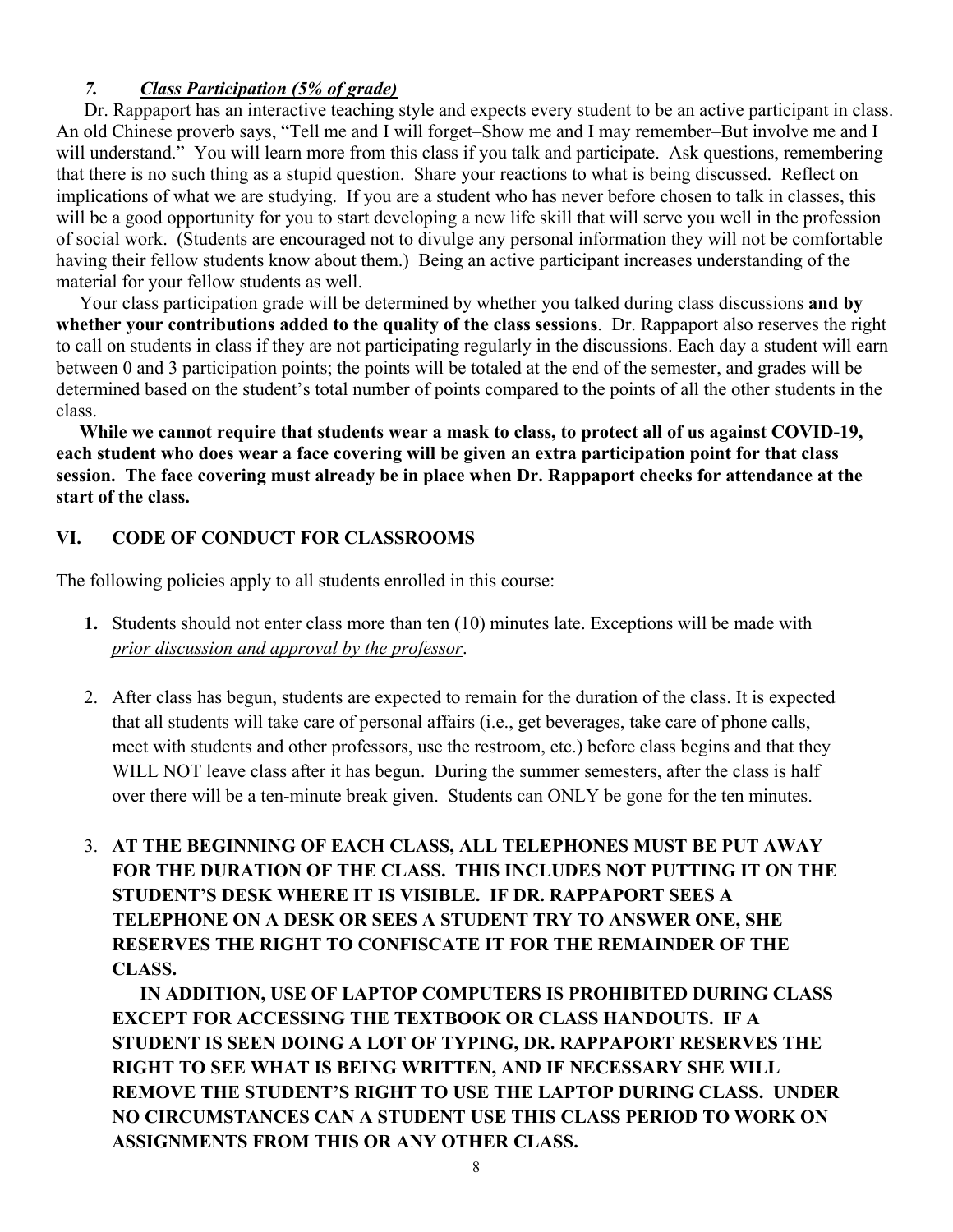# *7. Class Participation (5% of grade)*

Dr. Rappaport has an interactive teaching style and expects every student to be an active participant in class. An old Chinese proverb says, "Tell me and I will forget–Show me and I may remember–But involve me and I will understand." You will learn more from this class if you talk and participate. Ask questions, remembering that there is no such thing as a stupid question. Share your reactions to what is being discussed. Reflect on implications of what we are studying. If you are a student who has never before chosen to talk in classes, this will be a good opportunity for you to start developing a new life skill that will serve you well in the profession of social work. (Students are encouraged not to divulge any personal information they will not be comfortable having their fellow students know about them.) Being an active participant increases understanding of the material for your fellow students as well.

 Your class participation grade will be determined by whether you talked during class discussions **and by whether your contributions added to the quality of the class sessions**. Dr. Rappaport also reserves the right to call on students in class if they are not participating regularly in the discussions. Each day a student will earn between 0 and 3 participation points; the points will be totaled at the end of the semester, and grades will be determined based on the student's total number of points compared to the points of all the other students in the class.

 **While we cannot require that students wear a mask to class, to protect all of us against COVID-19, each student who does wear a face covering will be given an extra participation point for that class session. The face covering must already be in place when Dr. Rappaport checks for attendance at the start of the class.** 

# **VI. CODE OF CONDUCT FOR CLASSROOMS**

The following policies apply to all students enrolled in this course:

- **1.** Students should not enter class more than ten (10) minutes late. Exceptions will be made with *prior discussion and approval by the professor*.
- 2. After class has begun, students are expected to remain for the duration of the class. It is expected that all students will take care of personal affairs (i.e., get beverages, take care of phone calls, meet with students and other professors, use the restroom, etc.) before class begins and that they WILL NOT leave class after it has begun. During the summer semesters, after the class is half over there will be a ten-minute break given. Students can ONLY be gone for the ten minutes.
- 3. **AT THE BEGINNING OF EACH CLASS, ALL TELEPHONES MUST BE PUT AWAY FOR THE DURATION OF THE CLASS. THIS INCLUDES NOT PUTTING IT ON THE STUDENT'S DESK WHERE IT IS VISIBLE. IF DR. RAPPAPORT SEES A TELEPHONE ON A DESK OR SEES A STUDENT TRY TO ANSWER ONE, SHE RESERVES THE RIGHT TO CONFISCATE IT FOR THE REMAINDER OF THE CLASS.**

**IN ADDITION, USE OF LAPTOP COMPUTERS IS PROHIBITED DURING CLASS EXCEPT FOR ACCESSING THE TEXTBOOK OR CLASS HANDOUTS. IF A STUDENT IS SEEN DOING A LOT OF TYPING, DR. RAPPAPORT RESERVES THE RIGHT TO SEE WHAT IS BEING WRITTEN, AND IF NECESSARY SHE WILL REMOVE THE STUDENT'S RIGHT TO USE THE LAPTOP DURING CLASS. UNDER NO CIRCUMSTANCES CAN A STUDENT USE THIS CLASS PERIOD TO WORK ON ASSIGNMENTS FROM THIS OR ANY OTHER CLASS.**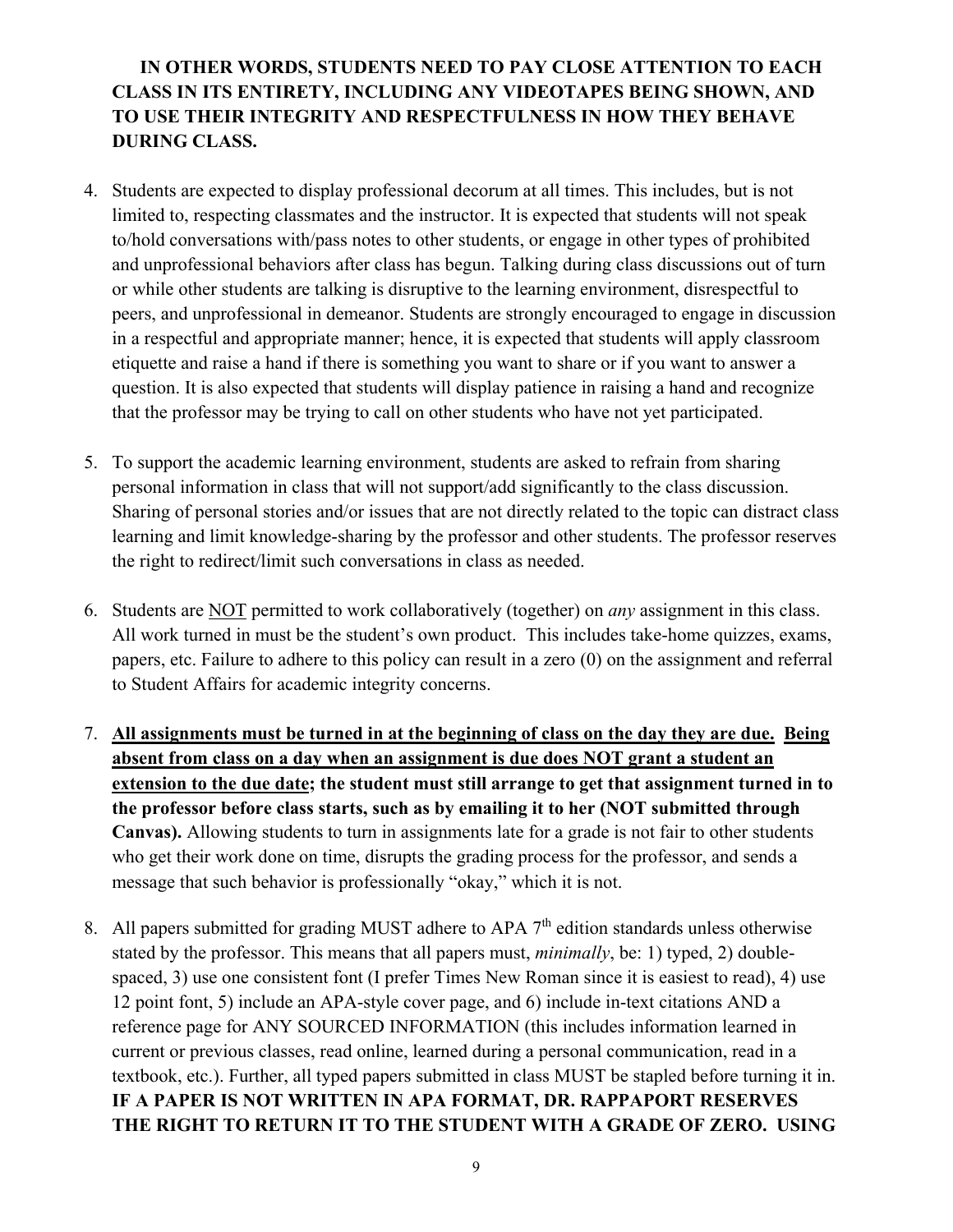# **IN OTHER WORDS, STUDENTS NEED TO PAY CLOSE ATTENTION TO EACH CLASS IN ITS ENTIRETY, INCLUDING ANY VIDEOTAPES BEING SHOWN, AND TO USE THEIR INTEGRITY AND RESPECTFULNESS IN HOW THEY BEHAVE DURING CLASS.**

- 4. Students are expected to display professional decorum at all times. This includes, but is not limited to, respecting classmates and the instructor. It is expected that students will not speak to/hold conversations with/pass notes to other students, or engage in other types of prohibited and unprofessional behaviors after class has begun. Talking during class discussions out of turn or while other students are talking is disruptive to the learning environment, disrespectful to peers, and unprofessional in demeanor. Students are strongly encouraged to engage in discussion in a respectful and appropriate manner; hence, it is expected that students will apply classroom etiquette and raise a hand if there is something you want to share or if you want to answer a question. It is also expected that students will display patience in raising a hand and recognize that the professor may be trying to call on other students who have not yet participated.
- 5. To support the academic learning environment, students are asked to refrain from sharing personal information in class that will not support/add significantly to the class discussion. Sharing of personal stories and/or issues that are not directly related to the topic can distract class learning and limit knowledge-sharing by the professor and other students. The professor reserves the right to redirect/limit such conversations in class as needed.
- 6. Students are NOT permitted to work collaboratively (together) on *any* assignment in this class. All work turned in must be the student's own product. This includes take-home quizzes, exams, papers, etc. Failure to adhere to this policy can result in a zero (0) on the assignment and referral to Student Affairs for academic integrity concerns.
- 7. **All assignments must be turned in at the beginning of class on the day they are due. Being absent from class on a day when an assignment is due does NOT grant a student an extension to the due date; the student must still arrange to get that assignment turned in to the professor before class starts, such as by emailing it to her (NOT submitted through Canvas).** Allowing students to turn in assignments late for a grade is not fair to other students who get their work done on time, disrupts the grading process for the professor, and sends a message that such behavior is professionally "okay," which it is not.
- 8. All papers submitted for grading MUST adhere to APA  $7<sup>th</sup>$  edition standards unless otherwise stated by the professor. This means that all papers must, *minimally*, be: 1) typed, 2) doublespaced, 3) use one consistent font (I prefer Times New Roman since it is easiest to read), 4) use 12 point font, 5) include an APA-style cover page, and 6) include in-text citations AND a reference page for ANY SOURCED INFORMATION (this includes information learned in current or previous classes, read online, learned during a personal communication, read in a textbook, etc.). Further, all typed papers submitted in class MUST be stapled before turning it in. **IF A PAPER IS NOT WRITTEN IN APA FORMAT, DR. RAPPAPORT RESERVES THE RIGHT TO RETURN IT TO THE STUDENT WITH A GRADE OF ZERO. USING**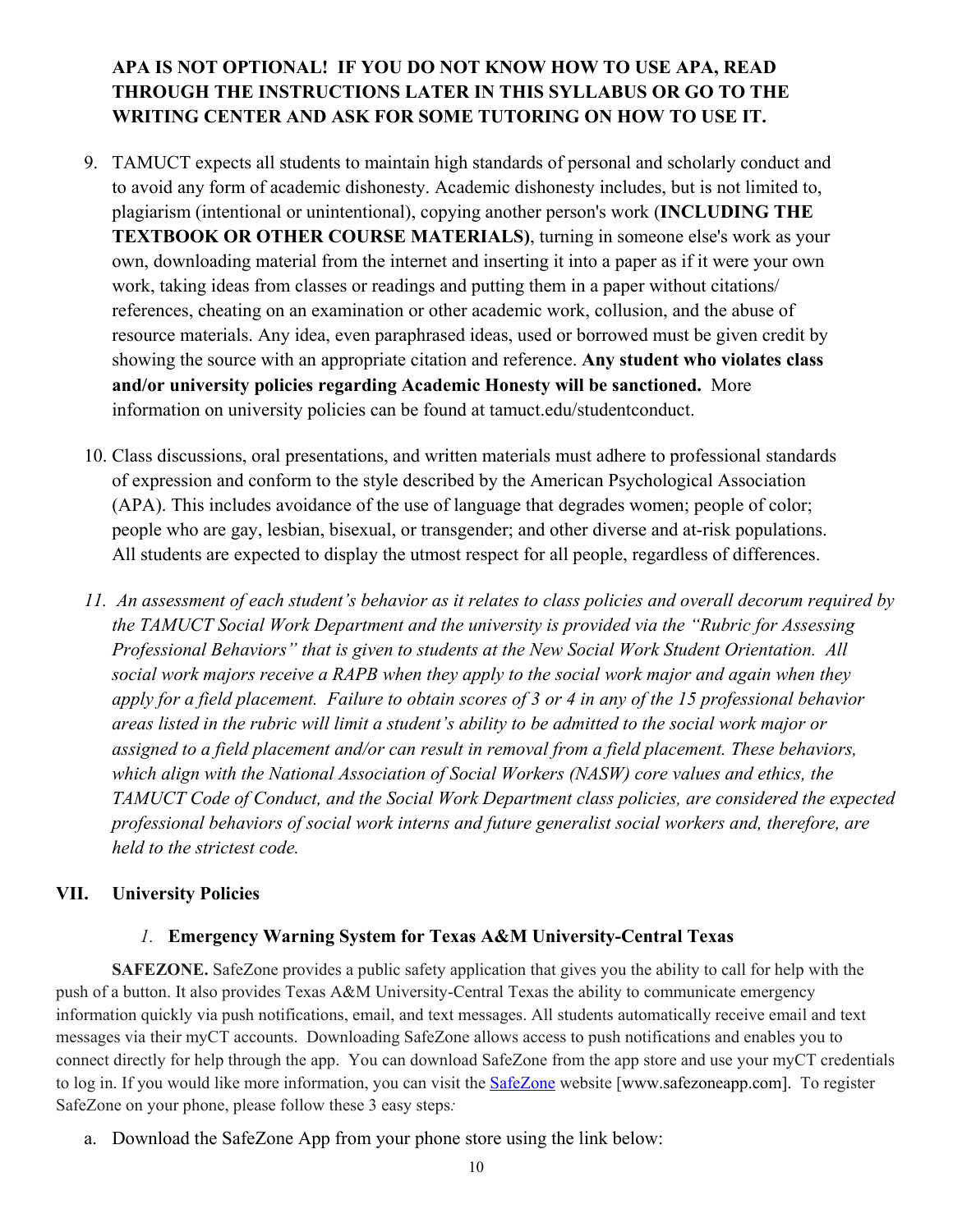# **APA IS NOT OPTIONAL! IF YOU DO NOT KNOW HOW TO USE APA, READ THROUGH THE INSTRUCTIONS LATER IN THIS SYLLABUS OR GO TO THE WRITING CENTER AND ASK FOR SOME TUTORING ON HOW TO USE IT.**

- 9. TAMUCT expects all students to maintain high standards of personal and scholarly conduct and to avoid any form of academic dishonesty. Academic dishonesty includes, but is not limited to, plagiarism (intentional or unintentional), copying another person's work (**INCLUDING THE TEXTBOOK OR OTHER COURSE MATERIALS)**, turning in someone else's work as your own, downloading material from the internet and inserting it into a paper as if it were your own work, taking ideas from classes or readings and putting them in a paper without citations/ references, cheating on an examination or other academic work, collusion, and the abuse of resource materials. Any idea, even paraphrased ideas, used or borrowed must be given credit by showing the source with an appropriate citation and reference. **Any student who violates class and/or university policies regarding Academic Honesty will be sanctioned.** More information on university policies can be found at tamuct.edu/studentconduct.
- 10. Class discussions, oral presentations, and written materials must adhere to professional standards of expression and conform to the style described by the American Psychological Association (APA). This includes avoidance of the use of language that degrades women; people of color; people who are gay, lesbian, bisexual, or transgender; and other diverse and at-risk populations. All students are expected to display the utmost respect for all people, regardless of differences.
- *11. An assessment of each student's behavior as it relates to class policies and overall decorum required by the TAMUCT Social Work Department and the university is provided via the "Rubric for Assessing Professional Behaviors" that is given to students at the New Social Work Student Orientation. All social work majors receive a RAPB when they apply to the social work major and again when they apply for a field placement. Failure to obtain scores of 3 or 4 in any of the 15 professional behavior areas listed in the rubric will limit a student's ability to be admitted to the social work major or assigned to a field placement and/or can result in removal from a field placement. These behaviors, which align with the National Association of Social Workers (NASW) core values and ethics, the TAMUCT Code of Conduct, and the Social Work Department class policies, are considered the expected professional behaviors of social work interns and future generalist social workers and, therefore, are held to the strictest code.*

# **VII. University Policies**

# *1.* **Emergency Warning System for Texas A&M University-Central Texas**

**SAFEZONE.** SafeZone provides a public safety application that gives you the ability to call for help with the push of a button. It also provides Texas A&M University-Central Texas the ability to communicate emergency information quickly via push notifications, email, and text messages. All students automatically receive email and text messages via their myCT accounts. Downloading SafeZone allows access to push notifications and enables you to connect directly for help through the app. You can download SafeZone from the app store and use your myCT credentials to log in. If you would like more information, you can visit the **[SafeZone](http://www.safezoneapp.com/)** website [www.safezoneapp.com]. To register SafeZone on your phone, please follow these 3 easy steps*:*

a. Download the SafeZone App from your phone store using the link below: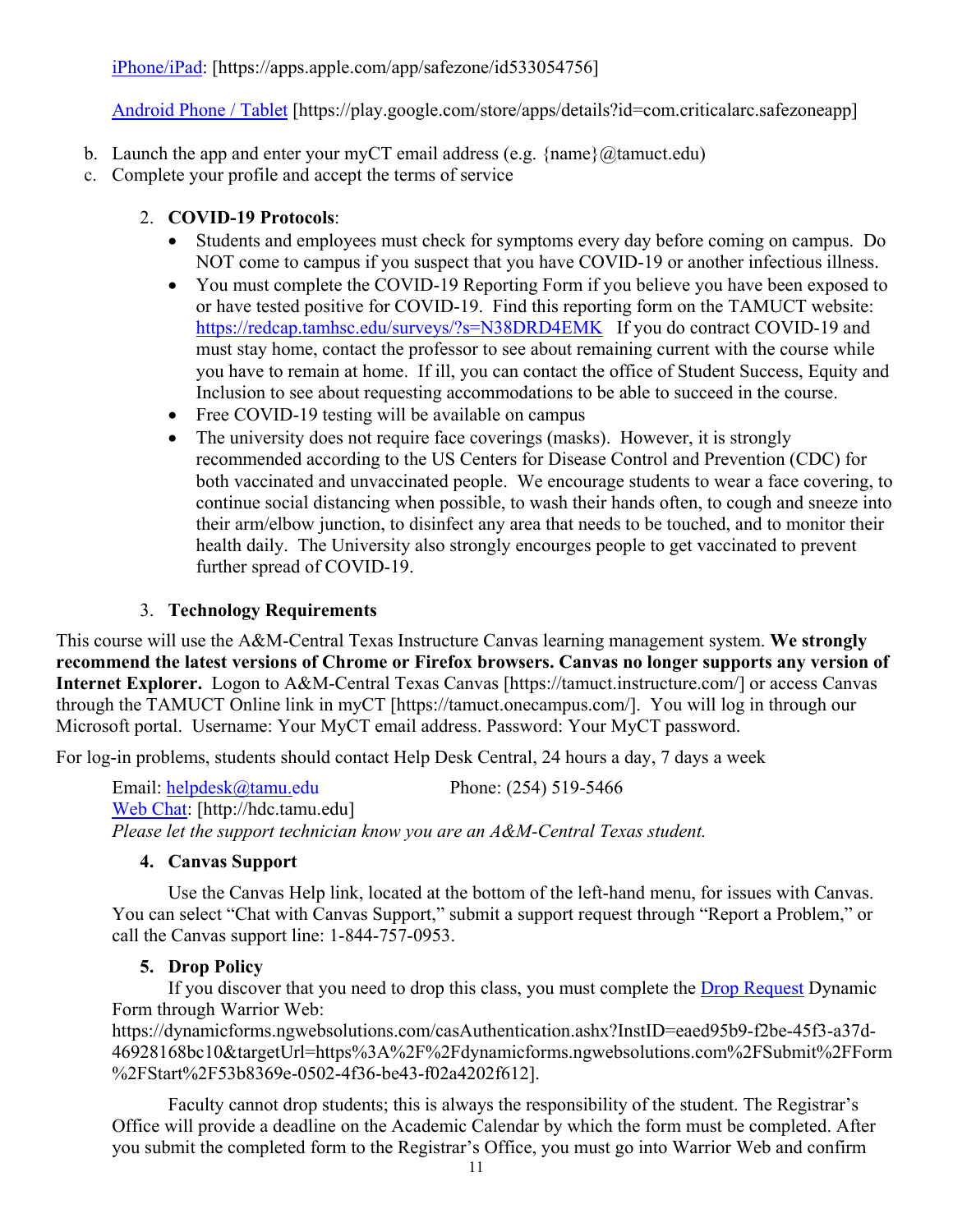[iPhone/iPad:](https://apps.apple.com/app/safezone/id533054756) [https://apps.apple.com/app/safezone/id533054756]

[Android Phone / Tablet](https://play.google.com/store/apps/details?id=com.criticalarc.safezoneapp) [https://play.google.com/store/apps/details?id=com.criticalarc.safezoneapp]

- b. Launch the app and enter your myCT email address (e.g.  $\{name\}$ ) ( $@$ tamuct.edu)
- c. Complete your profile and accept the terms of service

# 2. **COVID-19 Protocols**:

- Students and employees must check for symptoms every day before coming on campus. Do NOT come to campus if you suspect that you have COVID-19 or another infectious illness.
- You must complete the COVID-19 Reporting Form if you believe you have been exposed to or have tested positive for COVID-19. Find this reporting form on the TAMUCT website: <https://redcap.tamhsc.edu/surveys/?s=N38DRD4EMK>If you do contract COVID-19 and must stay home, contact the professor to see about remaining current with the course while you have to remain at home. If ill, you can contact the office of Student Success, Equity and Inclusion to see about requesting accommodations to be able to succeed in the course.
- Free COVID-19 testing will be available on campus
- The university does not require face coverings (masks). However, it is strongly recommended according to the US Centers for Disease Control and Prevention (CDC) for both vaccinated and unvaccinated people. We encourage students to wear a face covering, to continue social distancing when possible, to wash their hands often, to cough and sneeze into their arm/elbow junction, to disinfect any area that needs to be touched, and to monitor their health daily. The University also strongly encourges people to get vaccinated to prevent further spread of COVID-19.

# 3. **Technology Requirements**

This course will use the A&M-Central Texas Instructure Canvas learning management system. **We strongly recommend the latest versions of Chrome or Firefox browsers. Canvas no longer supports any version of Internet Explorer.** Logon to A&M-Central Texas Canvas [https://tamuct.instructure.com/] or access Canvas through the TAMUCT Online link in myCT [https://tamuct.onecampus.com/]. You will log in through our Microsoft portal. Username: Your MyCT email address. Password: Your MyCT password.

For log-in problems, students should contact Help Desk Central, 24 hours a day, 7 days a week

Email: [helpdesk@tamu.edu](mailto:helpdesk@tamu.edu) Phone: (254) 519-5466 [Web Chat:](http://hdc.tamu.edu/) [http://hdc.tamu.edu] *Please let the support technician know you are an A&M-Central Texas student.*

# **4. Canvas Support**

Use the Canvas Help link, located at the bottom of the left-hand menu, for issues with Canvas. You can select "Chat with Canvas Support," submit a support request through "Report a Problem," or call the Canvas support line: 1-844-757-0953.

# **5. Drop Policy**

If you discover that you need to drop this class, you must complete the **Drop Request Dynamic** Form through Warrior Web:

https://dynamicforms.ngwebsolutions.com/casAuthentication.ashx?InstID=eaed95b9-f2be-45f3-a37d-46928168bc10&targetUrl=https%3A%2F%2Fdynamicforms.ngwebsolutions.com%2FSubmit%2FForm %2FStart%2F53b8369e-0502-4f36-be43-f02a4202f612].

Faculty cannot drop students; this is always the responsibility of the student. The Registrar's Office will provide a deadline on the Academic Calendar by which the form must be completed. After you submit the completed form to the Registrar's Office, you must go into Warrior Web and confirm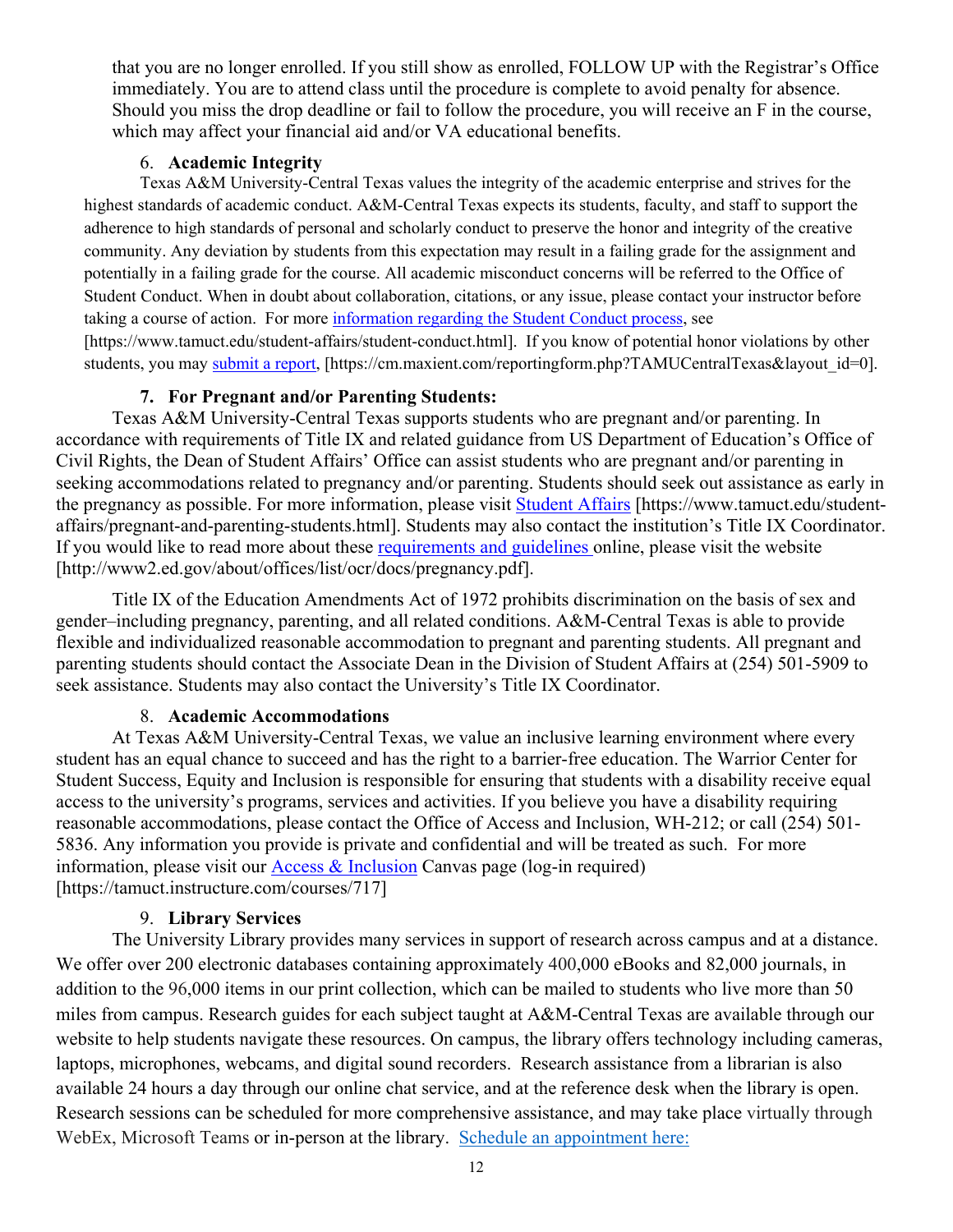that you are no longer enrolled. If you still show as enrolled, FOLLOW UP with the Registrar's Office immediately. You are to attend class until the procedure is complete to avoid penalty for absence. Should you miss the drop deadline or fail to follow the procedure, you will receive an F in the course, which may affect your financial aid and/or VA educational benefits.

### 6. **Academic Integrity**

Texas A&M University-Central Texas values the integrity of the academic enterprise and strives for the highest standards of academic conduct. A&M-Central Texas expects its students, faculty, and staff to support the adherence to high standards of personal and scholarly conduct to preserve the honor and integrity of the creative community. Any deviation by students from this expectation may result in a failing grade for the assignment and potentially in a failing grade for the course. All academic misconduct concerns will be referred to the Office of Student Conduct. When in doubt about collaboration, citations, or any issue, please contact your instructor before taking a course of action. For more [information](https://nam04.safelinks.protection.outlook.com/?url=https%3A%2F%2Fwww.tamuct.edu%2Fstudent-affairs%2Fstudent-conduct.html&data=04%7C01%7Clisa.bunkowski%40tamuct.edu%7Ccfb6e486f24745f53e1a08d910055cb2%7C9eed4e3000f744849ff193ad8005acec%7C0%7C0%7C637558437485252160%7CUnknown%7CTWFpbGZsb3d8eyJWIjoiMC4wLjAwMDAiLCJQIjoiV2luMzIiLCJBTiI6Ik1haWwiLCJXVCI6Mn0%3D%7C1000&sdata=yjftDEVHvLX%2FhM%2FcFU0B99krV1RgEWR%2BJ%2BhvtoR6TYk%3D&reserved=0) regarding the Student Conduct process, see [https://www.tamuct.edu/student-affairs/student-conduct.html]. If you know of potential honor violations by other students, you may [submit](https://nam04.safelinks.protection.outlook.com/?url=https%3A%2F%2Fcm.maxient.com%2Freportingform.php%3FTAMUCentralTexas%26layout_id%3D0&data=04%7C01%7Clisa.bunkowski%40tamuct.edu%7Ccfb6e486f24745f53e1a08d910055cb2%7C9eed4e3000f744849ff193ad8005acec%7C0%7C0%7C637558437485262157%7CUnknown%7CTWFpbGZsb3d8eyJWIjoiMC4wLjAwMDAiLCJQIjoiV2luMzIiLCJBTiI6Ik1haWwiLCJXVCI6Mn0%3D%7C1000&sdata=CXGkOa6uPDPX1IMZ87z3aZDq2n91xfHKu4MMS43Ejjk%3D&reserved=0) a report, [https://cm.maxient.com/reportingform.php?TAMUCentralTexas&layout\_id=0].

### **7. For Pregnant and/or Parenting Students:**

Texas A&M University-Central Texas supports students who are pregnant and/or parenting. In accordance with requirements of Title IX and related guidance from US Department of Education's Office of Civil Rights, the Dean of Student Affairs' Office can assist students who are pregnant and/or parenting in seeking accommodations related to pregnancy and/or parenting. Students should seek out assistance as early in the pregnancy as possible. For more information, please visit [Student Affairs](https://www.tamuct.edu/student-affairs/pregnant-and-parenting-students.html) [https://www.tamuct.edu/studentaffairs/pregnant-and-parenting-students.html]. Students may also contact the institution's Title IX Coordinator. If you would like to read more about these [requirements and guidelines](http://www2.ed.gov/about/offices/list/ocr/docs/pregnancy.pdf) online, please visit the website [http://www2.ed.gov/about/offices/list/ocr/docs/pregnancy.pdf].

Title IX of the Education Amendments Act of 1972 prohibits discrimination on the basis of sex and gender–including pregnancy, parenting, and all related conditions. A&M-Central Texas is able to provide flexible and individualized reasonable accommodation to pregnant and parenting students. All pregnant and parenting students should contact the Associate Dean in the Division of Student Affairs at (254) 501-5909 to seek assistance. Students may also contact the University's Title IX Coordinator.

### 8. **Academic Accommodations**

At Texas A&M University-Central Texas, we value an inclusive learning environment where every student has an equal chance to succeed and has the right to a barrier-free education. The Warrior Center for Student Success, Equity and Inclusion is responsible for ensuring that students with a disability receive equal access to the university's programs, services and activities. If you believe you have a disability requiring reasonable accommodations, please contact the Office of Access and Inclusion, WH-212; or call (254) 501- 5836. Any information you provide is private and confidential and will be treated as such. For more information, please visit our [Access & Inclusion](https://tamuct.instructure.com/courses/717) Canvas page (log-in required) [https://tamuct.instructure.com/courses/717]

### 9. **Library Services**

The University Library provides many services in support of research across campus and at a distance. We offer over 200 electronic databases containing approximately 400,000 eBooks and 82,000 journals, in addition to the 96,000 items in our print collection, which can be mailed to students who live more than 50 miles from campus. Research guides for each subject taught at A&M-Central Texas are available through our website to help students navigate these resources. On campus, the library offers technology including cameras, laptops, microphones, webcams, and digital sound recorders. Research assistance from a librarian is also available 24 hours a day through our online chat service, and at the reference desk when the library is open. Research sessions can be scheduled for more comprehensive assistance, and may take place virtually through WebEx, Microsoft Teams or in-person at the library. Schedule an [appointment](https://nam04.safelinks.protection.outlook.com/?url=https%3A%2F%2Ftamuct.libcal.com%2Fappointments%2F%3Fg%3D6956&data=04%7C01%7Clisa.bunkowski%40tamuct.edu%7Cde2c07d9f5804f09518008d9ab7ba6ff%7C9eed4e3000f744849ff193ad8005acec%7C0%7C0%7C637729369835011558%7CUnknown%7CTWFpbGZsb3d8eyJWIjoiMC4wLjAwMDAiLCJQIjoiV2luMzIiLCJBTiI6Ik1haWwiLCJXVCI6Mn0%3D%7C3000&sdata=KhtjgRSAw9aq%2FoBsB6wyu8b7PSuGN5EGPypzr3Ty2No%3D&reserved=0) here: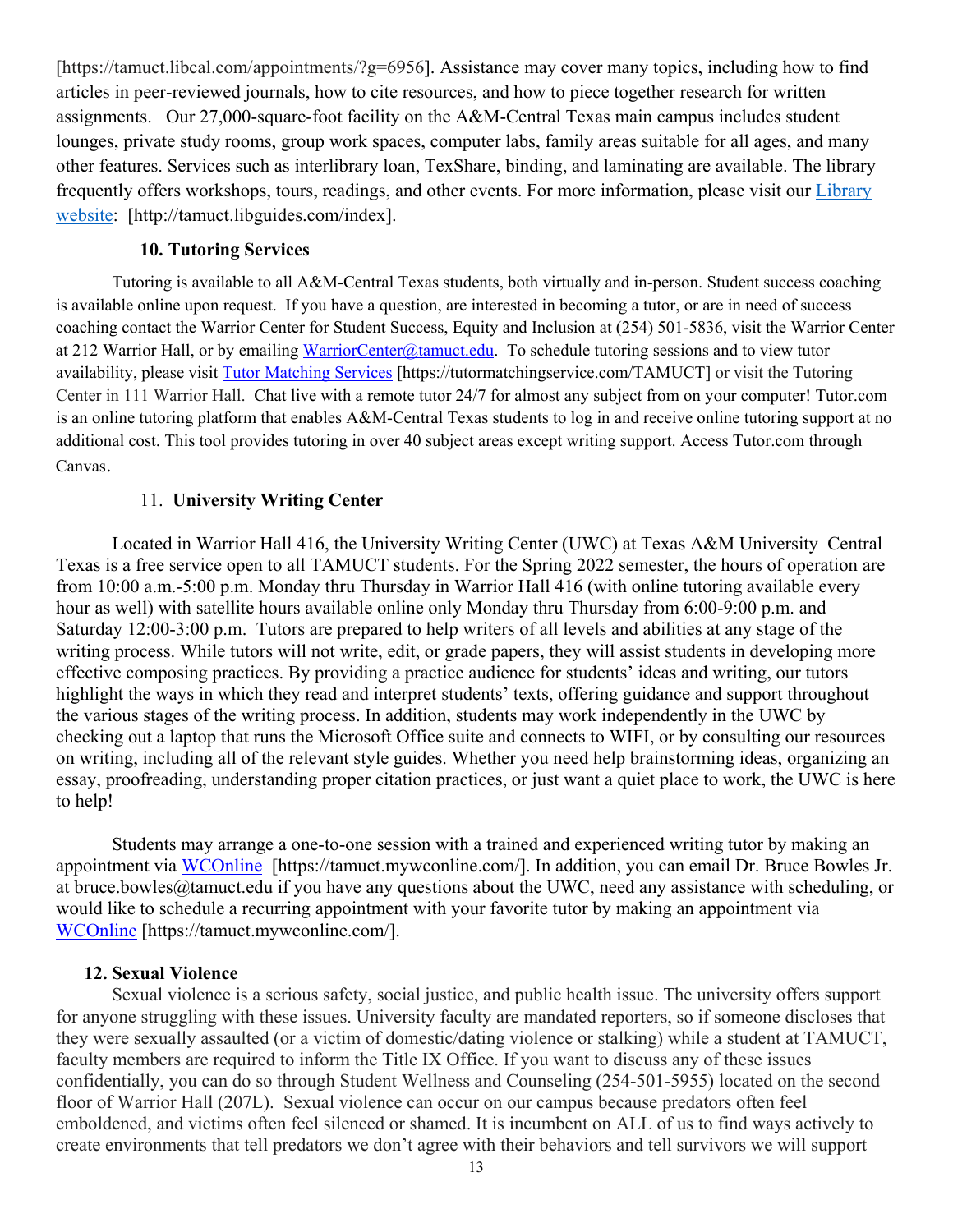[https://tamuct.libcal.com/appointments/?g=6956]. Assistance may cover many topics, including how to find articles in peer-reviewed journals, how to cite resources, and how to piece together research for written assignments. Our 27,000-square-foot facility on the A&M-Central Texas main campus includes student lounges, private study rooms, group work spaces, computer labs, family areas suitable for all ages, and many other features. Services such as interlibrary loan, TexShare, binding, and laminating are available. The library frequently offers workshops, tours, readings, and other events. For more information, please visit our [Library](https://nam04.safelinks.protection.outlook.com/?url=https%3A%2F%2Ftamuct.libguides.com%2Findex&data=04%7C01%7Clisa.bunkowski%40tamuct.edu%7C7d8489e8839a4915335f08d916f067f2%7C9eed4e3000f744849ff193ad8005acec%7C0%7C0%7C637566044056484222%7CUnknown%7CTWFpbGZsb3d8eyJWIjoiMC4wLjAwMDAiLCJQIjoiV2luMzIiLCJBTiI6Ik1haWwiLCJXVCI6Mn0%3D%7C1000&sdata=2R755V6rcIyedGrd4Os5rkgn1PvhHKU3kUV1vBKiHFo%3D&reserved=0) [website:](https://nam04.safelinks.protection.outlook.com/?url=https%3A%2F%2Ftamuct.libguides.com%2Findex&data=04%7C01%7Clisa.bunkowski%40tamuct.edu%7C7d8489e8839a4915335f08d916f067f2%7C9eed4e3000f744849ff193ad8005acec%7C0%7C0%7C637566044056484222%7CUnknown%7CTWFpbGZsb3d8eyJWIjoiMC4wLjAwMDAiLCJQIjoiV2luMzIiLCJBTiI6Ik1haWwiLCJXVCI6Mn0%3D%7C1000&sdata=2R755V6rcIyedGrd4Os5rkgn1PvhHKU3kUV1vBKiHFo%3D&reserved=0) [http://tamuct.libguides.com/index].

### **10. Tutoring Services**

Tutoring is available to all A&M-Central Texas students, both virtually and in-person. Student success coaching is available online upon request. If you have a question, are interested in becoming a tutor, or are in need of success coaching contact the Warrior Center for Student Success, Equity and Inclusion at (254) 501-5836, visit the Warrior Center at 212 Warrior Hall, or by emailing [WarriorCenter@tamuct.edu.](mailto:WarriorCenter@tamuct.edu) To schedule tutoring sessions and to view tutor availability, please visit Tutor [Matching](https://tutormatchingservice.com/TAMUCT) Services [https://tutormatchingservice.com/TAMUCT] or visit the Tutoring Center in 111 Warrior Hall. Chat live with a remote tutor 24/7 for almost any subject from on your computer! Tutor.com is an online tutoring platform that enables A&M-Central Texas students to log in and receive online tutoring support at no additional cost. This tool provides tutoring in over 40 subject areas except writing support. Access Tutor.com through Canvas.

### 11. **University Writing Center**

Located in Warrior Hall 416, the University Writing Center (UWC) at Texas A&M University–Central Texas is a free service open to all TAMUCT students. For the Spring 2022 semester, the hours of operation are from 10:00 a.m.-5:00 p.m. Monday thru Thursday in Warrior Hall 416 (with online tutoring available every hour as well) with satellite hours available online only Monday thru Thursday from 6:00-9:00 p.m. and Saturday 12:00-3:00 p.m. Tutors are prepared to help writers of all levels and abilities at any stage of the writing process. While tutors will not write, edit, or grade papers, they will assist students in developing more effective composing practices. By providing a practice audience for students' ideas and writing, our tutors highlight the ways in which they read and interpret students' texts, offering guidance and support throughout the various stages of the writing process. In addition, students may work independently in the UWC by checking out a laptop that runs the Microsoft Office suite and connects to WIFI, or by consulting our resources on writing, including all of the relevant style guides. Whether you need help brainstorming ideas, organizing an essay, proofreading, understanding proper citation practices, or just want a quiet place to work, the UWC is here to help!

Students may arrange a one-to-one session with a trained and experienced writing tutor by making an appointment via [WCOnline](https://tamuct.mywconline.com/) [https://tamuct.mywconline.com/]. In addition, you can email Dr. Bruce Bowles Jr. at bruce.bowles@tamuct.edu if you have any questions about the UWC, need any assistance with scheduling, or would like to schedule a recurring appointment with your favorite tutor by making an appointment via [WCOnline](https://tamuct.mywconline.com/) [https://tamuct.mywconline.com/].

### **12. Sexual Violence**

Sexual violence is a serious safety, social justice, and public health issue. The university offers support for anyone struggling with these issues. University faculty are mandated reporters, so if someone discloses that they were sexually assaulted (or a victim of domestic/dating violence or stalking) while a student at TAMUCT, faculty members are required to inform the Title IX Office. If you want to discuss any of these issues confidentially, you can do so through Student Wellness and Counseling (254-501-5955) located on the second floor of Warrior Hall (207L). Sexual violence can occur on our campus because predators often feel emboldened, and victims often feel silenced or shamed. It is incumbent on ALL of us to find ways actively to create environments that tell predators we don't agree with their behaviors and tell survivors we will support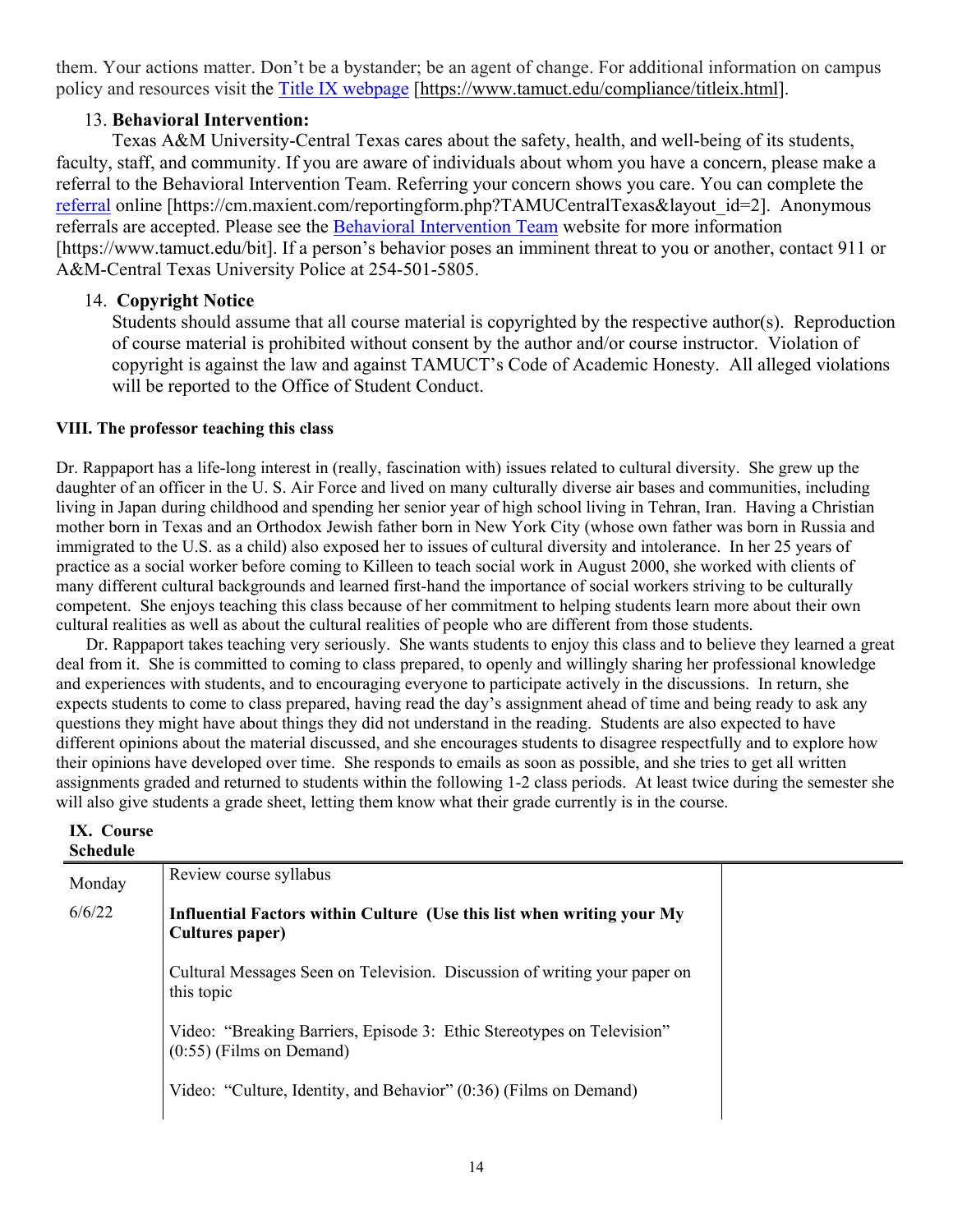them. Your actions matter. Don't be a bystander; be an agent of change. For additional information on campus policy and resources visit the [Title IX webpage](https://www.tamuct.edu/compliance/titleix.html) [\[https://www.tamuct.edu/compliance/titleix.html\]](https://www.tamuct.edu/compliance/titleix.html).

# 13. **Behavioral Intervention:**

Texas A&M University-Central Texas cares about the safety, health, and well-being of its students, faculty, staff, and community. If you are aware of individuals about whom you have a concern, please make a referral to the Behavioral Intervention Team. Referring your concern shows you care. You can complete the [referral](https://cm.maxient.com/reportingform.php?TAMUCentralTexas&layout_id=2) online [https://cm.maxient.com/reportingform.php?TAMUCentralTexas&layout\_id=2]. Anonymous referrals are accepted. Please see the [Behavioral Intervention Team](https://www.tamuct.edu/bit) website for more information [https://www.tamuct.edu/bit]. If a person's behavior poses an imminent threat to you or another, contact 911 or A&M-Central Texas University Police at 254-501-5805.

### 14. **Copyright Notice**

Students should assume that all course material is copyrighted by the respective author(s). Reproduction of course material is prohibited without consent by the author and/or course instructor. Violation of copyright is against the law and against TAMUCT's Code of Academic Honesty. All alleged violations will be reported to the Office of Student Conduct.

### **VIII. The professor teaching this class**

Dr. Rappaport has a life-long interest in (really, fascination with) issues related to cultural diversity. She grew up the daughter of an officer in the U. S. Air Force and lived on many culturally diverse air bases and communities, including living in Japan during childhood and spending her senior year of high school living in Tehran, Iran. Having a Christian mother born in Texas and an Orthodox Jewish father born in New York City (whose own father was born in Russia and immigrated to the U.S. as a child) also exposed her to issues of cultural diversity and intolerance. In her 25 years of practice as a social worker before coming to Killeen to teach social work in August 2000, she worked with clients of many different cultural backgrounds and learned first-hand the importance of social workers striving to be culturally competent. She enjoys teaching this class because of her commitment to helping students learn more about their own cultural realities as well as about the cultural realities of people who are different from those students.

 Dr. Rappaport takes teaching very seriously. She wants students to enjoy this class and to believe they learned a great deal from it. She is committed to coming to class prepared, to openly and willingly sharing her professional knowledge and experiences with students, and to encouraging everyone to participate actively in the discussions. In return, she expects students to come to class prepared, having read the day's assignment ahead of time and being ready to ask any questions they might have about things they did not understand in the reading. Students are also expected to have different opinions about the material discussed, and she encourages students to disagree respectfully and to explore how their opinions have developed over time. She responds to emails as soon as possible, and she tries to get all written assignments graded and returned to students within the following 1-2 class periods. At least twice during the semester she will also give students a grade sheet, letting them know what their grade currently is in the course.

| <b>Schedule</b> |                                                                                                      |
|-----------------|------------------------------------------------------------------------------------------------------|
| Monday          | Review course syllabus                                                                               |
| 6/6/22          | Influential Factors within Culture (Use this list when writing your My<br>Cultures paper)            |
|                 | Cultural Messages Seen on Television. Discussion of writing your paper on<br>this topic              |
|                 | Video: "Breaking Barriers, Episode 3: Ethic Stereotypes on Television"<br>$(0.55)$ (Films on Demand) |
|                 | Video: "Culture, Identity, and Behavior" (0:36) (Films on Demand)                                    |

# **IX. Course**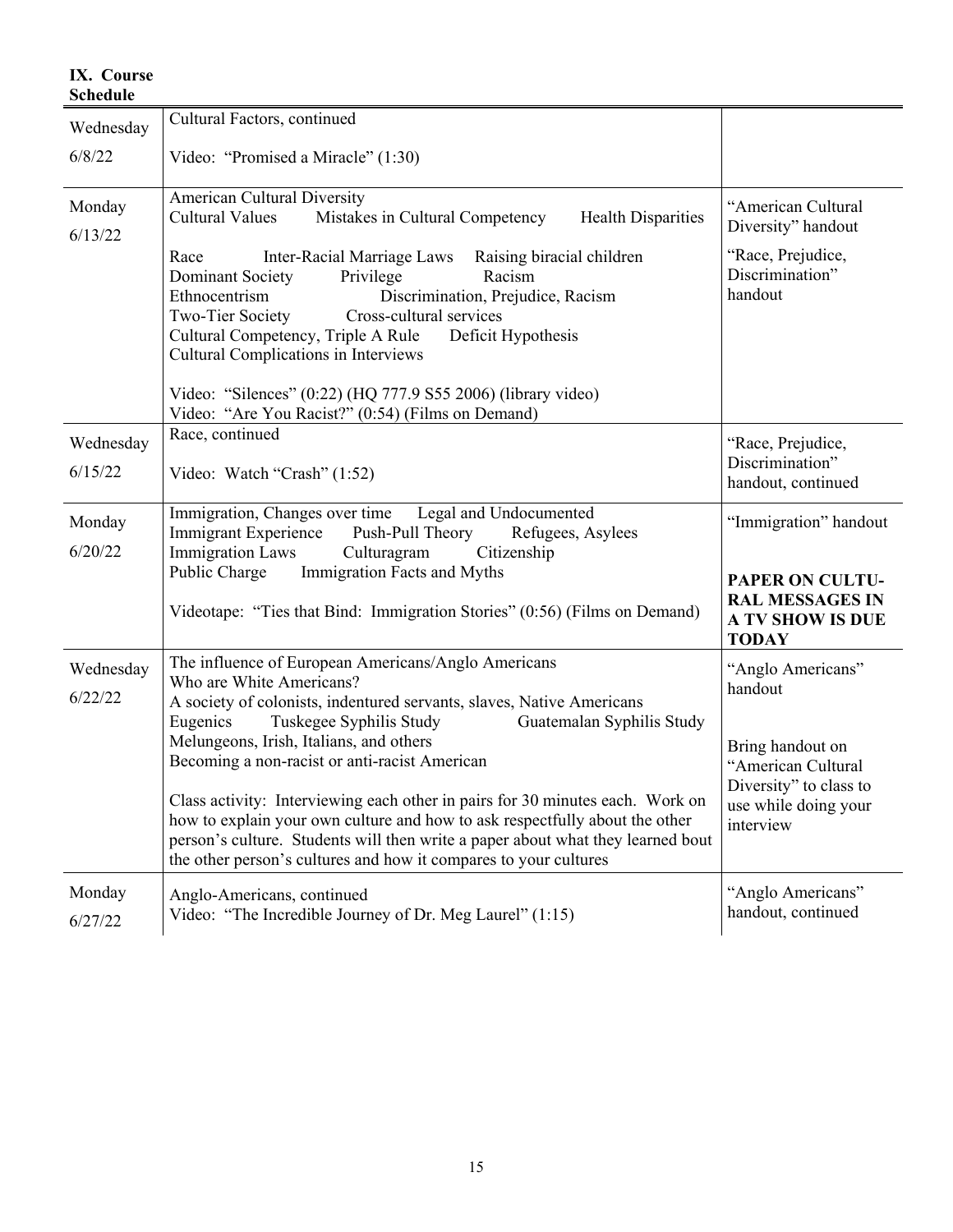| <b>Schedule</b>      |                                                                                                                                                                                                                                                                                                                            |                                                                                             |
|----------------------|----------------------------------------------------------------------------------------------------------------------------------------------------------------------------------------------------------------------------------------------------------------------------------------------------------------------------|---------------------------------------------------------------------------------------------|
| Wednesday            | Cultural Factors, continued                                                                                                                                                                                                                                                                                                |                                                                                             |
| 6/8/22               | Video: "Promised a Miracle" (1:30)                                                                                                                                                                                                                                                                                         |                                                                                             |
| Monday<br>6/13/22    | <b>American Cultural Diversity</b><br>Cultural Values<br>Mistakes in Cultural Competency<br><b>Health Disparities</b>                                                                                                                                                                                                      | "American Cultural<br>Diversity" handout                                                    |
|                      | <b>Inter-Racial Marriage Laws</b><br>Raising biracial children<br>Race<br>Racism<br>Dominant Society<br>Privilege<br>Discrimination, Prejudice, Racism<br>Ethnocentrism<br>Two-Tier Society<br>Cross-cultural services<br>Cultural Competency, Triple A Rule<br>Deficit Hypothesis<br>Cultural Complications in Interviews | "Race, Prejudice,<br>Discrimination"<br>handout                                             |
|                      | Video: "Silences" (0:22) (HQ 777.9 S55 2006) (library video)<br>Video: "Are You Racist?" (0:54) (Films on Demand)                                                                                                                                                                                                          |                                                                                             |
| Wednesday<br>6/15/22 | Race, continued<br>Video: Watch "Crash" (1:52)                                                                                                                                                                                                                                                                             | "Race, Prejudice,<br>Discrimination"<br>handout, continued                                  |
| Monday<br>6/20/22    | Immigration, Changes over time Legal and Undocumented<br>Immigrant Experience Push-Pull Theory<br>Refugees, Asylees<br><b>Immigration Laws</b><br>Citizenship<br>Culturagram                                                                                                                                               | "Immigration" handout                                                                       |
|                      | Immigration Facts and Myths<br>Public Charge<br>Videotape: "Ties that Bind: Immigration Stories" (0:56) (Films on Demand)                                                                                                                                                                                                  | <b>PAPER ON CULTU-</b><br><b>RAL MESSAGES IN</b><br><b>A TV SHOW IS DUE</b><br><b>TODAY</b> |
| Wednesday<br>6/22/22 | The influence of European Americans/Anglo Americans<br>Who are White Americans?<br>A society of colonists, indentured servants, slaves, Native Americans<br>Eugenics<br>Tuskegee Syphilis Study<br>Guatemalan Syphilis Study                                                                                               | "Anglo Americans"<br>handout                                                                |
|                      | Melungeons, Irish, Italians, and others<br>Becoming a non-racist or anti-racist American<br>Class activity: Interviewing each other in pairs for 30 minutes each. Work on                                                                                                                                                  | Bring handout on<br>"American Cultural<br>Diversity" to class to<br>use while doing your    |
|                      | how to explain your own culture and how to ask respectfully about the other<br>person's culture. Students will then write a paper about what they learned bout<br>the other person's cultures and how it compares to your cultures                                                                                         | interview                                                                                   |
| Monday<br>6/27/22    | Anglo-Americans, continued<br>Video: "The Incredible Journey of Dr. Meg Laurel" (1:15)                                                                                                                                                                                                                                     | "Anglo Americans"<br>handout, continued                                                     |

# **IX. Course**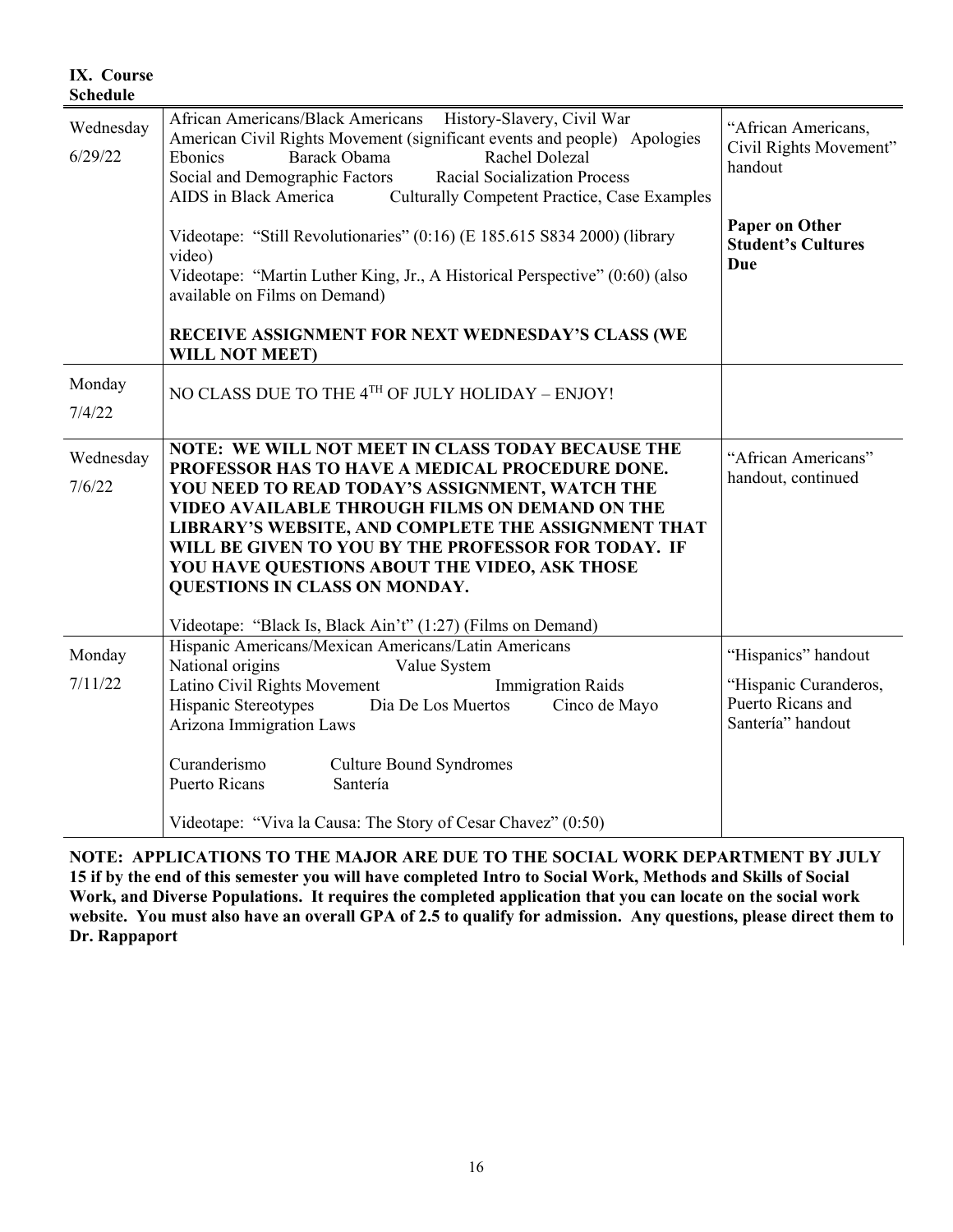| <b>Schedule</b>      |                                                                                                                                                                                                                                                                                                                                                                                                                                                                         |                                                                                        |
|----------------------|-------------------------------------------------------------------------------------------------------------------------------------------------------------------------------------------------------------------------------------------------------------------------------------------------------------------------------------------------------------------------------------------------------------------------------------------------------------------------|----------------------------------------------------------------------------------------|
| Wednesday<br>6/29/22 | African Americans/Black Americans History-Slavery, Civil War<br>American Civil Rights Movement (significant events and people) Apologies<br>Barack Obama<br>Rachel Dolezal<br>Ebonics<br>Social and Demographic Factors<br><b>Racial Socialization Process</b><br>AIDS in Black America<br><b>Culturally Competent Practice, Case Examples</b>                                                                                                                          | "African Americans,<br>Civil Rights Movement"<br>handout                               |
|                      | Videotape: "Still Revolutionaries" (0:16) (E 185.615 S834 2000) (library<br>video)<br>Videotape: "Martin Luther King, Jr., A Historical Perspective" (0:60) (also<br>available on Films on Demand)                                                                                                                                                                                                                                                                      | Paper on Other<br><b>Student's Cultures</b><br>Due                                     |
|                      | RECEIVE ASSIGNMENT FOR NEXT WEDNESDAY'S CLASS (WE<br><b>WILL NOT MEET)</b>                                                                                                                                                                                                                                                                                                                                                                                              |                                                                                        |
| Monday<br>7/4/22     | NO CLASS DUE TO THE 4TH OF JULY HOLIDAY - ENJOY!                                                                                                                                                                                                                                                                                                                                                                                                                        |                                                                                        |
| Wednesday<br>7/6/22  | NOTE: WE WILL NOT MEET IN CLASS TODAY BECAUSE THE<br>PROFESSOR HAS TO HAVE A MEDICAL PROCEDURE DONE.<br>YOU NEED TO READ TODAY'S ASSIGNMENT, WATCH THE<br>VIDEO AVAILABLE THROUGH FILMS ON DEMAND ON THE<br>LIBRARY'S WEBSITE, AND COMPLETE THE ASSIGNMENT THAT<br>WILL BE GIVEN TO YOU BY THE PROFESSOR FOR TODAY. IF<br>YOU HAVE QUESTIONS ABOUT THE VIDEO, ASK THOSE<br>QUESTIONS IN CLASS ON MONDAY.<br>Videotape: "Black Is, Black Ain't" (1:27) (Films on Demand) | "African Americans"<br>handout, continued                                              |
| Monday<br>7/11/22    | Hispanic Americans/Mexican Americans/Latin Americans<br>National origins<br>Value System<br>Latino Civil Rights Movement<br><b>Immigration Raids</b><br><b>Hispanic Stereotypes</b><br>Dia De Los Muertos<br>Cinco de Mayo<br>Arizona Immigration Laws<br>Curanderismo<br><b>Culture Bound Syndromes</b>                                                                                                                                                                | "Hispanics" handout<br>"Hispanic Curanderos,<br>Puerto Ricans and<br>Santería" handout |
|                      | <b>Puerto Ricans</b><br>Santería<br>Videotape: "Viva la Causa: The Story of Cesar Chavez" (0:50)                                                                                                                                                                                                                                                                                                                                                                        |                                                                                        |

**IX. Course** 

**NOTE: APPLICATIONS TO THE MAJOR ARE DUE TO THE SOCIAL WORK DEPARTMENT BY JULY 15 if by the end of this semester you will have completed Intro to Social Work, Methods and Skills of Social Work, and Diverse Populations. It requires the completed application that you can locate on the social work website. You must also have an overall GPA of 2.5 to qualify for admission. Any questions, please direct them to Dr. Rappaport**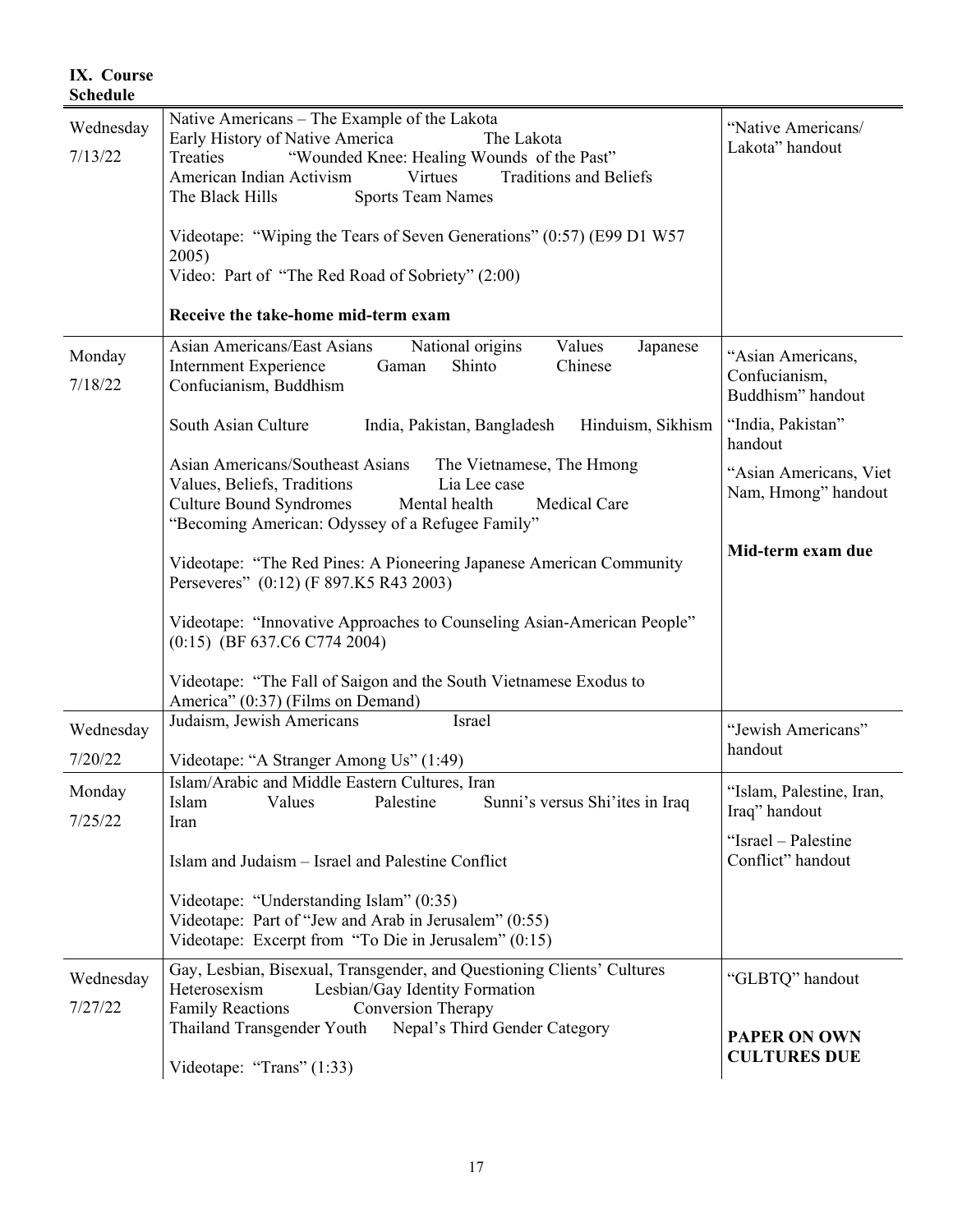| IX. Course<br><b>Schedule</b> |                                                                                                                                                                                                                                                                                                                                                                                                                             |                                                         |
|-------------------------------|-----------------------------------------------------------------------------------------------------------------------------------------------------------------------------------------------------------------------------------------------------------------------------------------------------------------------------------------------------------------------------------------------------------------------------|---------------------------------------------------------|
| Wednesday<br>7/13/22          | Native Americans - The Example of the Lakota<br>Early History of Native America<br>The Lakota<br>"Wounded Knee: Healing Wounds of the Past"<br>Treaties<br>American Indian Activism<br><b>Traditions and Beliefs</b><br><b>Virtues</b><br>The Black Hills<br><b>Sports Team Names</b><br>Videotape: "Wiping the Tears of Seven Generations" (0:57) (E99 D1 W57<br>2005)<br>Video: Part of "The Red Road of Sobriety" (2:00) | "Native Americans/<br>Lakota" handout                   |
|                               | Receive the take-home mid-term exam                                                                                                                                                                                                                                                                                                                                                                                         |                                                         |
| Monday<br>7/18/22             | Asian Americans/East Asians<br>National origins<br>Values<br>Japanese<br>Internment Experience<br>Shinto<br>Chinese<br>Gaman<br>Confucianism, Buddhism                                                                                                                                                                                                                                                                      | "Asian Americans,<br>Confucianism,<br>Buddhism" handout |
|                               | South Asian Culture<br>Hinduism, Sikhism<br>India, Pakistan, Bangladesh                                                                                                                                                                                                                                                                                                                                                     | "India, Pakistan"<br>handout                            |
|                               | Asian Americans/Southeast Asians<br>The Vietnamese, The Hmong<br>Values, Beliefs, Traditions<br>Lia Lee case<br><b>Culture Bound Syndromes</b><br>Mental health<br>Medical Care<br>"Becoming American: Odyssey of a Refugee Family"                                                                                                                                                                                         | "Asian Americans, Viet<br>Nam, Hmong" handout           |
|                               | Videotape: "The Red Pines: A Pioneering Japanese American Community<br>Perseveres" (0:12) (F 897.K5 R43 2003)                                                                                                                                                                                                                                                                                                               | Mid-term exam due                                       |
|                               | Videotape: "Innovative Approaches to Counseling Asian-American People"<br>$(0:15)$ (BF 637.C6 C774 2004)                                                                                                                                                                                                                                                                                                                    |                                                         |
|                               | Videotape: "The Fall of Saigon and the South Vietnamese Exodus to<br>America" (0:37) (Films on Demand)                                                                                                                                                                                                                                                                                                                      |                                                         |
| Wednesday<br>7/20/22          | Judaism, Jewish Americans<br>Israel<br>Videotape: "A Stranger Among Us" (1:49)                                                                                                                                                                                                                                                                                                                                              | "Jewish Americans"<br>handout                           |
| Monday<br>7/25/22             | Islam/Arabic and Middle Eastern Cultures, Iran<br>Palestine<br>Islam<br>Values<br>Sunni's versus Shi'ites in Iraq<br>Iran                                                                                                                                                                                                                                                                                                   | "Islam, Palestine, Iran,<br>Iraq" handout               |
|                               | Islam and Judaism - Israel and Palestine Conflict                                                                                                                                                                                                                                                                                                                                                                           | "Israel - Palestine<br>Conflict" handout                |
|                               | Videotape: "Understanding Islam" (0:35)<br>Videotape: Part of "Jew and Arab in Jerusalem" (0:55)<br>Videotape: Excerpt from "To Die in Jerusalem" (0:15)                                                                                                                                                                                                                                                                    |                                                         |
| Wednesday<br>7/27/22          | Gay, Lesbian, Bisexual, Transgender, and Questioning Clients' Cultures<br>Heterosexism<br>Lesbian/Gay Identity Formation<br><b>Family Reactions</b><br>Conversion Therapy                                                                                                                                                                                                                                                   | "GLBTQ" handout                                         |
|                               | Thailand Transgender Youth<br>Nepal's Third Gender Category<br>Videotape: "Trans" (1:33)                                                                                                                                                                                                                                                                                                                                    | <b>PAPER ON OWN</b><br><b>CULTURES DUE</b>              |

### 17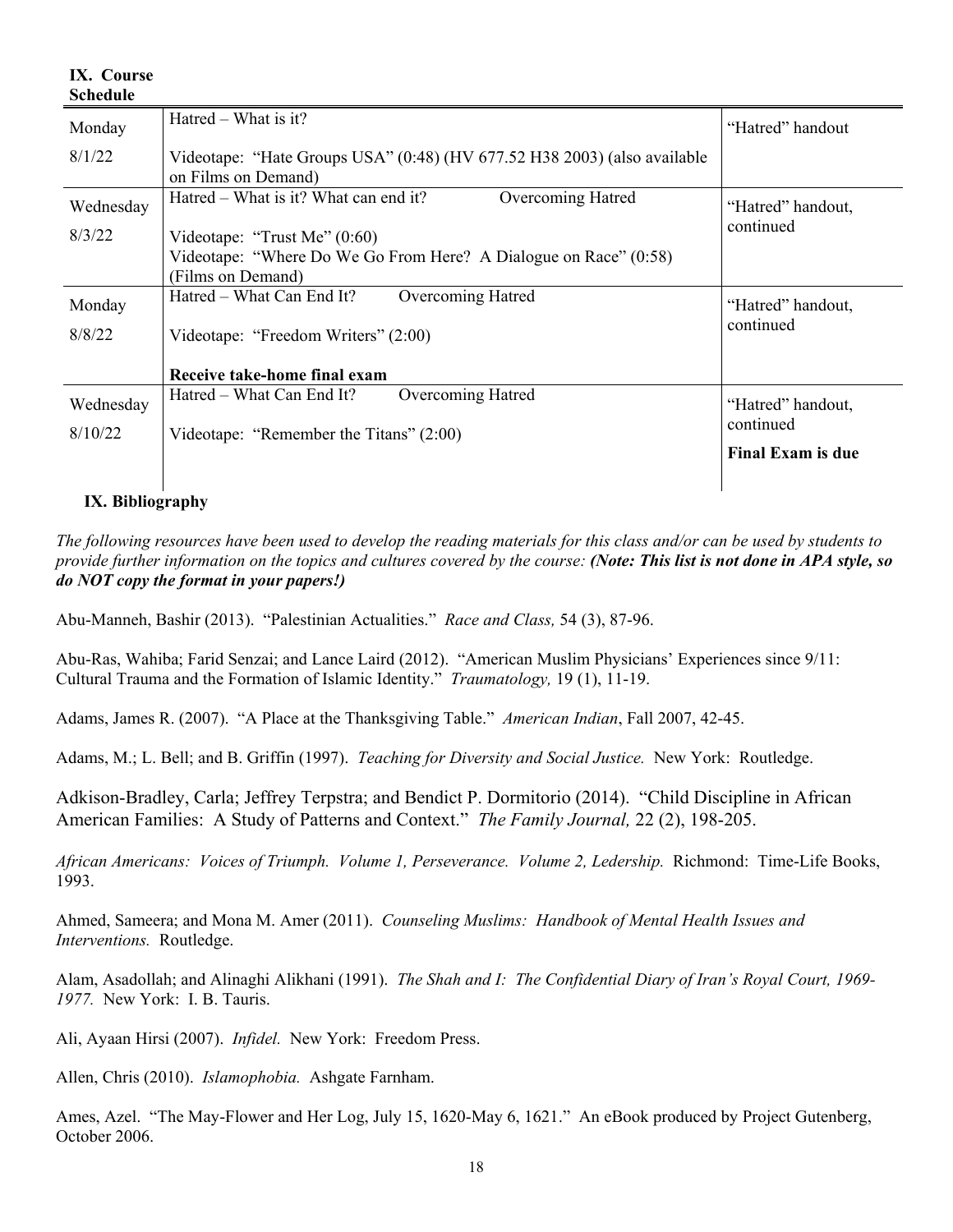| <b>Schedule</b> |                                                                                                 |                          |
|-----------------|-------------------------------------------------------------------------------------------------|--------------------------|
| Monday          | Hatred – What is it?                                                                            | "Hatred" handout         |
| 8/1/22          | Videotape: "Hate Groups USA" (0:48) (HV 677.52 H38 2003) (also available<br>on Films on Demand) |                          |
| Wednesday       | Hatred – What is it? What can end it?<br>Overcoming Hatred                                      | "Hatred" handout,        |
| 8/3/22          | Videotape: "Trust Me" $(0.60)$                                                                  | continued                |
|                 | Videotape: "Where Do We Go From Here? A Dialogue on Race" (0:58)                                |                          |
|                 | (Films on Demand)                                                                               |                          |
| Monday          | Hatred – What Can End It?<br>Overcoming Hatred                                                  | "Hatred" handout,        |
| 8/8/22          | Videotape: "Freedom Writers" (2:00)                                                             | continued                |
|                 | Receive take-home final exam                                                                    |                          |
| Wednesday       | Overcoming Hatred<br>Hatred – What Can End It?                                                  | "Hatred" handout,        |
| 8/10/22         | Videotape: "Remember the Titans" (2:00)                                                         | continued                |
|                 |                                                                                                 | <b>Final Exam is due</b> |
|                 |                                                                                                 |                          |

### **IX. Bibliography**

**IX. Course** 

*The following resources have been used to develop the reading materials for this class and/or can be used by students to provide further information on the topics and cultures covered by the course: (Note: This list is not done in APA style, so do NOT copy the format in your papers!)*

Abu-Manneh, Bashir (2013). "Palestinian Actualities." *Race and Class,* 54 (3), 87-96.

Abu-Ras, Wahiba; Farid Senzai; and Lance Laird (2012). "American Muslim Physicians' Experiences since 9/11: Cultural Trauma and the Formation of Islamic Identity." *Traumatology,* 19 (1), 11-19.

Adams, James R. (2007). "A Place at the Thanksgiving Table." *American Indian*, Fall 2007, 42-45.

Adams, M.; L. Bell; and B. Griffin (1997). *Teaching for Diversity and Social Justice.* New York: Routledge.

Adkison-Bradley, Carla; Jeffrey Terpstra; and Bendict P. Dormitorio (2014). "Child Discipline in African American Families: A Study of Patterns and Context." *The Family Journal,* 22 (2), 198-205.

*African Americans: Voices of Triumph. Volume 1, Perseverance. Volume 2, Ledership.* Richmond: Time-Life Books, 1993.

Ahmed, Sameera; and Mona M. Amer (2011). *Counseling Muslims: Handbook of Mental Health Issues and Interventions.* Routledge.

Alam, Asadollah; and Alinaghi Alikhani (1991). *The Shah and I: The Confidential Diary of Iran's Royal Court, 1969- 1977.* New York: I. B. Tauris.

Ali, Ayaan Hirsi (2007). *Infidel.* New York: Freedom Press.

Allen, Chris (2010). *Islamophobia.* Ashgate Farnham.

Ames, Azel. "The May-Flower and Her Log, July 15, 1620-May 6, 1621." An eBook produced by Project Gutenberg, October 2006.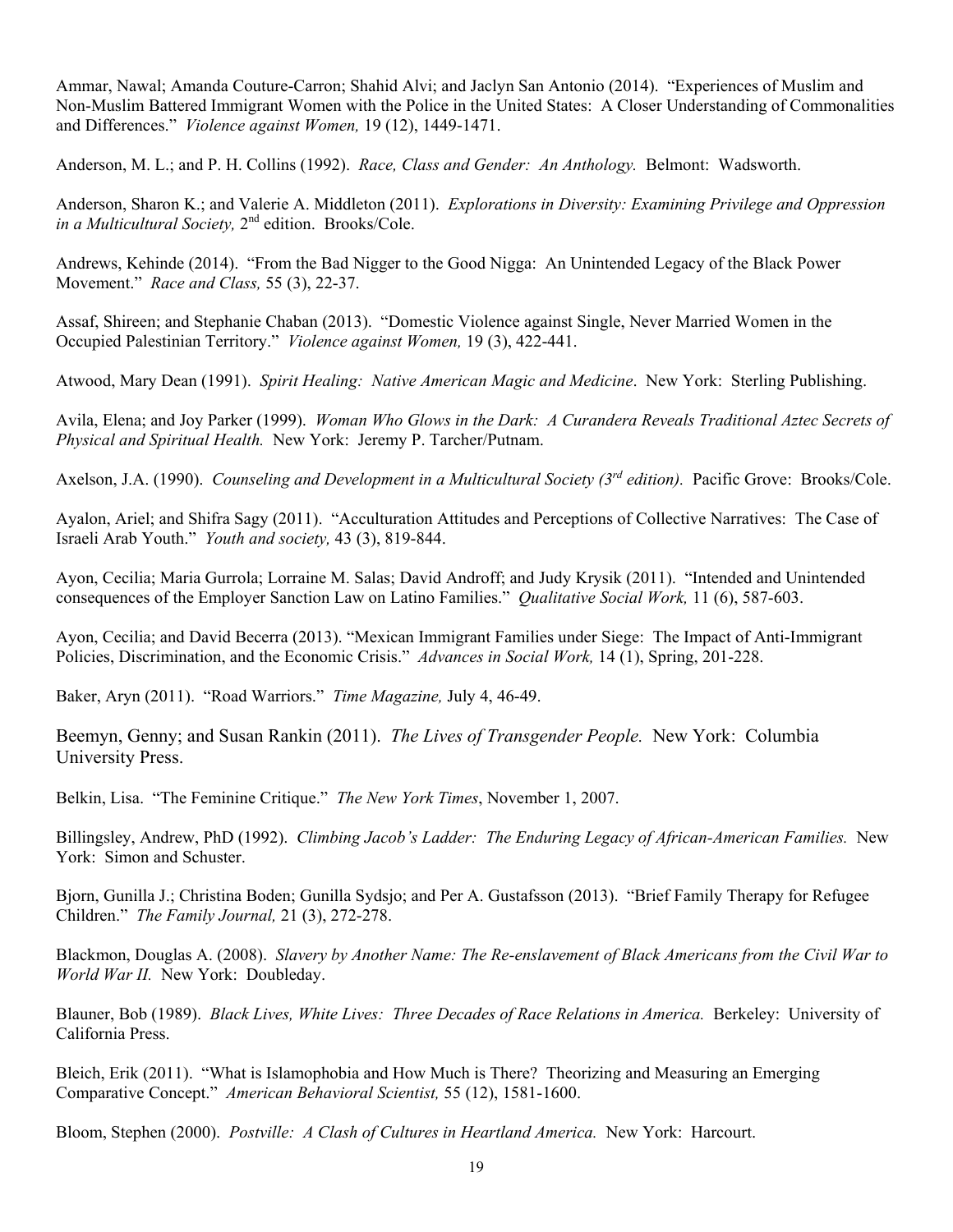Ammar, Nawal; Amanda Couture-Carron; Shahid Alvi; and Jaclyn San Antonio (2014). "Experiences of Muslim and Non-Muslim Battered Immigrant Women with the Police in the United States: A Closer Understanding of Commonalities and Differences." *Violence against Women,* 19 (12), 1449-1471.

Anderson, M. L.; and P. H. Collins (1992). *Race, Class and Gender: An Anthology.* Belmont: Wadsworth.

Anderson, Sharon K.; and Valerie A. Middleton (2011). *Explorations in Diversity: Examining Privilege and Oppression in a Multicultural Society,* 2nd edition. Brooks/Cole.

Andrews, Kehinde (2014). "From the Bad Nigger to the Good Nigga: An Unintended Legacy of the Black Power Movement." *Race and Class,* 55 (3), 22-37.

Assaf, Shireen; and Stephanie Chaban (2013). "Domestic Violence against Single, Never Married Women in the Occupied Palestinian Territory." *Violence against Women,* 19 (3), 422-441.

Atwood, Mary Dean (1991). *Spirit Healing: Native American Magic and Medicine*. New York: Sterling Publishing.

Avila, Elena; and Joy Parker (1999). *Woman Who Glows in the Dark: A Curandera Reveals Traditional Aztec Secrets of Physical and Spiritual Health.* New York: Jeremy P. Tarcher/Putnam.

Axelson, J.A. (1990). *Counseling and Development in a Multicultural Society (3rd edition).* Pacific Grove: Brooks/Cole.

Ayalon, Ariel; and Shifra Sagy (2011). "Acculturation Attitudes and Perceptions of Collective Narratives: The Case of Israeli Arab Youth." *Youth and society,* 43 (3), 819-844.

Ayon, Cecilia; Maria Gurrola; Lorraine M. Salas; David Androff; and Judy Krysik (2011). "Intended and Unintended consequences of the Employer Sanction Law on Latino Families." *Qualitative Social Work,* 11 (6), 587-603.

Ayon, Cecilia; and David Becerra (2013). "Mexican Immigrant Families under Siege: The Impact of Anti-Immigrant Policies, Discrimination, and the Economic Crisis." *Advances in Social Work,* 14 (1), Spring, 201-228.

Baker, Aryn (2011). "Road Warriors." *Time Magazine,* July 4, 46-49.

Beemyn, Genny; and Susan Rankin (2011). *The Lives of Transgender People.* New York: Columbia University Press.

Belkin, Lisa. "The Feminine Critique." *The New York Times*, November 1, 2007.

Billingsley, Andrew, PhD (1992). *Climbing Jacob's Ladder: The Enduring Legacy of African-American Families.* New York: Simon and Schuster.

Bjorn, Gunilla J.; Christina Boden; Gunilla Sydsjo; and Per A. Gustafsson (2013). "Brief Family Therapy for Refugee Children." *The Family Journal,* 21 (3), 272-278.

Blackmon, Douglas A. (2008). *Slavery by Another Name: The Re-enslavement of Black Americans from the Civil War to World War II.* New York: Doubleday.

Blauner, Bob (1989). *Black Lives, White Lives: Three Decades of Race Relations in America.* Berkeley: University of California Press.

Bleich, Erik (2011). "What is Islamophobia and How Much is There? Theorizing and Measuring an Emerging Comparative Concept." *American Behavioral Scientist,* 55 (12), 1581-1600.

Bloom, Stephen (2000). *Postville: A Clash of Cultures in Heartland America.* New York: Harcourt.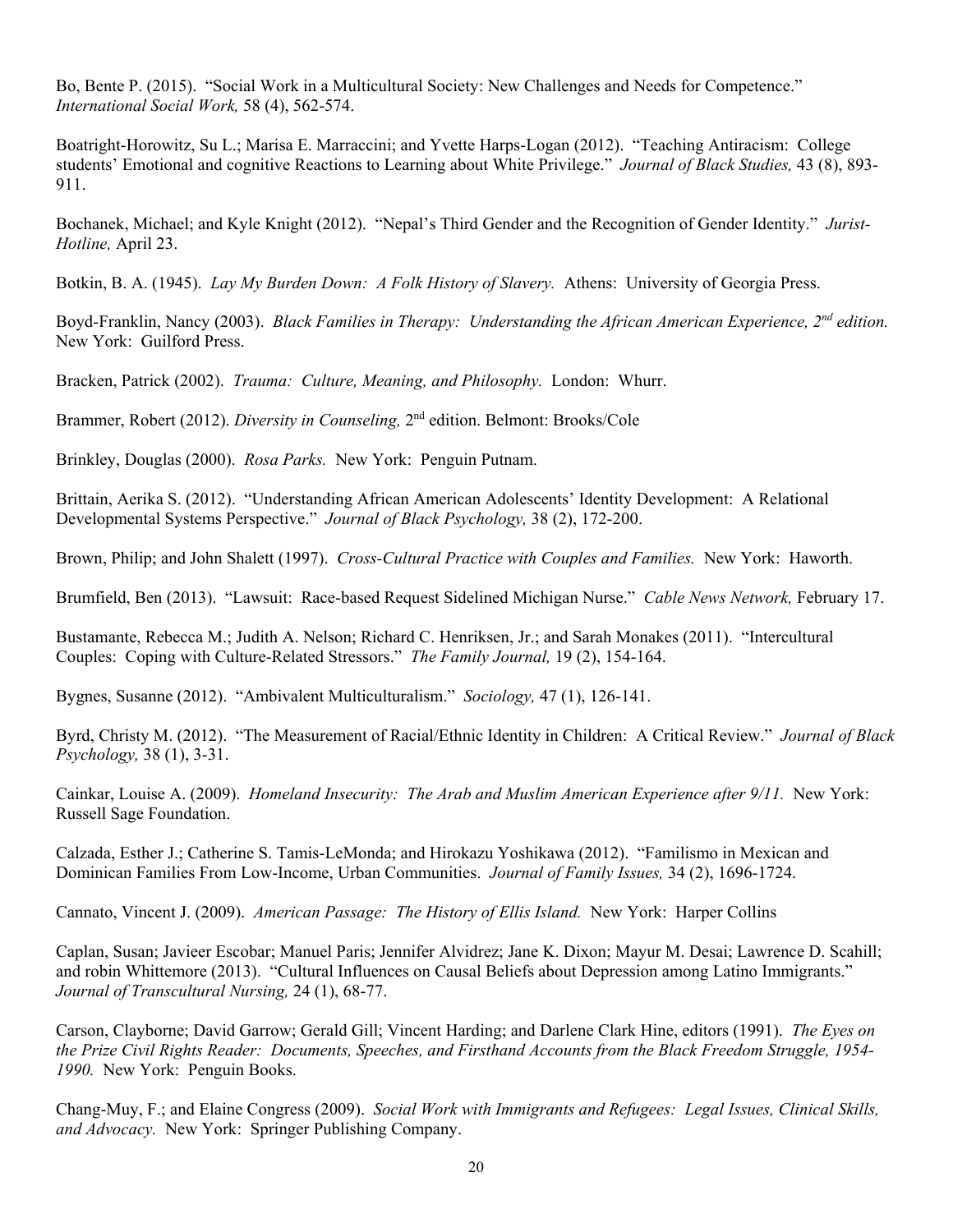Bo, Bente P. (2015). "Social Work in a Multicultural Society: New Challenges and Needs for Competence." *International Social Work,* 58 (4), 562-574.

Boatright-Horowitz, Su L.; Marisa E. Marraccini; and Yvette Harps-Logan (2012). "Teaching Antiracism: College students' Emotional and cognitive Reactions to Learning about White Privilege." *Journal of Black Studies,* 43 (8), 893- 911.

Bochanek, Michael; and Kyle Knight (2012). "Nepal's Third Gender and the Recognition of Gender Identity." *Jurist-Hotline,* April 23.

Botkin, B. A. (1945). *Lay My Burden Down: A Folk History of Slavery.* Athens: University of Georgia Press.

Boyd-Franklin, Nancy (2003). *Black Families in Therapy: Understanding the African American Experience, 2<sup>nd</sup> edition.* New York: Guilford Press.

Bracken, Patrick (2002). *Trauma: Culture, Meaning, and Philosophy.* London: Whurr.

Brammer, Robert (2012). *Diversity in Counseling,* 2nd edition. Belmont: Brooks/Cole

Brinkley, Douglas (2000). *Rosa Parks.* New York: Penguin Putnam.

Brittain, Aerika S. (2012). "Understanding African American Adolescents' Identity Development: A Relational Developmental Systems Perspective." *Journal of Black Psychology,* 38 (2), 172-200.

Brown, Philip; and John Shalett (1997). *Cross-Cultural Practice with Couples and Families.* New York: Haworth.

Brumfield, Ben (2013). "Lawsuit: Race-based Request Sidelined Michigan Nurse." *Cable News Network,* February 17.

Bustamante, Rebecca M.; Judith A. Nelson; Richard C. Henriksen, Jr.; and Sarah Monakes (2011). "Intercultural Couples: Coping with Culture-Related Stressors." *The Family Journal,* 19 (2), 154-164.

Bygnes, Susanne (2012). "Ambivalent Multiculturalism." *Sociology,* 47 (1), 126-141.

Byrd, Christy M. (2012). "The Measurement of Racial/Ethnic Identity in Children: A Critical Review." *Journal of Black Psychology,* 38 (1), 3-31.

Cainkar, Louise A. (2009). *Homeland Insecurity: The Arab and Muslim American Experience after 9/11.* New York: Russell Sage Foundation.

Calzada, Esther J.; Catherine S. Tamis-LeMonda; and Hirokazu Yoshikawa (2012). "Familismo in Mexican and Dominican Families From Low-Income, Urban Communities. *Journal of Family Issues,* 34 (2), 1696-1724.

Cannato, Vincent J. (2009). *American Passage: The History of Ellis Island.* New York: Harper Collins

Caplan, Susan; Javieer Escobar; Manuel Paris; Jennifer Alvidrez; Jane K. Dixon; Mayur M. Desai; Lawrence D. Scahill; and robin Whittemore (2013). "Cultural Influences on Causal Beliefs about Depression among Latino Immigrants." *Journal of Transcultural Nursing,* 24 (1), 68-77.

Carson, Clayborne; David Garrow; Gerald Gill; Vincent Harding; and Darlene Clark Hine, editors (1991). *The Eyes on the Prize Civil Rights Reader: Documents, Speeches, and Firsthand Accounts from the Black Freedom Struggle, 1954- 1990.* New York: Penguin Books.

Chang-Muy, F.; and Elaine Congress (2009). *Social Work with Immigrants and Refugees: Legal Issues, Clinical Skills, and Advocacy.* New York: Springer Publishing Company.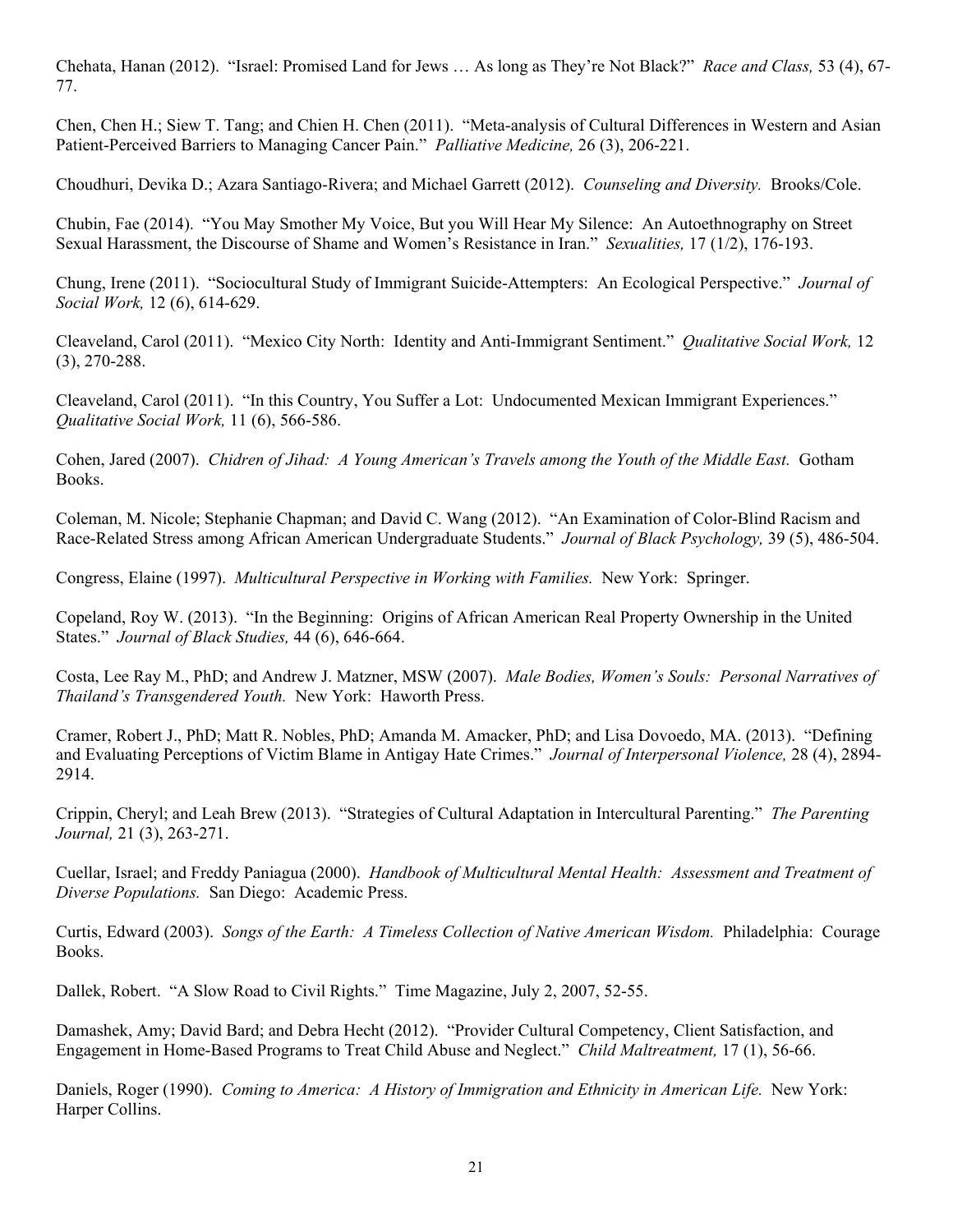Chehata, Hanan (2012). "Israel: Promised Land for Jews … As long as They're Not Black?" *Race and Class,* 53 (4), 67- 77.

Chen, Chen H.; Siew T. Tang; and Chien H. Chen (2011). "Meta-analysis of Cultural Differences in Western and Asian Patient-Perceived Barriers to Managing Cancer Pain." *Palliative Medicine,* 26 (3), 206-221.

Choudhuri, Devika D.; Azara Santiago-Rivera; and Michael Garrett (2012). *Counseling and Diversity.* Brooks/Cole.

Chubin, Fae (2014). "You May Smother My Voice, But you Will Hear My Silence: An Autoethnography on Street Sexual Harassment, the Discourse of Shame and Women's Resistance in Iran." *Sexualities,* 17 (1/2), 176-193.

Chung, Irene (2011). "Sociocultural Study of Immigrant Suicide-Attempters: An Ecological Perspective." *Journal of Social Work,* 12 (6), 614-629.

Cleaveland, Carol (2011). "Mexico City North: Identity and Anti-Immigrant Sentiment." *Qualitative Social Work,* 12 (3), 270-288.

Cleaveland, Carol (2011). "In this Country, You Suffer a Lot: Undocumented Mexican Immigrant Experiences." *Qualitative Social Work,* 11 (6), 566-586.

Cohen, Jared (2007). *Chidren of Jihad: A Young American's Travels among the Youth of the Middle East.* Gotham Books.

Coleman, M. Nicole; Stephanie Chapman; and David C. Wang (2012). "An Examination of Color-Blind Racism and Race-Related Stress among African American Undergraduate Students." *Journal of Black Psychology,* 39 (5), 486-504.

Congress, Elaine (1997). *Multicultural Perspective in Working with Families.* New York: Springer.

Copeland, Roy W. (2013). "In the Beginning: Origins of African American Real Property Ownership in the United States." *Journal of Black Studies,* 44 (6), 646-664.

Costa, Lee Ray M., PhD; and Andrew J. Matzner, MSW (2007). *Male Bodies, Women's Souls: Personal Narratives of Thailand's Transgendered Youth.* New York: Haworth Press.

Cramer, Robert J., PhD; Matt R. Nobles, PhD; Amanda M. Amacker, PhD; and Lisa Dovoedo, MA. (2013). "Defining and Evaluating Perceptions of Victim Blame in Antigay Hate Crimes." *Journal of Interpersonal Violence,* 28 (4), 2894- 2914.

Crippin, Cheryl; and Leah Brew (2013). "Strategies of Cultural Adaptation in Intercultural Parenting." *The Parenting Journal,* 21 (3), 263-271.

Cuellar, Israel; and Freddy Paniagua (2000). *Handbook of Multicultural Mental Health: Assessment and Treatment of Diverse Populations.* San Diego: Academic Press.

Curtis, Edward (2003). *Songs of the Earth: A Timeless Collection of Native American Wisdom.* Philadelphia: Courage Books.

Dallek, Robert. "A Slow Road to Civil Rights." Time Magazine, July 2, 2007, 52-55.

Damashek, Amy; David Bard; and Debra Hecht (2012). "Provider Cultural Competency, Client Satisfaction, and Engagement in Home-Based Programs to Treat Child Abuse and Neglect." *Child Maltreatment,* 17 (1), 56-66.

Daniels, Roger (1990). *Coming to America: A History of Immigration and Ethnicity in American Life.* New York: Harper Collins.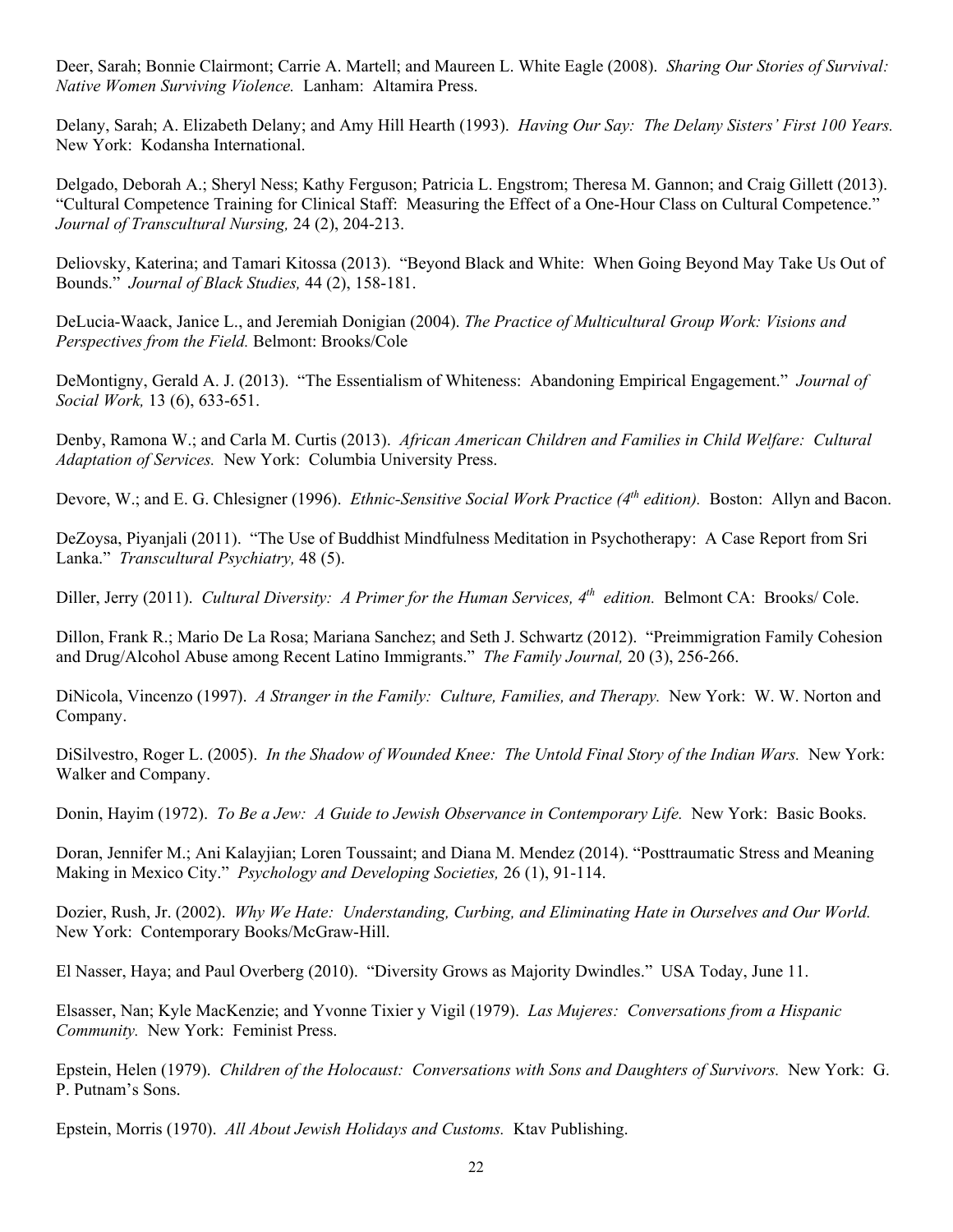Deer, Sarah; Bonnie Clairmont; Carrie A. Martell; and Maureen L. White Eagle (2008). *Sharing Our Stories of Survival: Native Women Surviving Violence.* Lanham: Altamira Press.

Delany, Sarah; A. Elizabeth Delany; and Amy Hill Hearth (1993). *Having Our Say: The Delany Sisters' First 100 Years.*  New York: Kodansha International.

Delgado, Deborah A.; Sheryl Ness; Kathy Ferguson; Patricia L. Engstrom; Theresa M. Gannon; and Craig Gillett (2013). "Cultural Competence Training for Clinical Staff: Measuring the Effect of a One-Hour Class on Cultural Competence." *Journal of Transcultural Nursing,* 24 (2), 204-213.

Deliovsky, Katerina; and Tamari Kitossa (2013). "Beyond Black and White: When Going Beyond May Take Us Out of Bounds." *Journal of Black Studies,* 44 (2), 158-181.

DeLucia-Waack, Janice L., and Jeremiah Donigian (2004). *The Practice of Multicultural Group Work: Visions and Perspectives from the Field.* Belmont: Brooks/Cole

DeMontigny, Gerald A. J. (2013). "The Essentialism of Whiteness: Abandoning Empirical Engagement." *Journal of Social Work,* 13 (6), 633-651.

Denby, Ramona W.; and Carla M. Curtis (2013). *African American Children and Families in Child Welfare: Cultural Adaptation of Services.* New York: Columbia University Press.

Devore, W.; and E. G. Chlesigner (1996). *Ethnic-Sensitive Social Work Practice (4th edition).* Boston: Allyn and Bacon.

DeZoysa, Piyanjali (2011). "The Use of Buddhist Mindfulness Meditation in Psychotherapy: A Case Report from Sri Lanka." *Transcultural Psychiatry,* 48 (5).

Diller, Jerry (2011). *Cultural Diversity: A Primer for the Human Services, 4th edition.* Belmont CA: Brooks/ Cole.

Dillon, Frank R.; Mario De La Rosa; Mariana Sanchez; and Seth J. Schwartz (2012). "Preimmigration Family Cohesion and Drug/Alcohol Abuse among Recent Latino Immigrants." *The Family Journal,* 20 (3), 256-266.

DiNicola, Vincenzo (1997). *A Stranger in the Family: Culture, Families, and Therapy.* New York: W. W. Norton and Company.

DiSilvestro, Roger L. (2005). *In the Shadow of Wounded Knee: The Untold Final Story of the Indian Wars.* New York: Walker and Company.

Donin, Hayim (1972). *To Be a Jew: A Guide to Jewish Observance in Contemporary Life.* New York: Basic Books.

Doran, Jennifer M.; Ani Kalayjian; Loren Toussaint; and Diana M. Mendez (2014). "Posttraumatic Stress and Meaning Making in Mexico City." *Psychology and Developing Societies,* 26 (1), 91-114.

Dozier, Rush, Jr. (2002). *Why We Hate: Understanding, Curbing, and Eliminating Hate in Ourselves and Our World.* New York: Contemporary Books/McGraw-Hill.

El Nasser, Haya; and Paul Overberg (2010). "Diversity Grows as Majority Dwindles." USA Today, June 11.

Elsasser, Nan; Kyle MacKenzie; and Yvonne Tixier y Vigil (1979). *Las Mujeres: Conversations from a Hispanic Community.* New York: Feminist Press.

Epstein, Helen (1979). *Children of the Holocaust: Conversations with Sons and Daughters of Survivors.* New York: G. P. Putnam's Sons.

Epstein, Morris (1970). *All About Jewish Holidays and Customs.* Ktav Publishing.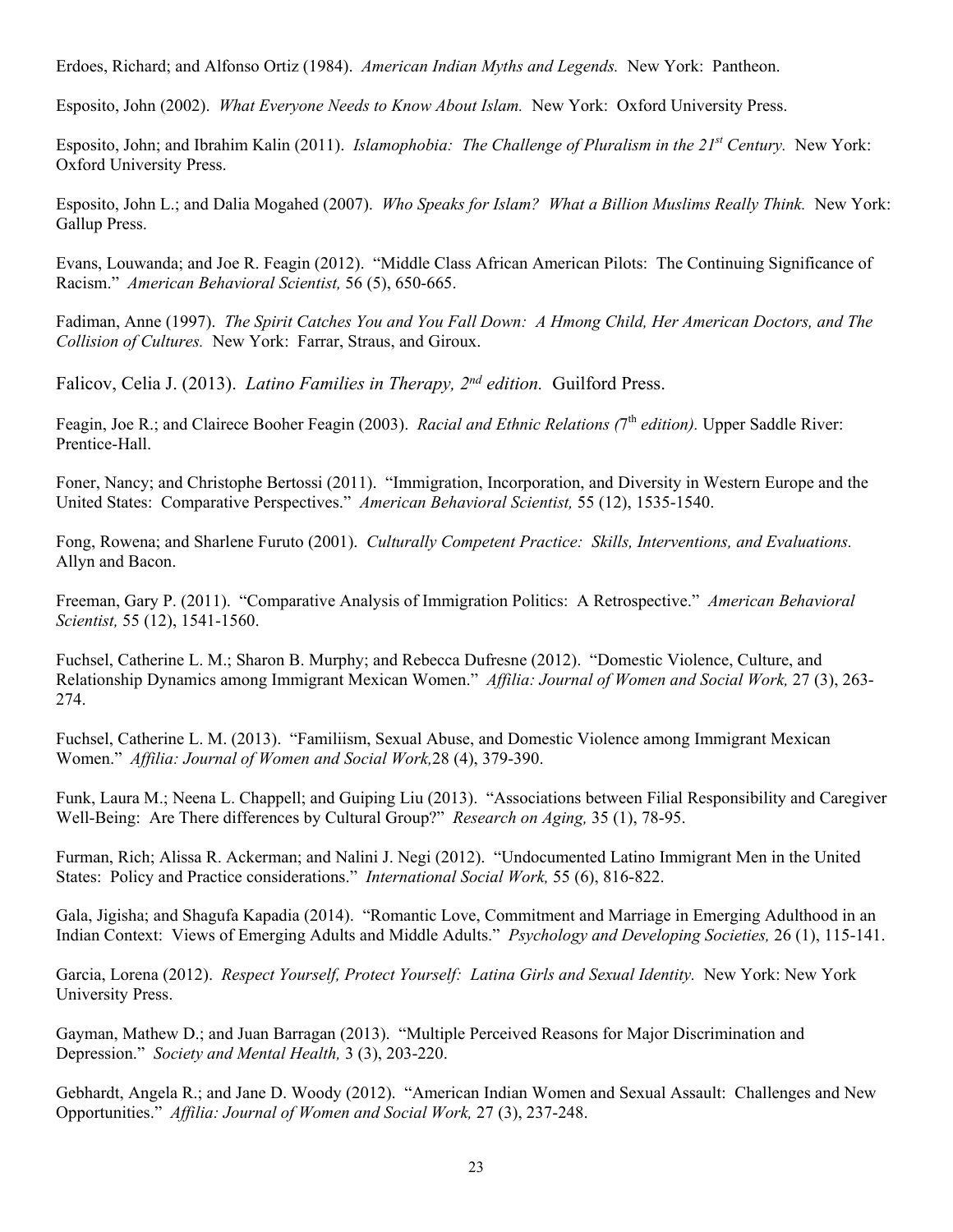Erdoes, Richard; and Alfonso Ortiz (1984). *American Indian Myths and Legends.* New York: Pantheon.

Esposito, John (2002). *What Everyone Needs to Know About Islam.* New York: Oxford University Press.

Esposito, John; and Ibrahim Kalin (2011). *Islamophobia: The Challenge of Pluralism in the 21st Century.* New York: Oxford University Press.

Esposito, John L.; and Dalia Mogahed (2007). *Who Speaks for Islam? What a Billion Muslims Really Think.* New York: Gallup Press.

Evans, Louwanda; and Joe R. Feagin (2012). "Middle Class African American Pilots: The Continuing Significance of Racism." *American Behavioral Scientist,* 56 (5), 650-665.

Fadiman, Anne (1997). *The Spirit Catches You and You Fall Down: A Hmong Child, Her American Doctors, and The Collision of Cultures.* New York: Farrar, Straus, and Giroux.

Falicov, Celia J. (2013). *Latino Families in Therapy, 2nd edition.* Guilford Press.

Feagin, Joe R.; and Clairece Booher Feagin (2003). *Racial and Ethnic Relations (*7th *edition).* Upper Saddle River: Prentice-Hall.

Foner, Nancy; and Christophe Bertossi (2011). "Immigration, Incorporation, and Diversity in Western Europe and the United States: Comparative Perspectives." *American Behavioral Scientist,* 55 (12), 1535-1540.

Fong, Rowena; and Sharlene Furuto (2001). *Culturally Competent Practice: Skills, Interventions, and Evaluations.* Allyn and Bacon.

Freeman, Gary P. (2011). "Comparative Analysis of Immigration Politics: A Retrospective." *American Behavioral Scientist,* 55 (12), 1541-1560.

Fuchsel, Catherine L. M.; Sharon B. Murphy; and Rebecca Dufresne (2012). "Domestic Violence, Culture, and Relationship Dynamics among Immigrant Mexican Women." *Affilia: Journal of Women and Social Work,* 27 (3), 263- 274.

Fuchsel, Catherine L. M. (2013). "Familiism, Sexual Abuse, and Domestic Violence among Immigrant Mexican Women." *Affilia: Journal of Women and Social Work,*28 (4), 379-390.

Funk, Laura M.; Neena L. Chappell; and Guiping Liu (2013). "Associations between Filial Responsibility and Caregiver Well-Being: Are There differences by Cultural Group?" *Research on Aging,* 35 (1), 78-95.

Furman, Rich; Alissa R. Ackerman; and Nalini J. Negi (2012). "Undocumented Latino Immigrant Men in the United States: Policy and Practice considerations." *International Social Work,* 55 (6), 816-822.

Gala, Jigisha; and Shagufa Kapadia (2014). "Romantic Love, Commitment and Marriage in Emerging Adulthood in an Indian Context: Views of Emerging Adults and Middle Adults." *Psychology and Developing Societies,* 26 (1), 115-141.

Garcia, Lorena (2012). *Respect Yourself, Protect Yourself: Latina Girls and Sexual Identity.* New York: New York University Press.

Gayman, Mathew D.; and Juan Barragan (2013). "Multiple Perceived Reasons for Major Discrimination and Depression." *Society and Mental Health,* 3 (3), 203-220.

Gebhardt, Angela R.; and Jane D. Woody (2012). "American Indian Women and Sexual Assault: Challenges and New Opportunities." *Affilia: Journal of Women and Social Work,* 27 (3), 237-248.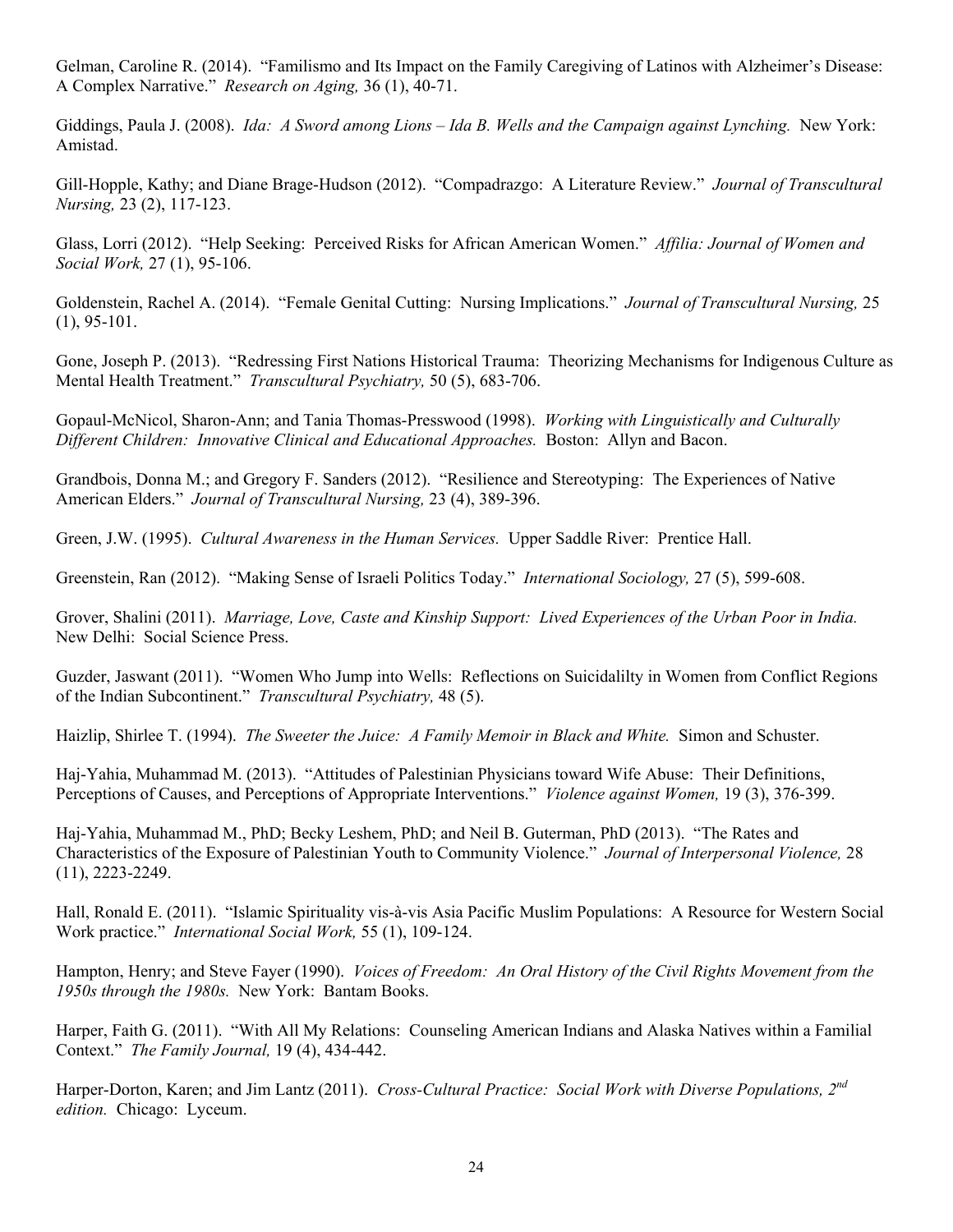Gelman, Caroline R. (2014). "Familismo and Its Impact on the Family Caregiving of Latinos with Alzheimer's Disease: A Complex Narrative." *Research on Aging,* 36 (1), 40-71.

Giddings, Paula J. (2008). *Ida: A Sword among Lions – Ida B. Wells and the Campaign against Lynching.* New York: Amistad.

Gill-Hopple, Kathy; and Diane Brage-Hudson (2012). "Compadrazgo: A Literature Review." *Journal of Transcultural Nursing,* 23 (2), 117-123.

Glass, Lorri (2012). "Help Seeking: Perceived Risks for African American Women." *Affilia: Journal of Women and Social Work,* 27 (1), 95-106.

Goldenstein, Rachel A. (2014). "Female Genital Cutting: Nursing Implications." *Journal of Transcultural Nursing,* 25 (1), 95-101.

Gone, Joseph P. (2013). "Redressing First Nations Historical Trauma: Theorizing Mechanisms for Indigenous Culture as Mental Health Treatment." *Transcultural Psychiatry,* 50 (5), 683-706.

Gopaul-McNicol, Sharon-Ann; and Tania Thomas-Presswood (1998). *Working with Linguistically and Culturally Different Children: Innovative Clinical and Educational Approaches.* Boston: Allyn and Bacon.

Grandbois, Donna M.; and Gregory F. Sanders (2012). "Resilience and Stereotyping: The Experiences of Native American Elders." *Journal of Transcultural Nursing,* 23 (4), 389-396.

Green, J.W. (1995). *Cultural Awareness in the Human Services.* Upper Saddle River: Prentice Hall.

Greenstein, Ran (2012). "Making Sense of Israeli Politics Today." *International Sociology,* 27 (5), 599-608.

Grover, Shalini (2011). *Marriage, Love, Caste and Kinship Support: Lived Experiences of the Urban Poor in India.* New Delhi: Social Science Press.

Guzder, Jaswant (2011). "Women Who Jump into Wells: Reflections on Suicidalilty in Women from Conflict Regions of the Indian Subcontinent." *Transcultural Psychiatry,* 48 (5).

Haizlip, Shirlee T. (1994). *The Sweeter the Juice: A Family Memoir in Black and White.* Simon and Schuster.

Haj-Yahia, Muhammad M. (2013). "Attitudes of Palestinian Physicians toward Wife Abuse: Their Definitions, Perceptions of Causes, and Perceptions of Appropriate Interventions." *Violence against Women,* 19 (3), 376-399.

Haj-Yahia, Muhammad M., PhD; Becky Leshem, PhD; and Neil B. Guterman, PhD (2013). "The Rates and Characteristics of the Exposure of Palestinian Youth to Community Violence." *Journal of Interpersonal Violence,* 28 (11), 2223-2249.

Hall, Ronald E. (2011). "Islamic Spirituality vis-à-vis Asia Pacific Muslim Populations: A Resource for Western Social Work practice." *International Social Work,* 55 (1), 109-124.

Hampton, Henry; and Steve Fayer (1990). *Voices of Freedom: An Oral History of the Civil Rights Movement from the 1950s through the 1980s.* New York: Bantam Books.

Harper, Faith G. (2011). "With All My Relations: Counseling American Indians and Alaska Natives within a Familial Context." *The Family Journal,* 19 (4), 434-442.

Harper-Dorton, Karen; and Jim Lantz (2011). *Cross-Cultural Practice: Social Work with Diverse Populations, 2nd edition.* Chicago: Lyceum.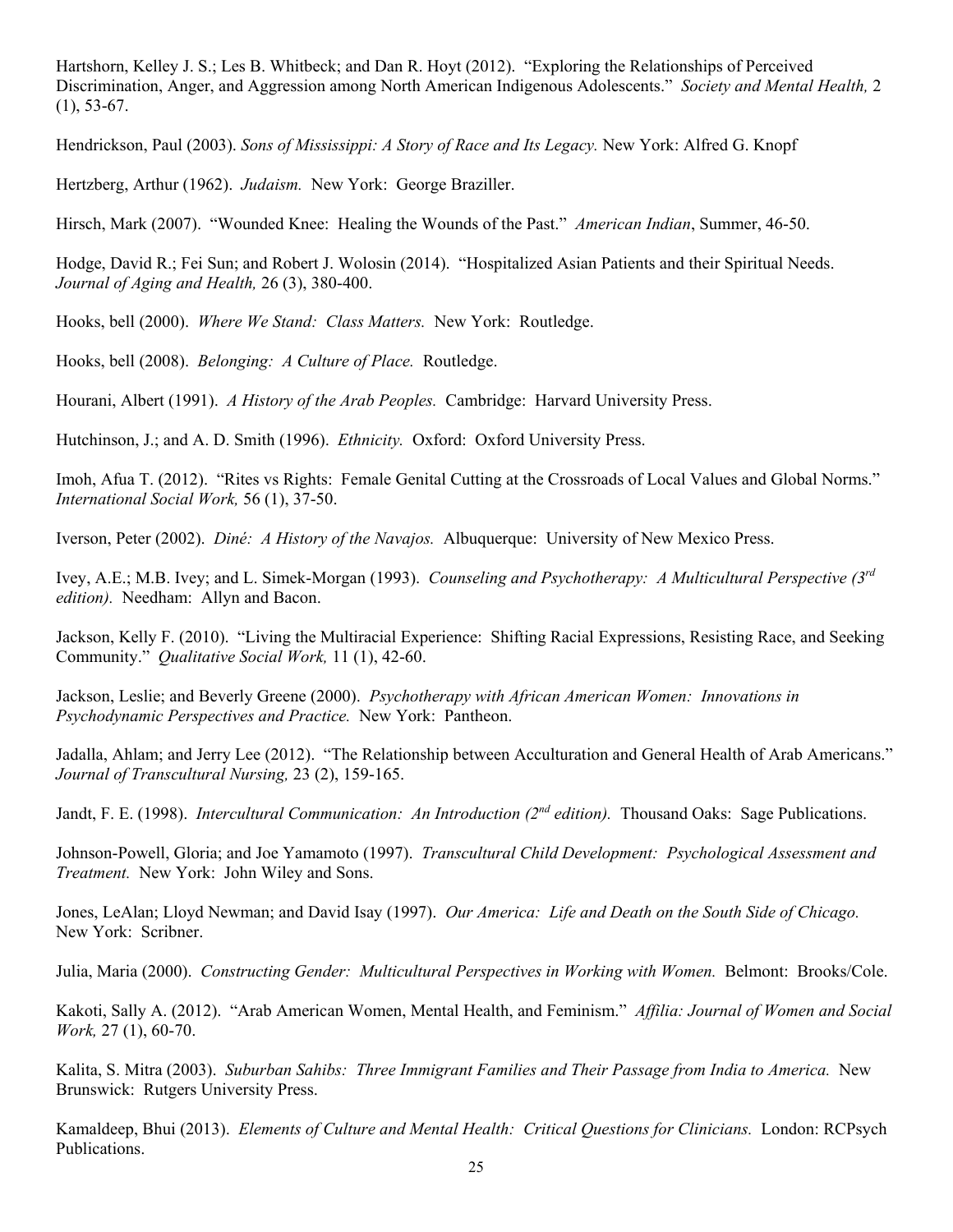Hartshorn, Kelley J. S.; Les B. Whitbeck; and Dan R. Hoyt (2012). "Exploring the Relationships of Perceived Discrimination, Anger, and Aggression among North American Indigenous Adolescents." *Society and Mental Health,* 2  $(1), 53-67.$ 

Hendrickson, Paul (2003). *Sons of Mississippi: A Story of Race and Its Legacy.* New York: Alfred G. Knopf

Hertzberg, Arthur (1962). *Judaism.* New York: George Braziller.

Hirsch, Mark (2007). "Wounded Knee: Healing the Wounds of the Past." *American Indian*, Summer, 46-50.

Hodge, David R.; Fei Sun; and Robert J. Wolosin (2014). "Hospitalized Asian Patients and their Spiritual Needs. *Journal of Aging and Health,* 26 (3), 380-400.

Hooks, bell (2000). *Where We Stand: Class Matters.* New York: Routledge.

Hooks, bell (2008). *Belonging: A Culture of Place.* Routledge.

Hourani, Albert (1991). *A History of the Arab Peoples.* Cambridge: Harvard University Press.

Hutchinson, J.; and A. D. Smith (1996). *Ethnicity.* Oxford: Oxford University Press.

Imoh, Afua T. (2012). "Rites vs Rights: Female Genital Cutting at the Crossroads of Local Values and Global Norms." *International Social Work,* 56 (1), 37-50.

Iverson, Peter (2002). *Diné: A History of the Navajos.* Albuquerque: University of New Mexico Press.

Ivey, A.E.; M.B. Ivey; and L. Simek-Morgan (1993). *Counseling and Psychotherapy: A Multicultural Perspective (3rd edition).* Needham: Allyn and Bacon.

Jackson, Kelly F. (2010). "Living the Multiracial Experience: Shifting Racial Expressions, Resisting Race, and Seeking Community." *Qualitative Social Work,* 11 (1), 42-60.

Jackson, Leslie; and Beverly Greene (2000). *Psychotherapy with African American Women: Innovations in Psychodynamic Perspectives and Practice.* New York: Pantheon.

Jadalla, Ahlam; and Jerry Lee (2012). "The Relationship between Acculturation and General Health of Arab Americans." *Journal of Transcultural Nursing,* 23 (2), 159-165.

Jandt, F. E. (1998). *Intercultural Communication: An Introduction (2nd edition).* Thousand Oaks: Sage Publications.

Johnson-Powell, Gloria; and Joe Yamamoto (1997). *Transcultural Child Development: Psychological Assessment and Treatment.* New York: John Wiley and Sons.

Jones, LeAlan; Lloyd Newman; and David Isay (1997). *Our America: Life and Death on the South Side of Chicago.* New York: Scribner.

Julia, Maria (2000). *Constructing Gender: Multicultural Perspectives in Working with Women.* Belmont: Brooks/Cole.

Kakoti, Sally A. (2012). "Arab American Women, Mental Health, and Feminism." *Affilia: Journal of Women and Social Work,* 27 (1), 60-70.

Kalita, S. Mitra (2003). *Suburban Sahibs: Three Immigrant Families and Their Passage from India to America.* New Brunswick: Rutgers University Press.

Kamaldeep, Bhui (2013). *Elements of Culture and Mental Health: Critical Questions for Clinicians.* London: RCPsych Publications.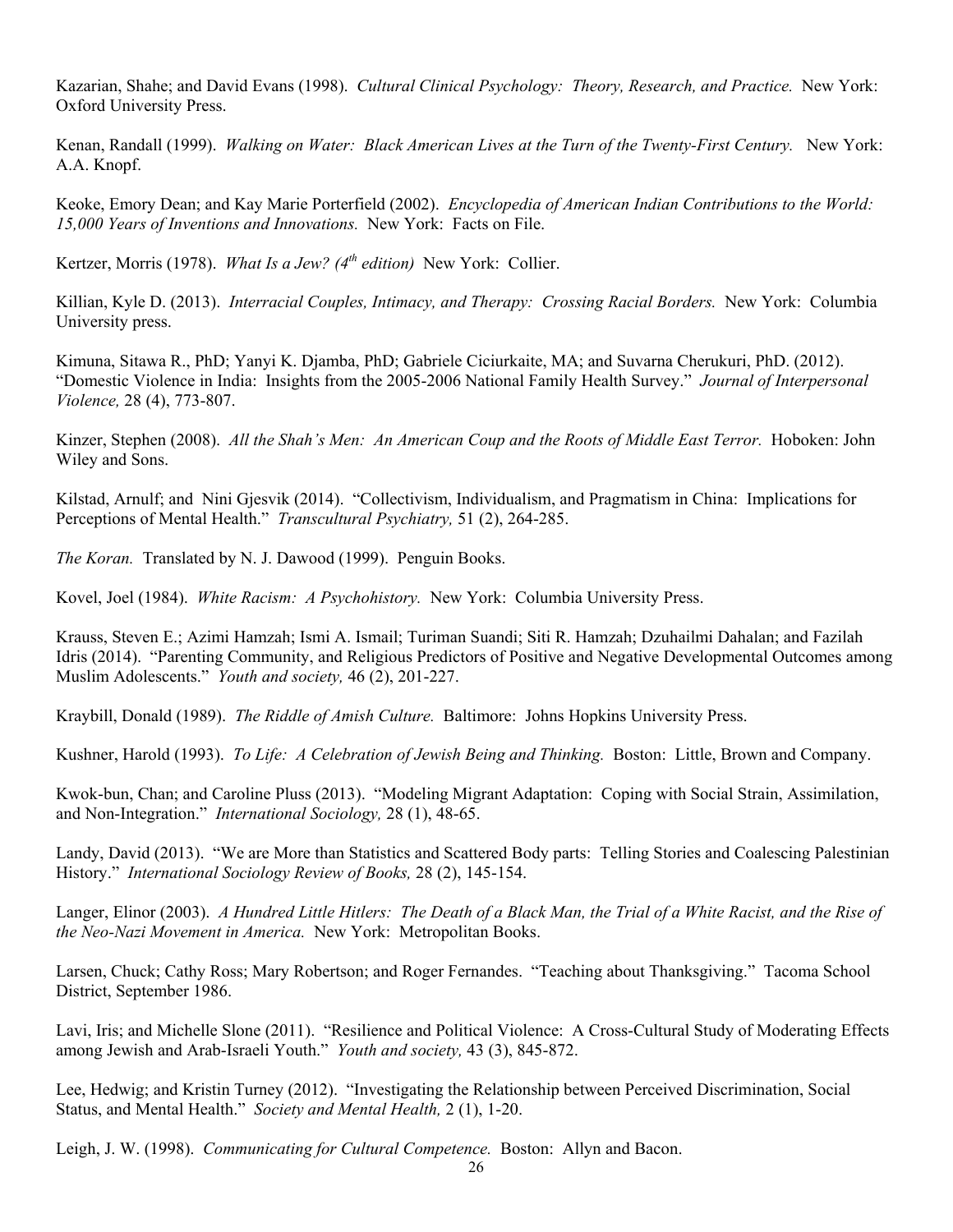Kazarian, Shahe; and David Evans (1998). *Cultural Clinical Psychology: Theory, Research, and Practice.* New York: Oxford University Press.

Kenan, Randall (1999). *Walking on Water: Black American Lives at the Turn of the Twenty-First Century.* New York: A.A. Knopf.

Keoke, Emory Dean; and Kay Marie Porterfield (2002). *Encyclopedia of American Indian Contributions to the World: 15,000 Years of Inventions and Innovations.* New York: Facts on File.

Kertzer, Morris (1978). *What Is a Jew? (4th edition)* New York: Collier.

Killian, Kyle D. (2013). *Interracial Couples, Intimacy, and Therapy: Crossing Racial Borders.* New York: Columbia University press.

Kimuna, Sitawa R., PhD; Yanyi K. Djamba, PhD; Gabriele Ciciurkaite, MA; and Suvarna Cherukuri, PhD. (2012). "Domestic Violence in India: Insights from the 2005-2006 National Family Health Survey." *Journal of Interpersonal Violence,* 28 (4), 773-807.

Kinzer, Stephen (2008). *All the Shah's Men: An American Coup and the Roots of Middle East Terror.* Hoboken: John Wiley and Sons.

Kilstad, Arnulf; and Nini Gjesvik (2014). "Collectivism, Individualism, and Pragmatism in China: Implications for Perceptions of Mental Health." *Transcultural Psychiatry,* 51 (2), 264-285.

*The Koran.* Translated by N. J. Dawood (1999). Penguin Books.

Kovel, Joel (1984). *White Racism: A Psychohistory.* New York: Columbia University Press.

Krauss, Steven E.; Azimi Hamzah; Ismi A. Ismail; Turiman Suandi; Siti R. Hamzah; Dzuhailmi Dahalan; and Fazilah Idris (2014). "Parenting Community, and Religious Predictors of Positive and Negative Developmental Outcomes among Muslim Adolescents." *Youth and society,* 46 (2), 201-227.

Kraybill, Donald (1989). *The Riddle of Amish Culture.* Baltimore: Johns Hopkins University Press.

Kushner, Harold (1993). *To Life: A Celebration of Jewish Being and Thinking.* Boston: Little, Brown and Company.

Kwok-bun, Chan; and Caroline Pluss (2013). "Modeling Migrant Adaptation: Coping with Social Strain, Assimilation, and Non-Integration." *International Sociology,* 28 (1), 48-65.

Landy, David (2013). "We are More than Statistics and Scattered Body parts: Telling Stories and Coalescing Palestinian History." *International Sociology Review of Books,* 28 (2), 145-154.

Langer, Elinor (2003). *A Hundred Little Hitlers: The Death of a Black Man, the Trial of a White Racist, and the Rise of the Neo-Nazi Movement in America.* New York: Metropolitan Books.

Larsen, Chuck; Cathy Ross; Mary Robertson; and Roger Fernandes. "Teaching about Thanksgiving." Tacoma School District, September 1986.

Lavi, Iris; and Michelle Slone (2011). "Resilience and Political Violence: A Cross-Cultural Study of Moderating Effects among Jewish and Arab-Israeli Youth." *Youth and society,* 43 (3), 845-872.

Lee, Hedwig; and Kristin Turney (2012). "Investigating the Relationship between Perceived Discrimination, Social Status, and Mental Health." *Society and Mental Health,* 2 (1), 1-20.

Leigh, J. W. (1998). *Communicating for Cultural Competence.* Boston: Allyn and Bacon.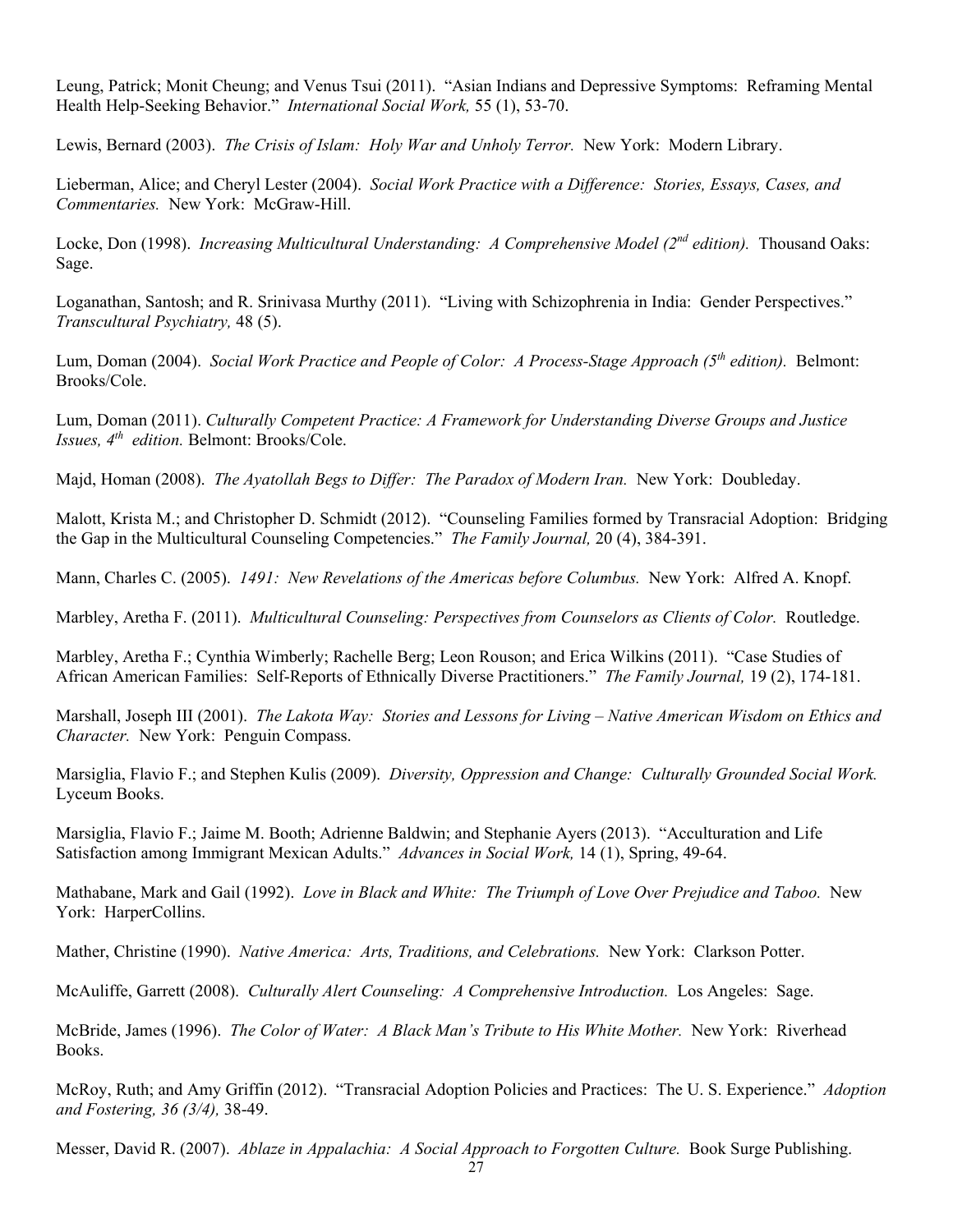Leung, Patrick; Monit Cheung; and Venus Tsui (2011). "Asian Indians and Depressive Symptoms: Reframing Mental Health Help-Seeking Behavior." *International Social Work,* 55 (1), 53-70.

Lewis, Bernard (2003). *The Crisis of Islam: Holy War and Unholy Terror.* New York: Modern Library.

Lieberman, Alice; and Cheryl Lester (2004). *Social Work Practice with a Difference: Stories, Essays, Cases, and Commentaries.* New York: McGraw-Hill.

Locke, Don (1998). *Increasing Multicultural Understanding: A Comprehensive Model (2nd edition).* Thousand Oaks: Sage.

Loganathan, Santosh; and R. Srinivasa Murthy (2011). "Living with Schizophrenia in India: Gender Perspectives." *Transcultural Psychiatry,* 48 (5).

Lum, Doman (2004). *Social Work Practice and People of Color: A Process-Stage Approach (5th edition).* Belmont: Brooks/Cole.

Lum, Doman (2011). *Culturally Competent Practice: A Framework for Understanding Diverse Groups and Justice Issues, 4th edition.* Belmont: Brooks/Cole.

Majd, Homan (2008). *The Ayatollah Begs to Differ: The Paradox of Modern Iran.* New York: Doubleday.

Malott, Krista M.; and Christopher D. Schmidt (2012). "Counseling Families formed by Transracial Adoption: Bridging the Gap in the Multicultural Counseling Competencies." *The Family Journal,* 20 (4), 384-391.

Mann, Charles C. (2005). *1491: New Revelations of the Americas before Columbus.* New York: Alfred A. Knopf.

Marbley, Aretha F. (2011). *Multicultural Counseling: Perspectives from Counselors as Clients of Color.* Routledge.

Marbley, Aretha F.; Cynthia Wimberly; Rachelle Berg; Leon Rouson; and Erica Wilkins (2011). "Case Studies of African American Families: Self-Reports of Ethnically Diverse Practitioners." *The Family Journal,* 19 (2), 174-181.

Marshall, Joseph III (2001). *The Lakota Way: Stories and Lessons for Living – Native American Wisdom on Ethics and Character.* New York: Penguin Compass.

Marsiglia, Flavio F.; and Stephen Kulis (2009). *Diversity, Oppression and Change: Culturally Grounded Social Work.* Lyceum Books.

Marsiglia, Flavio F.; Jaime M. Booth; Adrienne Baldwin; and Stephanie Ayers (2013). "Acculturation and Life Satisfaction among Immigrant Mexican Adults." *Advances in Social Work,* 14 (1), Spring, 49-64.

Mathabane, Mark and Gail (1992). *Love in Black and White: The Triumph of Love Over Prejudice and Taboo.* New York: HarperCollins.

Mather, Christine (1990). *Native America: Arts, Traditions, and Celebrations.* New York: Clarkson Potter.

McAuliffe, Garrett (2008). *Culturally Alert Counseling: A Comprehensive Introduction.* Los Angeles: Sage.

McBride, James (1996). *The Color of Water: A Black Man's Tribute to His White Mother.* New York: Riverhead Books.

McRoy, Ruth; and Amy Griffin (2012). "Transracial Adoption Policies and Practices: The U. S. Experience." *Adoption and Fostering, 36 (3/4),* 38-49.

Messer, David R. (2007). *Ablaze in Appalachia: A Social Approach to Forgotten Culture.* Book Surge Publishing.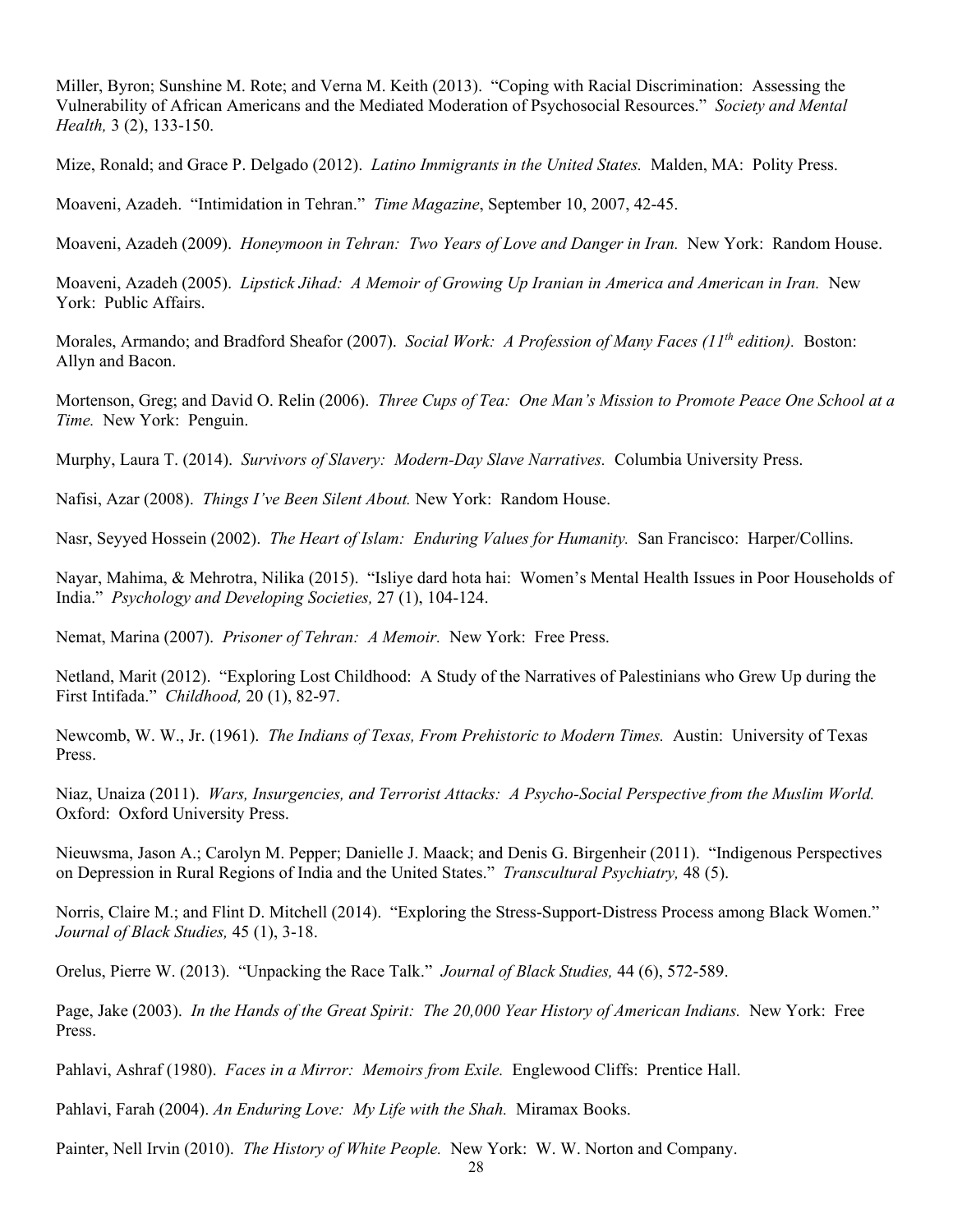Miller, Byron; Sunshine M. Rote; and Verna M. Keith (2013). "Coping with Racial Discrimination: Assessing the Vulnerability of African Americans and the Mediated Moderation of Psychosocial Resources." *Society and Mental Health,* 3 (2), 133-150.

Mize, Ronald; and Grace P. Delgado (2012). *Latino Immigrants in the United States.* Malden, MA: Polity Press.

Moaveni, Azadeh. "Intimidation in Tehran." *Time Magazine*, September 10, 2007, 42-45.

Moaveni, Azadeh (2009). *Honeymoon in Tehran: Two Years of Love and Danger in Iran.* New York: Random House.

Moaveni, Azadeh (2005). *Lipstick Jihad: A Memoir of Growing Up Iranian in America and American in Iran.* New York: Public Affairs.

Morales, Armando; and Bradford Sheafor (2007). *Social Work: A Profession of Many Faces (11th edition).* Boston: Allyn and Bacon.

Mortenson, Greg; and David O. Relin (2006). *Three Cups of Tea: One Man's Mission to Promote Peace One School at a Time.* New York: Penguin.

Murphy, Laura T. (2014). *Survivors of Slavery: Modern-Day Slave Narratives.* Columbia University Press.

Nafisi, Azar (2008). *Things I've Been Silent About.* New York: Random House.

Nasr, Seyyed Hossein (2002). *The Heart of Islam: Enduring Values for Humanity.* San Francisco: Harper/Collins.

Nayar, Mahima, & Mehrotra, Nilika (2015). "Isliye dard hota hai: Women's Mental Health Issues in Poor Households of India." *Psychology and Developing Societies,* 27 (1), 104-124.

Nemat, Marina (2007). *Prisoner of Tehran: A Memoir.* New York: Free Press.

Netland, Marit (2012). "Exploring Lost Childhood: A Study of the Narratives of Palestinians who Grew Up during the First Intifada." *Childhood,* 20 (1), 82-97.

Newcomb, W. W., Jr. (1961). *The Indians of Texas, From Prehistoric to Modern Times.* Austin: University of Texas Press.

Niaz, Unaiza (2011). *Wars, Insurgencies, and Terrorist Attacks: A Psycho-Social Perspective from the Muslim World.* Oxford: Oxford University Press.

Nieuwsma, Jason A.; Carolyn M. Pepper; Danielle J. Maack; and Denis G. Birgenheir (2011). "Indigenous Perspectives on Depression in Rural Regions of India and the United States." *Transcultural Psychiatry,* 48 (5).

Norris, Claire M.; and Flint D. Mitchell (2014). "Exploring the Stress-Support-Distress Process among Black Women." *Journal of Black Studies,* 45 (1), 3-18.

Orelus, Pierre W. (2013). "Unpacking the Race Talk." *Journal of Black Studies,* 44 (6), 572-589.

Page, Jake (2003). *In the Hands of the Great Spirit: The 20,000 Year History of American Indians.* New York: Free Press.

Pahlavi, Ashraf (1980). *Faces in a Mirror: Memoirs from Exile.* Englewood Cliffs: Prentice Hall.

Pahlavi, Farah (2004). *An Enduring Love: My Life with the Shah.* Miramax Books.

Painter, Nell Irvin (2010). *The History of White People.* New York: W. W. Norton and Company.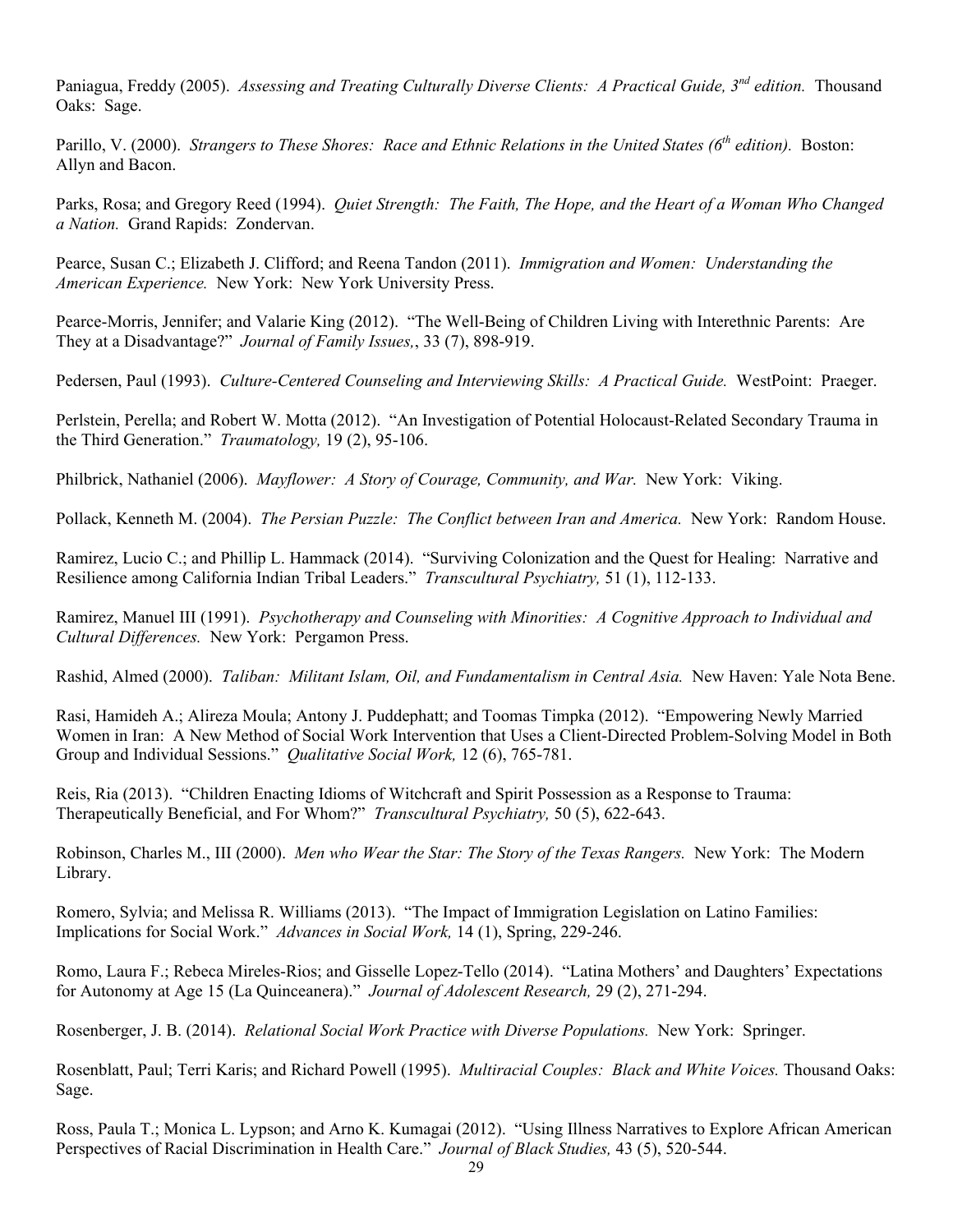Paniagua, Freddy (2005). *Assessing and Treating Culturally Diverse Clients: A Practical Guide, 3nd edition.* Thousand Oaks: Sage.

Parillo, V. (2000). *Strangers to These Shores: Race and Ethnic Relations in the United States (6th edition).* Boston: Allyn and Bacon.

Parks, Rosa; and Gregory Reed (1994). *Quiet Strength: The Faith, The Hope, and the Heart of a Woman Who Changed a Nation.* Grand Rapids: Zondervan.

Pearce, Susan C.; Elizabeth J. Clifford; and Reena Tandon (2011). *Immigration and Women: Understanding the American Experience.* New York: New York University Press.

Pearce-Morris, Jennifer; and Valarie King (2012). "The Well-Being of Children Living with Interethnic Parents: Are They at a Disadvantage?" *Journal of Family Issues,*, 33 (7), 898-919.

Pedersen, Paul (1993). *Culture-Centered Counseling and Interviewing Skills: A Practical Guide.* WestPoint: Praeger.

Perlstein, Perella; and Robert W. Motta (2012). "An Investigation of Potential Holocaust-Related Secondary Trauma in the Third Generation." *Traumatology,* 19 (2), 95-106.

Philbrick, Nathaniel (2006). *Mayflower: A Story of Courage, Community, and War.* New York: Viking.

Pollack, Kenneth M. (2004). *The Persian Puzzle: The Conflict between Iran and America.* New York: Random House.

Ramirez, Lucio C.; and Phillip L. Hammack (2014). "Surviving Colonization and the Quest for Healing: Narrative and Resilience among California Indian Tribal Leaders." *Transcultural Psychiatry,* 51 (1), 112-133.

Ramirez, Manuel III (1991). *Psychotherapy and Counseling with Minorities: A Cognitive Approach to Individual and Cultural Differences.* New York: Pergamon Press.

Rashid, Almed (2000). *Taliban: Militant Islam, Oil, and Fundamentalism in Central Asia.* New Haven: Yale Nota Bene.

Rasi, Hamideh A.; Alireza Moula; Antony J. Puddephatt; and Toomas Timpka (2012). "Empowering Newly Married Women in Iran: A New Method of Social Work Intervention that Uses a Client-Directed Problem-Solving Model in Both Group and Individual Sessions." *Qualitative Social Work,* 12 (6), 765-781.

Reis, Ria (2013). "Children Enacting Idioms of Witchcraft and Spirit Possession as a Response to Trauma: Therapeutically Beneficial, and For Whom?" *Transcultural Psychiatry,* 50 (5), 622-643.

Robinson, Charles M., III (2000). *Men who Wear the Star: The Story of the Texas Rangers.* New York: The Modern Library.

Romero, Sylvia; and Melissa R. Williams (2013). "The Impact of Immigration Legislation on Latino Families: Implications for Social Work." *Advances in Social Work,* 14 (1), Spring, 229-246.

Romo, Laura F.; Rebeca Mireles-Rios; and Gisselle Lopez-Tello (2014). "Latina Mothers' and Daughters' Expectations for Autonomy at Age 15 (La Quinceanera)." *Journal of Adolescent Research,* 29 (2), 271-294.

Rosenberger, J. B. (2014). *Relational Social Work Practice with Diverse Populations.* New York: Springer.

Rosenblatt, Paul; Terri Karis; and Richard Powell (1995). *Multiracial Couples: Black and White Voices.* Thousand Oaks: Sage.

Ross, Paula T.; Monica L. Lypson; and Arno K. Kumagai (2012). "Using Illness Narratives to Explore African American Perspectives of Racial Discrimination in Health Care." *Journal of Black Studies,* 43 (5), 520-544.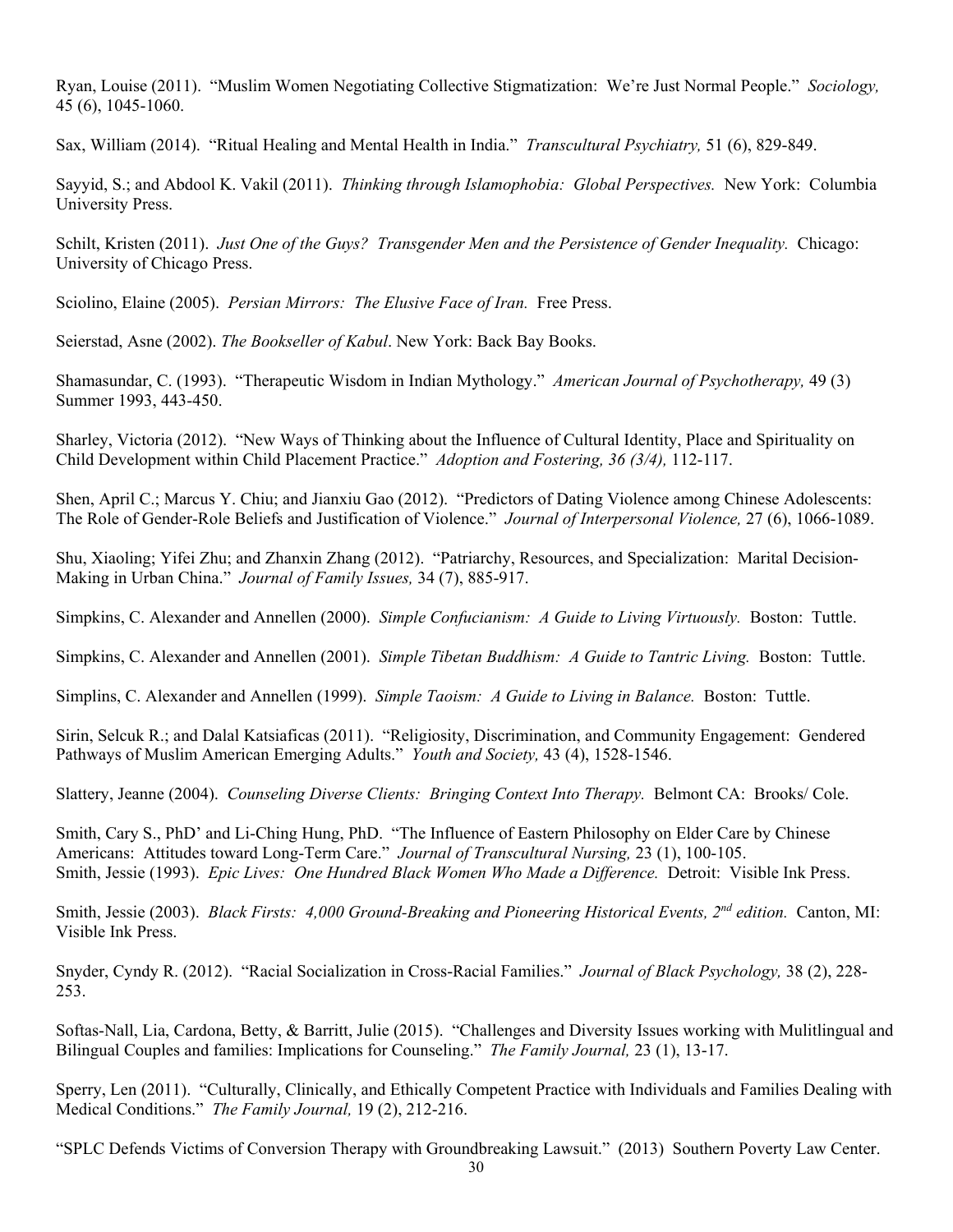Ryan, Louise (2011). "Muslim Women Negotiating Collective Stigmatization: We're Just Normal People." *Sociology,* 45 (6), 1045-1060.

Sax, William (2014). "Ritual Healing and Mental Health in India." *Transcultural Psychiatry,* 51 (6), 829-849.

Sayyid, S.; and Abdool K. Vakil (2011). *Thinking through Islamophobia: Global Perspectives.* New York: Columbia University Press.

Schilt, Kristen (2011). *Just One of the Guys? Transgender Men and the Persistence of Gender Inequality.* Chicago: University of Chicago Press.

Sciolino, Elaine (2005). *Persian Mirrors: The Elusive Face of Iran.* Free Press.

Seierstad, Asne (2002). *The Bookseller of Kabul*. New York: Back Bay Books.

Shamasundar, C. (1993). "Therapeutic Wisdom in Indian Mythology." *American Journal of Psychotherapy,* 49 (3) Summer 1993, 443-450.

Sharley, Victoria (2012). "New Ways of Thinking about the Influence of Cultural Identity, Place and Spirituality on Child Development within Child Placement Practice." *Adoption and Fostering, 36 (3/4),* 112-117.

Shen, April C.; Marcus Y. Chiu; and Jianxiu Gao (2012). "Predictors of Dating Violence among Chinese Adolescents: The Role of Gender-Role Beliefs and Justification of Violence." *Journal of Interpersonal Violence,* 27 (6), 1066-1089.

Shu, Xiaoling; Yifei Zhu; and Zhanxin Zhang (2012). "Patriarchy, Resources, and Specialization: Marital Decision-Making in Urban China." *Journal of Family Issues,* 34 (7), 885-917.

Simpkins, C. Alexander and Annellen (2000). *Simple Confucianism: A Guide to Living Virtuously.* Boston: Tuttle.

Simpkins, C. Alexander and Annellen (2001). *Simple Tibetan Buddhism: A Guide to Tantric Living.* Boston: Tuttle.

Simplins, C. Alexander and Annellen (1999). *Simple Taoism: A Guide to Living in Balance.* Boston: Tuttle.

Sirin, Selcuk R.; and Dalal Katsiaficas (2011). "Religiosity, Discrimination, and Community Engagement: Gendered Pathways of Muslim American Emerging Adults." *Youth and Society,* 43 (4), 1528-1546.

Slattery, Jeanne (2004). *Counseling Diverse Clients: Bringing Context Into Therapy.* Belmont CA: Brooks/ Cole.

Smith, Cary S., PhD' and Li-Ching Hung, PhD. "The Influence of Eastern Philosophy on Elder Care by Chinese Americans: Attitudes toward Long-Term Care." *Journal of Transcultural Nursing,* 23 (1), 100-105. Smith, Jessie (1993). *Epic Lives: One Hundred Black Women Who Made a Difference.* Detroit: Visible Ink Press.

Smith, Jessie (2003). *Black Firsts: 4,000 Ground-Breaking and Pioneering Historical Events, 2nd edition.* Canton, MI: Visible Ink Press.

Snyder, Cyndy R. (2012). "Racial Socialization in Cross-Racial Families." *Journal of Black Psychology,* 38 (2), 228- 253.

Softas-Nall, Lia, Cardona, Betty, & Barritt, Julie (2015). "Challenges and Diversity Issues working with Mulitlingual and Bilingual Couples and families: Implications for Counseling." *The Family Journal,* 23 (1), 13-17.

Sperry, Len (2011). "Culturally, Clinically, and Ethically Competent Practice with Individuals and Families Dealing with Medical Conditions." *The Family Journal,* 19 (2), 212-216.

"SPLC Defends Victims of Conversion Therapy with Groundbreaking Lawsuit." (2013) Southern Poverty Law Center.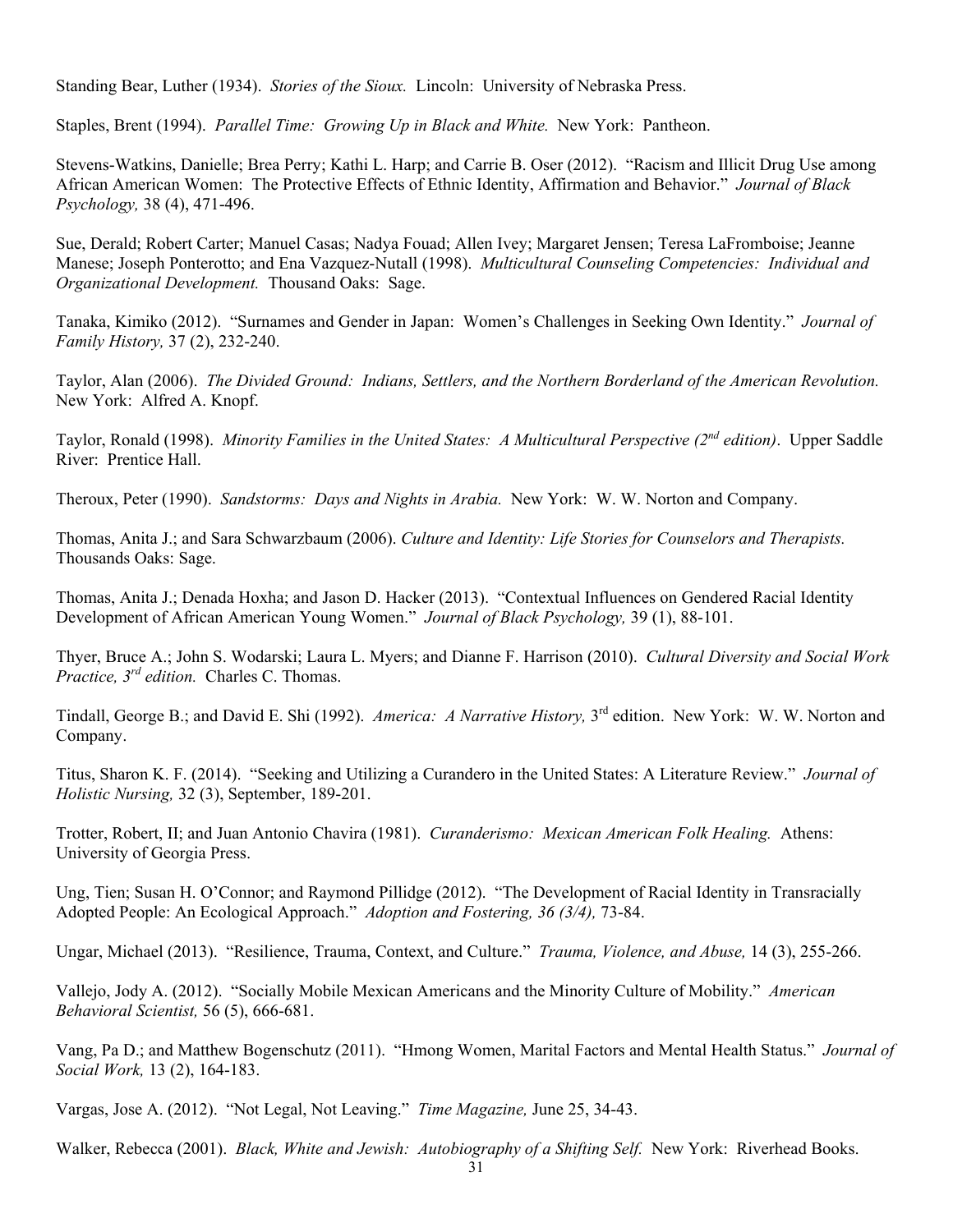Standing Bear, Luther (1934). *Stories of the Sioux.* Lincoln: University of Nebraska Press.

Staples, Brent (1994). *Parallel Time: Growing Up in Black and White.* New York: Pantheon.

Stevens-Watkins, Danielle; Brea Perry; Kathi L. Harp; and Carrie B. Oser (2012). "Racism and Illicit Drug Use among African American Women: The Protective Effects of Ethnic Identity, Affirmation and Behavior." *Journal of Black Psychology,* 38 (4), 471-496.

Sue, Derald; Robert Carter; Manuel Casas; Nadya Fouad; Allen Ivey; Margaret Jensen; Teresa LaFromboise; Jeanne Manese; Joseph Ponterotto; and Ena Vazquez-Nutall (1998). *Multicultural Counseling Competencies: Individual and Organizational Development.* Thousand Oaks: Sage.

Tanaka, Kimiko (2012). "Surnames and Gender in Japan: Women's Challenges in Seeking Own Identity." *Journal of Family History,* 37 (2), 232-240.

Taylor, Alan (2006). *The Divided Ground: Indians, Settlers, and the Northern Borderland of the American Revolution.* New York: Alfred A. Knopf.

Taylor, Ronald (1998). *Minority Families in the United States: A Multicultural Perspective (2nd edition)*. Upper Saddle River: Prentice Hall.

Theroux, Peter (1990). *Sandstorms: Days and Nights in Arabia.* New York: W. W. Norton and Company.

Thomas, Anita J.; and Sara Schwarzbaum (2006). *Culture and Identity: Life Stories for Counselors and Therapists.* Thousands Oaks: Sage.

Thomas, Anita J.; Denada Hoxha; and Jason D. Hacker (2013). "Contextual Influences on Gendered Racial Identity Development of African American Young Women." *Journal of Black Psychology,* 39 (1), 88-101.

Thyer, Bruce A.; John S. Wodarski; Laura L. Myers; and Dianne F. Harrison (2010). *Cultural Diversity and Social Work Practice, 3rd edition.* Charles C. Thomas.

Tindall, George B.; and David E. Shi (1992). *America: A Narrative History,* 3rd edition. New York: W. W. Norton and Company.

Titus, Sharon K. F. (2014). "Seeking and Utilizing a Curandero in the United States: A Literature Review." *Journal of Holistic Nursing,* 32 (3), September, 189-201.

Trotter, Robert, II; and Juan Antonio Chavira (1981). *Curanderismo: Mexican American Folk Healing.* Athens: University of Georgia Press.

Ung, Tien; Susan H. O'Connor; and Raymond Pillidge (2012). "The Development of Racial Identity in Transracially Adopted People: An Ecological Approach." *Adoption and Fostering, 36 (3/4),* 73-84.

Ungar, Michael (2013). "Resilience, Trauma, Context, and Culture." *Trauma, Violence, and Abuse,* 14 (3), 255-266.

Vallejo, Jody A. (2012). "Socially Mobile Mexican Americans and the Minority Culture of Mobility." *American Behavioral Scientist,* 56 (5), 666-681.

Vang, Pa D.; and Matthew Bogenschutz (2011). "Hmong Women, Marital Factors and Mental Health Status." *Journal of Social Work,* 13 (2), 164-183.

Vargas, Jose A. (2012). "Not Legal, Not Leaving." *Time Magazine,* June 25, 34-43.

Walker, Rebecca (2001). *Black, White and Jewish: Autobiography of a Shifting Self.* New York: Riverhead Books.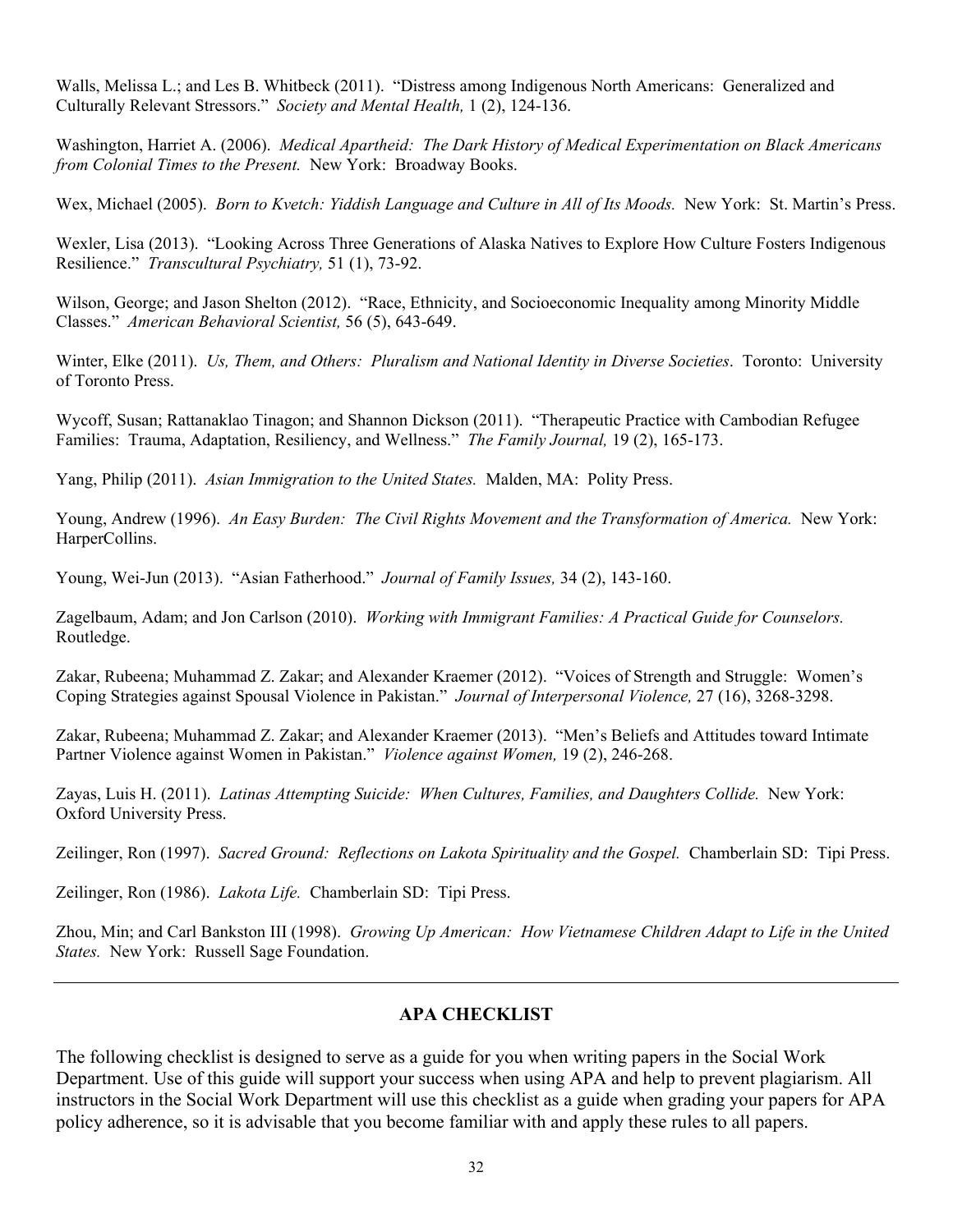Walls, Melissa L.; and Les B. Whitbeck (2011). "Distress among Indigenous North Americans: Generalized and Culturally Relevant Stressors." *Society and Mental Health,* 1 (2), 124-136.

Washington, Harriet A. (2006). *Medical Apartheid: The Dark History of Medical Experimentation on Black Americans from Colonial Times to the Present.* New York: Broadway Books.

Wex, Michael (2005). *Born to Kvetch: Yiddish Language and Culture in All of Its Moods.* New York: St. Martin's Press.

Wexler, Lisa (2013). "Looking Across Three Generations of Alaska Natives to Explore How Culture Fosters Indigenous Resilience." *Transcultural Psychiatry,* 51 (1), 73-92.

Wilson, George; and Jason Shelton (2012). "Race, Ethnicity, and Socioeconomic Inequality among Minority Middle Classes." *American Behavioral Scientist,* 56 (5), 643-649.

Winter, Elke (2011). *Us, Them, and Others: Pluralism and National Identity in Diverse Societies*. Toronto: University of Toronto Press.

Wycoff, Susan; Rattanaklao Tinagon; and Shannon Dickson (2011). "Therapeutic Practice with Cambodian Refugee Families: Trauma, Adaptation, Resiliency, and Wellness." *The Family Journal,* 19 (2), 165-173.

Yang, Philip (2011). *Asian Immigration to the United States.* Malden, MA: Polity Press.

Young, Andrew (1996). *An Easy Burden: The Civil Rights Movement and the Transformation of America.* New York: HarperCollins.

Young, Wei-Jun (2013). "Asian Fatherhood." *Journal of Family Issues,* 34 (2), 143-160.

Zagelbaum, Adam; and Jon Carlson (2010). *Working with Immigrant Families: A Practical Guide for Counselors.*  Routledge.

Zakar, Rubeena; Muhammad Z. Zakar; and Alexander Kraemer (2012). "Voices of Strength and Struggle: Women's Coping Strategies against Spousal Violence in Pakistan." *Journal of Interpersonal Violence,* 27 (16), 3268-3298.

Zakar, Rubeena; Muhammad Z. Zakar; and Alexander Kraemer (2013). "Men's Beliefs and Attitudes toward Intimate Partner Violence against Women in Pakistan." *Violence against Women,* 19 (2), 246-268.

Zayas, Luis H. (2011). *Latinas Attempting Suicide: When Cultures, Families, and Daughters Collide.* New York: Oxford University Press.

Zeilinger, Ron (1997). *Sacred Ground: Reflections on Lakota Spirituality and the Gospel.* Chamberlain SD: Tipi Press.

Zeilinger, Ron (1986). *Lakota Life.* Chamberlain SD: Tipi Press.

Zhou, Min; and Carl Bankston III (1998). *Growing Up American: How Vietnamese Children Adapt to Life in the United States.* New York: Russell Sage Foundation.

### **APA CHECKLIST**

The following checklist is designed to serve as a guide for you when writing papers in the Social Work Department. Use of this guide will support your success when using APA and help to prevent plagiarism. All instructors in the Social Work Department will use this checklist as a guide when grading your papers for APA policy adherence, so it is advisable that you become familiar with and apply these rules to all papers.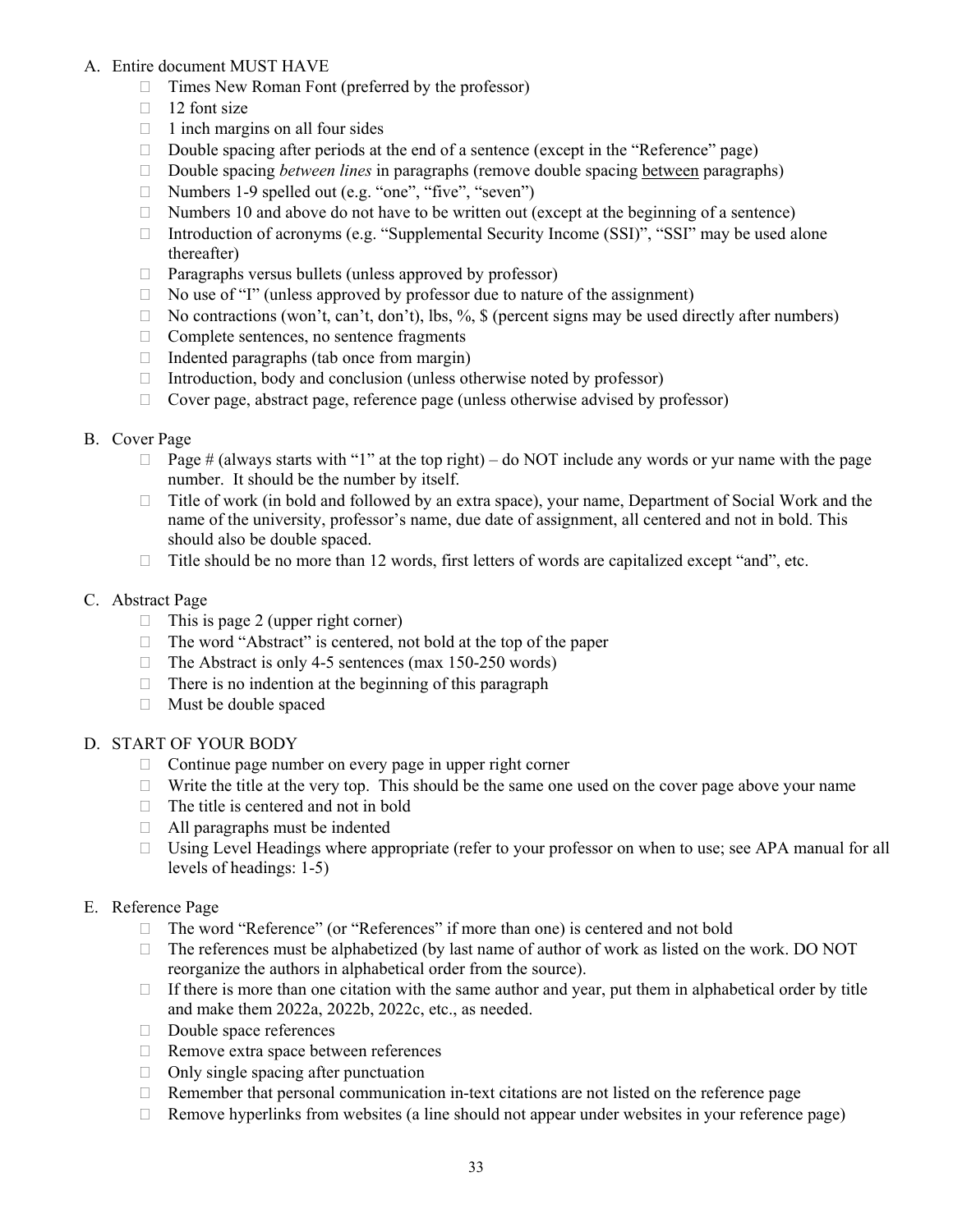### A. Entire document MUST HAVE

- $\Box$  Times New Roman Font (preferred by the professor)
- $\Box$  12 font size
- $\Box$  1 inch margins on all four sides
- Double spacing after periods at the end of a sentence (except in the "Reference" page)
- □ Double spacing *between lines* in paragraphs (remove double spacing <u>between</u> paragraphs)
- $\Box$  Numbers 1-9 spelled out (e.g. "one", "five", "seven")
- $\Box$  Numbers 10 and above do not have to be written out (except at the beginning of a sentence)
- $\Box$  Introduction of acronyms (e.g. "Supplemental Security Income (SSI)", "SSI" may be used alone thereafter)
- Paragraphs versus bullets (unless approved by professor)
- $\Box$  No use of "I" (unless approved by professor due to nature of the assignment)
- $\Box$  No contractions (won't, can't, don't), lbs, %, \$ (percent signs may be used directly after numbers)
- $\Box$  Complete sentences, no sentence fragments
- $\Box$  Indented paragraphs (tab once from margin)
- $\Box$  Introduction, body and conclusion (unless otherwise noted by professor)
- $\Box$  Cover page, abstract page, reference page (unless otherwise advised by professor)

### B. Cover Page

- $\Box$  Page # (always starts with "1" at the top right) do NOT include any words or yur name with the page number. It should be the number by itself.
- $\Box$  Title of work (in bold and followed by an extra space), your name, Department of Social Work and the name of the university, professor's name, due date of assignment, all centered and not in bold. This should also be double spaced.
- $\Box$  Title should be no more than 12 words, first letters of words are capitalized except "and", etc.

### C. Abstract Page

- $\Box$  This is page 2 (upper right corner)
- □ The word "Abstract" is centered, not bold at the top of the paper
- $\Box$  The Abstract is only 4-5 sentences (max 150-250 words)
- $\Box$  There is no indention at the beginning of this paragraph
- Must be double spaced

### D. START OF YOUR BODY

- Continue page number on every page in upper right corner
- $\Box$  Write the title at the very top. This should be the same one used on the cover page above your name
- $\Box$  The title is centered and not in bold
- $\Box$  All paragraphs must be indented
- $\Box$  Using Level Headings where appropriate (refer to your professor on when to use; see APA manual for all levels of headings: 1-5)

### E. Reference Page

- □ The word "Reference" (or "References" if more than one) is centered and not bold
- $\Box$  The references must be alphabetized (by last name of author of work as listed on the work. DO NOT reorganize the authors in alphabetical order from the source).
- If there is more than one citation with the same author and year, put them in alphabetical order by title and make them 2022a, 2022b, 2022c, etc., as needed.
- Double space references
- □ Remove extra space between references
- $\Box$  Only single spacing after punctuation
- $\Box$  Remember that personal communication in-text citations are not listed on the reference page
- $\Box$  Remove hyperlinks from websites (a line should not appear under websites in your reference page)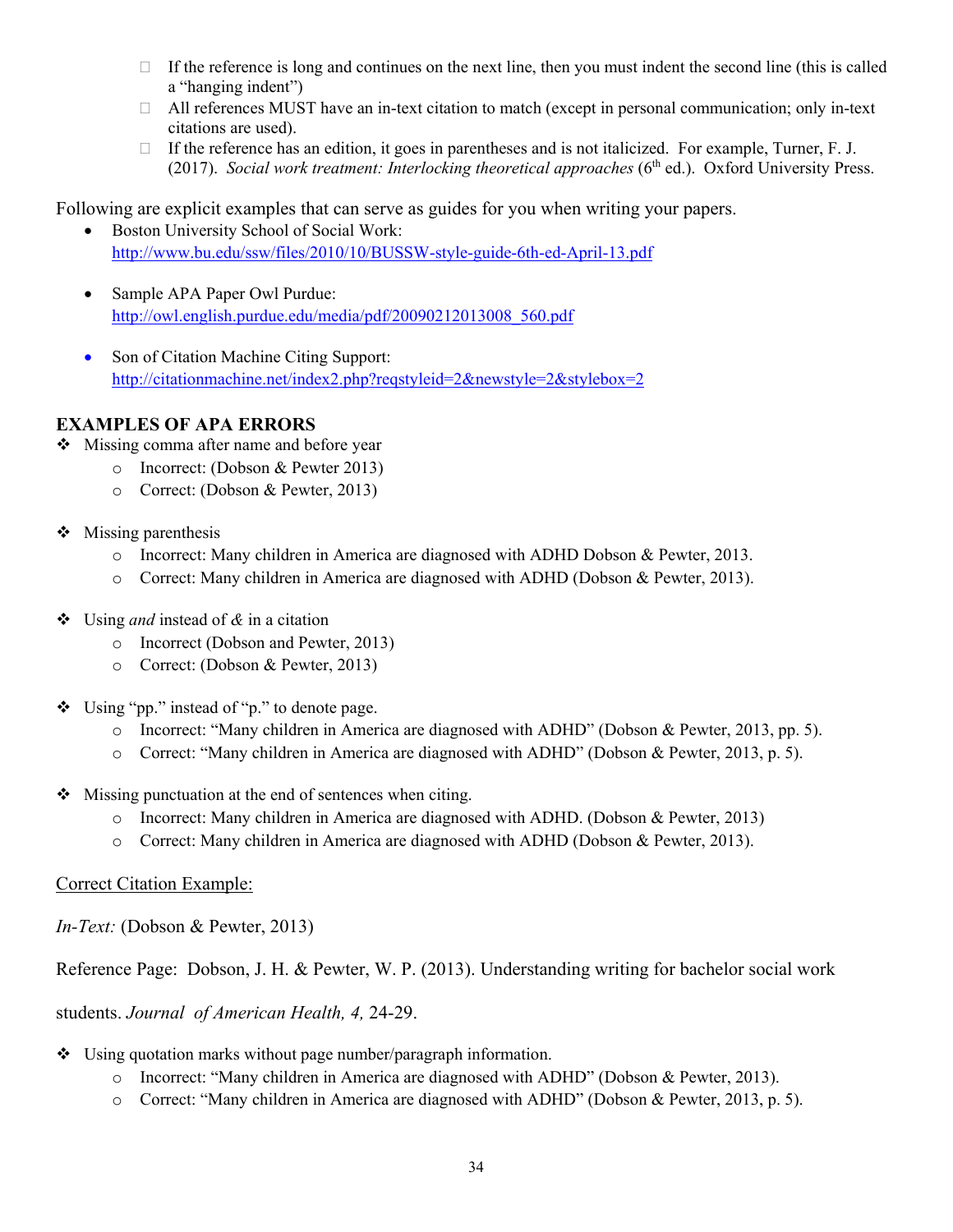- $\Box$  If the reference is long and continues on the next line, then you must indent the second line (this is called a "hanging indent")
- $\Box$  All references MUST have an in-text citation to match (except in personal communication; only in-text citations are used).
- $\Box$  If the reference has an edition, it goes in parentheses and is not italicized. For example, Turner, F. J. (2017). *Social work treatment: Interlocking theoretical approaches* (6<sup>th</sup> ed.). Oxford University Press.

Following are explicit examples that can serve as guides for you when writing your papers.

- Boston University School of Social Work: <http://www.bu.edu/ssw/files/2010/10/BUSSW-style-guide-6th-ed-April-13.pdf>
- Sample APA Paper Owl Purdue: [http://owl.english.purdue.edu/media/pdf/20090212013008\\_560.pdf](http://owl.english.purdue.edu/media/pdf/20090212013008_560.pdf)
- Son of Citation Machine Citing Support: <http://citationmachine.net/index2.php?reqstyleid=2&newstyle=2&stylebox=2>

# **EXAMPLES OF APA ERRORS**

- Missing comma after name and before year
	- o Incorrect: (Dobson & Pewter 2013)
	- o Correct: (Dobson & Pewter, 2013)
- $\triangleleft$  Missing parenthesis
	- o Incorrect: Many children in America are diagnosed with ADHD Dobson & Pewter, 2013.
	- o Correct: Many children in America are diagnosed with ADHD (Dobson & Pewter, 2013).
- Using *and* instead of *&* in a citation
	- o Incorrect (Dobson and Pewter, 2013)
	- o Correct: (Dobson & Pewter, 2013)
- $\bullet$  Using "pp." instead of "p." to denote page.
	- o Incorrect: "Many children in America are diagnosed with ADHD" (Dobson & Pewter, 2013, pp. 5).
	- o Correct: "Many children in America are diagnosed with ADHD" (Dobson & Pewter, 2013, p. 5).
- $\triangleleft$  Missing punctuation at the end of sentences when citing.
	- o Incorrect: Many children in America are diagnosed with ADHD. (Dobson & Pewter, 2013)
	- o Correct: Many children in America are diagnosed with ADHD (Dobson & Pewter, 2013).

### Correct Citation Example:

*In-Text:* (Dobson & Pewter, 2013)

Reference Page: Dobson, J. H. & Pewter, W. P. (2013). Understanding writing for bachelor social work

students. *Journal of American Health, 4,* 24-29.

- Using quotation marks without page number/paragraph information.
	- o Incorrect: "Many children in America are diagnosed with ADHD" (Dobson & Pewter, 2013).
	- o Correct: "Many children in America are diagnosed with ADHD" (Dobson & Pewter, 2013, p. 5).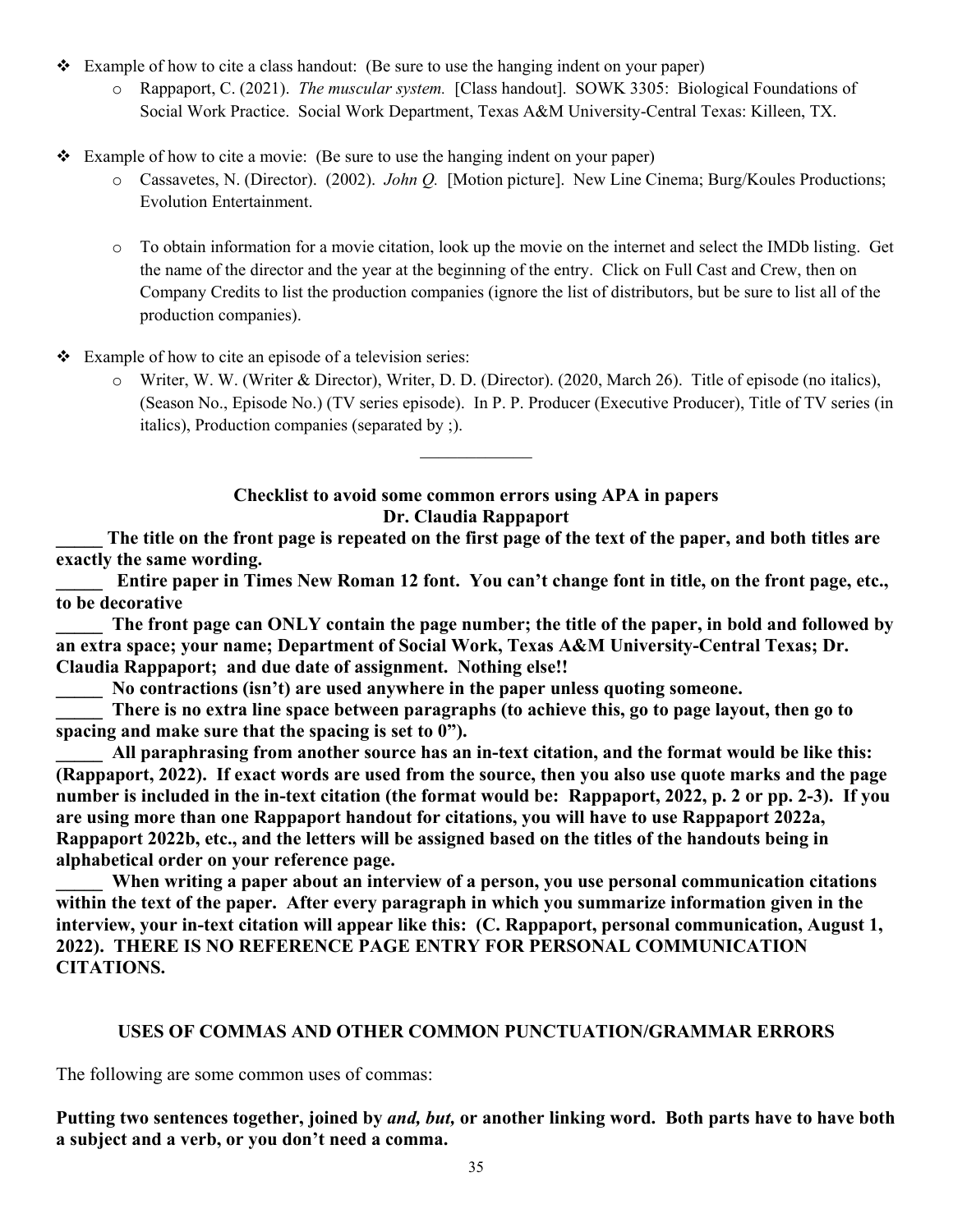- $\div$  Example of how to cite a class handout: (Be sure to use the hanging indent on your paper)
	- o Rappaport, C. (2021). *The muscular system.* [Class handout]. SOWK 3305: Biological Foundations of Social Work Practice. Social Work Department, Texas A&M University-Central Texas: Killeen, TX.
- Example of how to cite a movie: (Be sure to use the hanging indent on your paper)
	- o Cassavetes, N. (Director). (2002). *John Q.* [Motion picture]. New Line Cinema; Burg/Koules Productions; Evolution Entertainment.
	- o To obtain information for a movie citation, look up the movie on the internet and select the IMDb listing. Get the name of the director and the year at the beginning of the entry. Click on Full Cast and Crew, then on Company Credits to list the production companies (ignore the list of distributors, but be sure to list all of the production companies).

 $\div$  Example of how to cite an episode of a television series:

o Writer, W. W. (Writer & Director), Writer, D. D. (Director). (2020, March 26). Title of episode (no italics), (Season No., Episode No.) (TV series episode). In P. P. Producer (Executive Producer), Title of TV series (in italics), Production companies (separated by ;).

### **Checklist to avoid some common errors using APA in papers Dr. Claudia Rappaport**

 $\mathcal{L}_\text{max}$ 

**\_\_\_\_\_ The title on the front page is repeated on the first page of the text of the paper, and both titles are exactly the same wording.**

Entire paper in Times New Roman 12 font. You can't change font in title, on the front page, etc., **to be decorative**

The front page can ONLY contain the page number; the title of the paper, in bold and followed by **an extra space; your name; Department of Social Work, Texas A&M University-Central Texas; Dr. Claudia Rappaport; and due date of assignment. Nothing else!!**

**\_\_\_\_\_ No contractions (isn't) are used anywhere in the paper unless quoting someone.**

There is no extra line space between paragraphs (to achieve this, go to page layout, then go to **spacing and make sure that the spacing is set to 0").**

All paraphrasing from another source has an in-text citation, and the format would be like this: **(Rappaport, 2022). If exact words are used from the source, then you also use quote marks and the page number is included in the in-text citation (the format would be: Rappaport, 2022, p. 2 or pp. 2-3). If you are using more than one Rappaport handout for citations, you will have to use Rappaport 2022a, Rappaport 2022b, etc., and the letters will be assigned based on the titles of the handouts being in alphabetical order on your reference page.**

When writing a paper about an interview of a person, you use personal communication citations **within the text of the paper. After every paragraph in which you summarize information given in the interview, your in-text citation will appear like this: (C. Rappaport, personal communication, August 1, 2022). THERE IS NO REFERENCE PAGE ENTRY FOR PERSONAL COMMUNICATION CITATIONS.**

### **USES OF COMMAS AND OTHER COMMON PUNCTUATION/GRAMMAR ERRORS**

The following are some common uses of commas:

**Putting two sentences together, joined by** *and, but,* **or another linking word. Both parts have to have both a subject and a verb, or you don't need a comma.**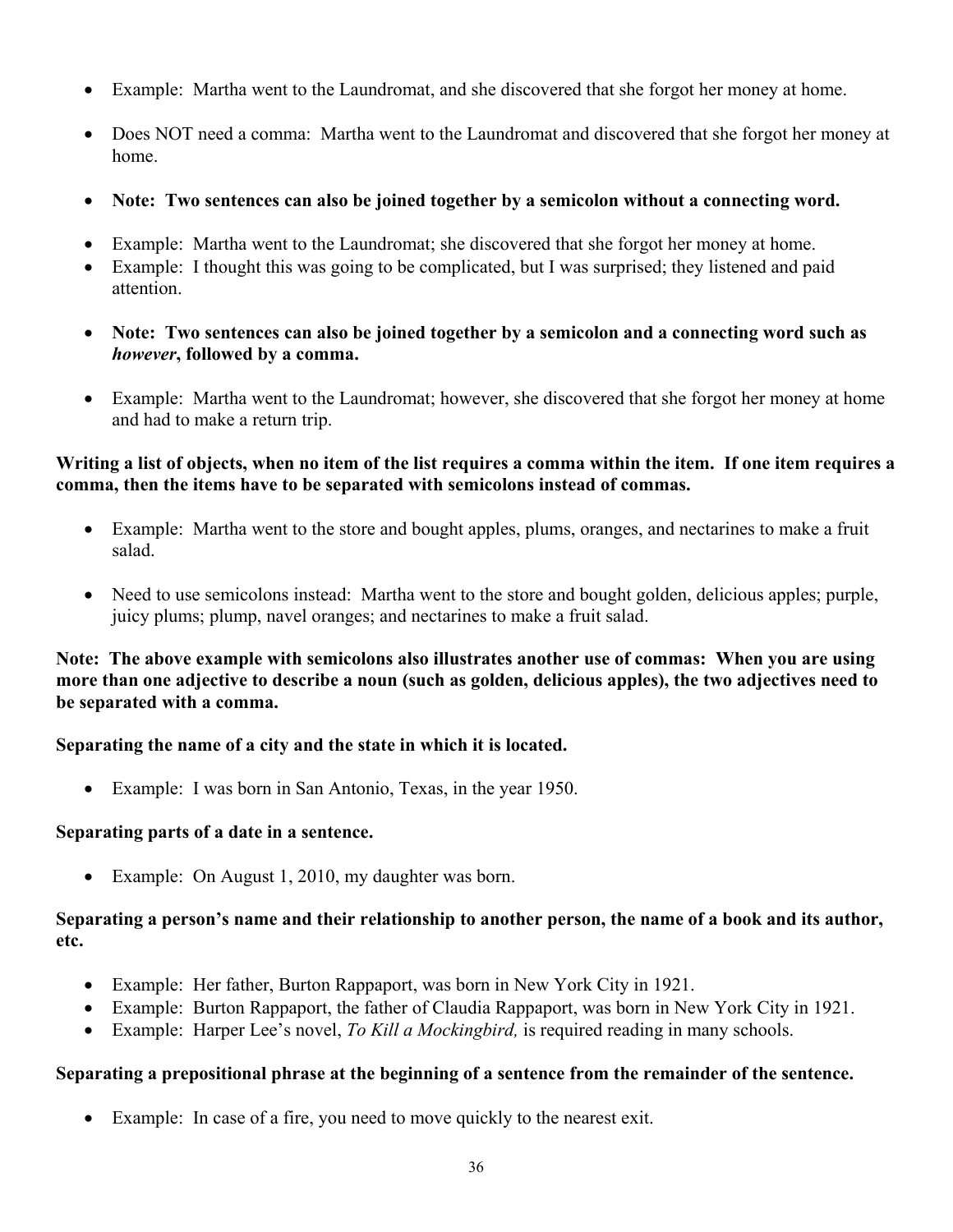- Example: Martha went to the Laundromat, and she discovered that she forgot her money at home.
- Does NOT need a comma: Martha went to the Laundromat and discovered that she forgot her money at home.
- **Note: Two sentences can also be joined together by a semicolon without a connecting word.**
- Example: Martha went to the Laundromat; she discovered that she forgot her money at home.
- Example: I thought this was going to be complicated, but I was surprised; they listened and paid attention.
- **Note: Two sentences can also be joined together by a semicolon and a connecting word such as**  *however***, followed by a comma.**
- Example: Martha went to the Laundromat; however, she discovered that she forgot her money at home and had to make a return trip.

## **Writing a list of objects, when no item of the list requires a comma within the item. If one item requires a comma, then the items have to be separated with semicolons instead of commas.**

- Example: Martha went to the store and bought apples, plums, oranges, and nectarines to make a fruit salad.
- Need to use semicolons instead: Martha went to the store and bought golden, delicious apples; purple, juicy plums; plump, navel oranges; and nectarines to make a fruit salad.

## **Note: The above example with semicolons also illustrates another use of commas: When you are using more than one adjective to describe a noun (such as golden, delicious apples), the two adjectives need to be separated with a comma.**

# **Separating the name of a city and the state in which it is located.**

• Example: I was born in San Antonio, Texas, in the year 1950.

### **Separating parts of a date in a sentence.**

• Example: On August 1, 2010, my daughter was born.

# **Separating a person's name and their relationship to another person, the name of a book and its author, etc.**

- Example: Her father, Burton Rappaport, was born in New York City in 1921.
- Example: Burton Rappaport, the father of Claudia Rappaport, was born in New York City in 1921.
- Example: Harper Lee's novel, *To Kill a Mockingbird,* is required reading in many schools.

# **Separating a prepositional phrase at the beginning of a sentence from the remainder of the sentence.**

• Example: In case of a fire, you need to move quickly to the nearest exit.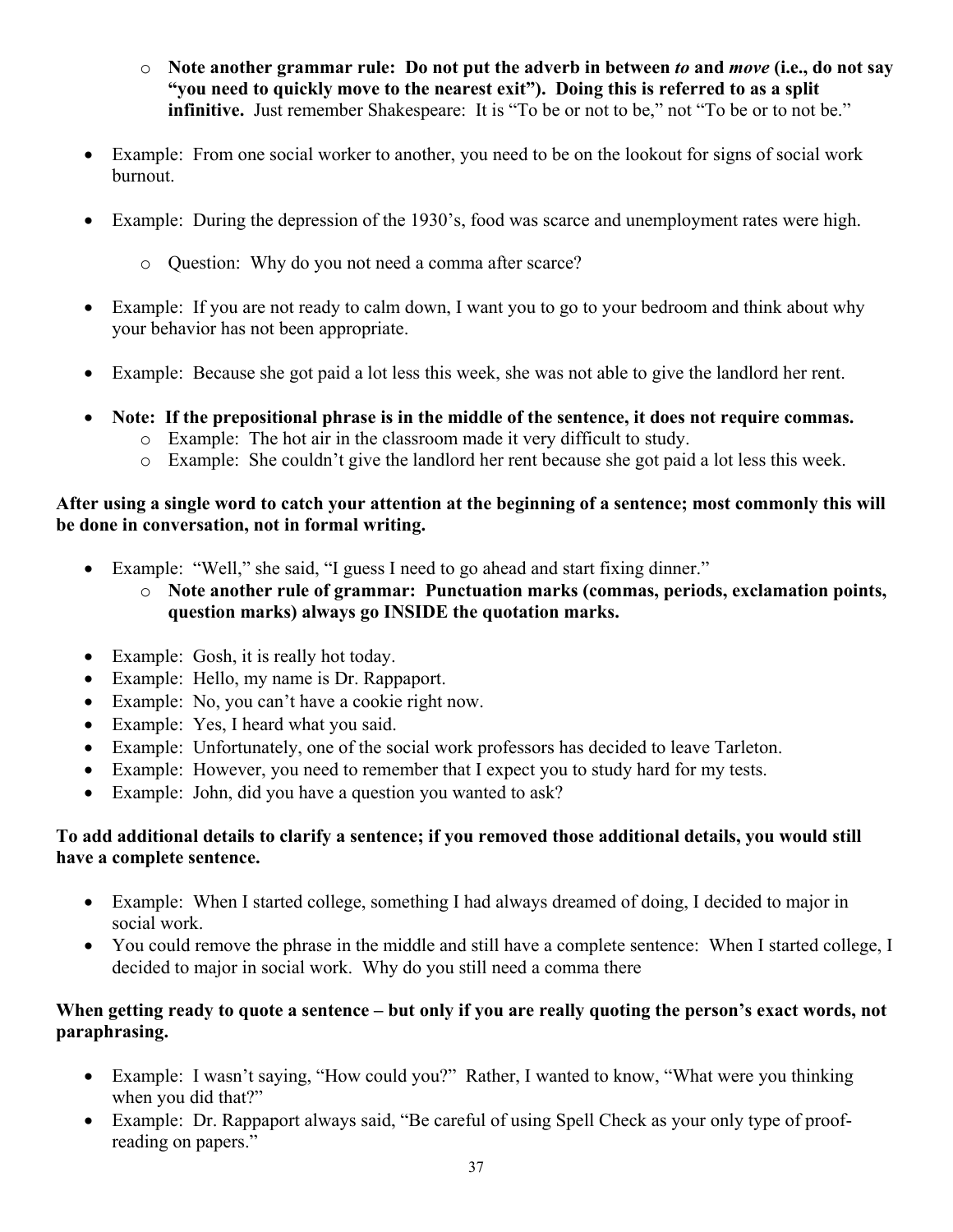- o **Note another grammar rule: Do not put the adverb in between** *to* **and** *move* **(i.e., do not say "you need to quickly move to the nearest exit"). Doing this is referred to as a split infinitive.** Just remember Shakespeare: It is "To be or not to be," not "To be or to not be."
- Example: From one social worker to another, you need to be on the lookout for signs of social work burnout.
- Example: During the depression of the 1930's, food was scarce and unemployment rates were high.
	- o Question: Why do you not need a comma after scarce?
- Example: If you are not ready to calm down, I want you to go to your bedroom and think about why your behavior has not been appropriate.
- Example: Because she got paid a lot less this week, she was not able to give the landlord her rent.
- **Note: If the prepositional phrase is in the middle of the sentence, it does not require commas.**
	- o Example: The hot air in the classroom made it very difficult to study.
	- o Example: She couldn't give the landlord her rent because she got paid a lot less this week.

# **After using a single word to catch your attention at the beginning of a sentence; most commonly this will be done in conversation, not in formal writing.**

- Example: "Well," she said, "I guess I need to go ahead and start fixing dinner."
	- o **Note another rule of grammar: Punctuation marks (commas, periods, exclamation points, question marks) always go INSIDE the quotation marks.**
- Example: Gosh, it is really hot today.
- Example: Hello, my name is Dr. Rappaport.
- Example: No, you can't have a cookie right now.
- Example: Yes, I heard what you said.
- Example: Unfortunately, one of the social work professors has decided to leave Tarleton.
- Example: However, you need to remember that I expect you to study hard for my tests.
- Example: John, did you have a question you wanted to ask?

# **To add additional details to clarify a sentence; if you removed those additional details, you would still have a complete sentence.**

- Example: When I started college, something I had always dreamed of doing, I decided to major in social work.
- You could remove the phrase in the middle and still have a complete sentence: When I started college, I decided to major in social work. Why do you still need a comma there

# **When getting ready to quote a sentence – but only if you are really quoting the person's exact words, not paraphrasing.**

- Example: I wasn't saying, "How could you?" Rather, I wanted to know, "What were you thinking when you did that?"
- Example: Dr. Rappaport always said, "Be careful of using Spell Check as your only type of proofreading on papers."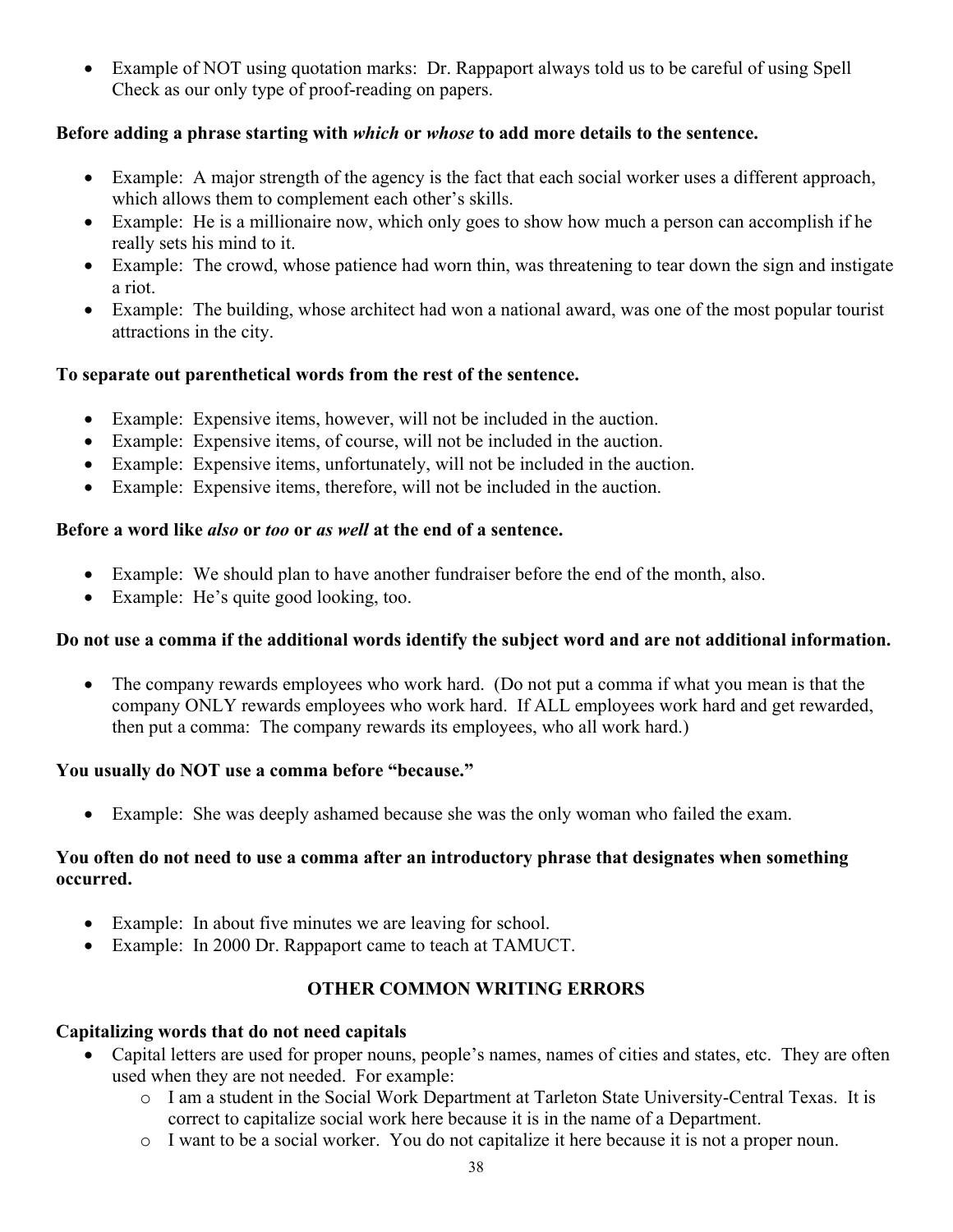• Example of NOT using quotation marks: Dr. Rappaport always told us to be careful of using Spell Check as our only type of proof-reading on papers.

# **Before adding a phrase starting with** *which* **or** *whose* **to add more details to the sentence.**

- Example: A major strength of the agency is the fact that each social worker uses a different approach, which allows them to complement each other's skills.
- Example: He is a millionaire now, which only goes to show how much a person can accomplish if he really sets his mind to it.
- Example: The crowd, whose patience had worn thin, was threatening to tear down the sign and instigate a riot.
- Example: The building, whose architect had won a national award, was one of the most popular tourist attractions in the city.

### **To separate out parenthetical words from the rest of the sentence.**

- Example: Expensive items, however, will not be included in the auction.
- Example: Expensive items, of course, will not be included in the auction.
- Example: Expensive items, unfortunately, will not be included in the auction.
- Example: Expensive items, therefore, will not be included in the auction.

### **Before a word like** *also* **or** *too* **or** *as well* **at the end of a sentence.**

- Example: We should plan to have another fundraiser before the end of the month, also.
- Example: He's quite good looking, too.

### **Do not use a comma if the additional words identify the subject word and are not additional information.**

• The company rewards employees who work hard. (Do not put a comma if what you mean is that the company ONLY rewards employees who work hard. If ALL employees work hard and get rewarded, then put a comma: The company rewards its employees, who all work hard.)

# **You usually do NOT use a comma before "because."**

Example: She was deeply ashamed because she was the only woman who failed the exam.

# **You often do not need to use a comma after an introductory phrase that designates when something occurred.**

- Example: In about five minutes we are leaving for school.
- Example: In 2000 Dr. Rappaport came to teach at TAMUCT.

# **OTHER COMMON WRITING ERRORS**

### **Capitalizing words that do not need capitals**

- Capital letters are used for proper nouns, people's names, names of cities and states, etc. They are often used when they are not needed. For example:
	- o I am a student in the Social Work Department at Tarleton State University-Central Texas. It is correct to capitalize social work here because it is in the name of a Department.
	- o I want to be a social worker. You do not capitalize it here because it is not a proper noun.